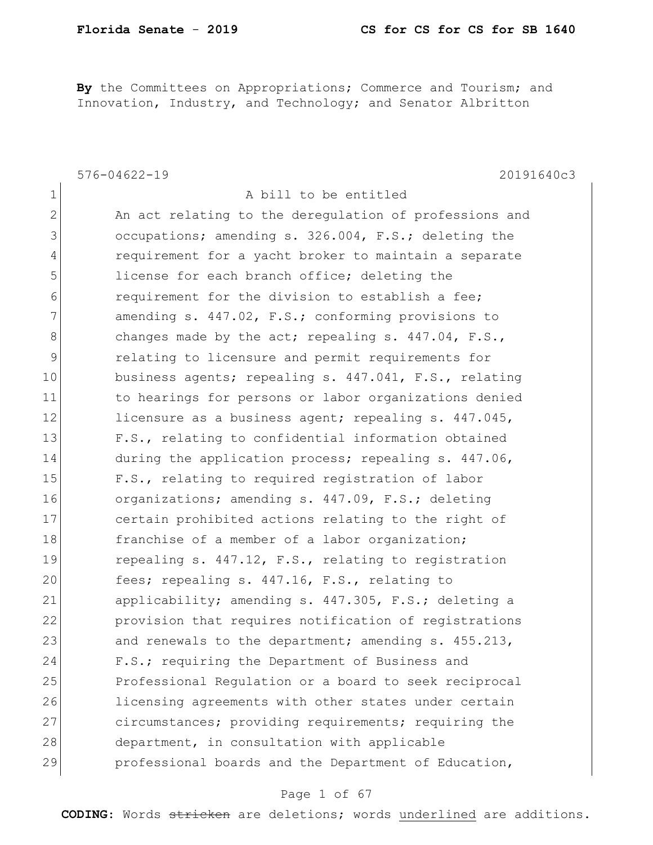By the Committees on Appropriations; Commerce and Tourism; and Innovation, Industry, and Technology; and Senator Albritton

|                | $576 - 04622 - 19$<br>20191640c3                       |
|----------------|--------------------------------------------------------|
| $\mathbf 1$    | A bill to be entitled                                  |
| 2              | An act relating to the deregulation of professions and |
| 3              | occupations; amending s. 326.004, F.S.; deleting the   |
| $\overline{4}$ | requirement for a yacht broker to maintain a separate  |
| 5              | license for each branch office; deleting the           |
| 6              | requirement for the division to establish a fee;       |
| 7              | amending s. 447.02, F.S.; conforming provisions to     |
| 8              | changes made by the act; repealing s. $447.04$ , F.S., |
| 9              | relating to licensure and permit requirements for      |
| 10             | business agents; repealing s. 447.041, F.S., relating  |
| 11             | to hearings for persons or labor organizations denied  |
| 12             | licensure as a business agent; repealing s. 447.045,   |
| 13             | F.S., relating to confidential information obtained    |
| 14             | during the application process; repealing s. 447.06,   |
| 15             | F.S., relating to required registration of labor       |
| 16             | organizations; amending s. 447.09, F.S.; deleting      |
| 17             | certain prohibited actions relating to the right of    |
| 18             | franchise of a member of a labor organization;         |
| 19             | repealing s. 447.12, F.S., relating to registration    |
| 20             | fees; repealing s. 447.16, F.S., relating to           |
| 21             | applicability; amending s. 447.305, F.S.; deleting a   |
| 22             | provision that requires notification of registrations  |
| 23             | and renewals to the department; amending s. 455.213,   |
| 24             | F.S.; requiring the Department of Business and         |
| 25             | Professional Regulation or a board to seek reciprocal  |
| 26             | licensing agreements with other states under certain   |
| 27             | circumstances; providing requirements; requiring the   |
| 28             | department, in consultation with applicable            |
| 29             | professional boards and the Department of Education,   |

## Page 1 of 67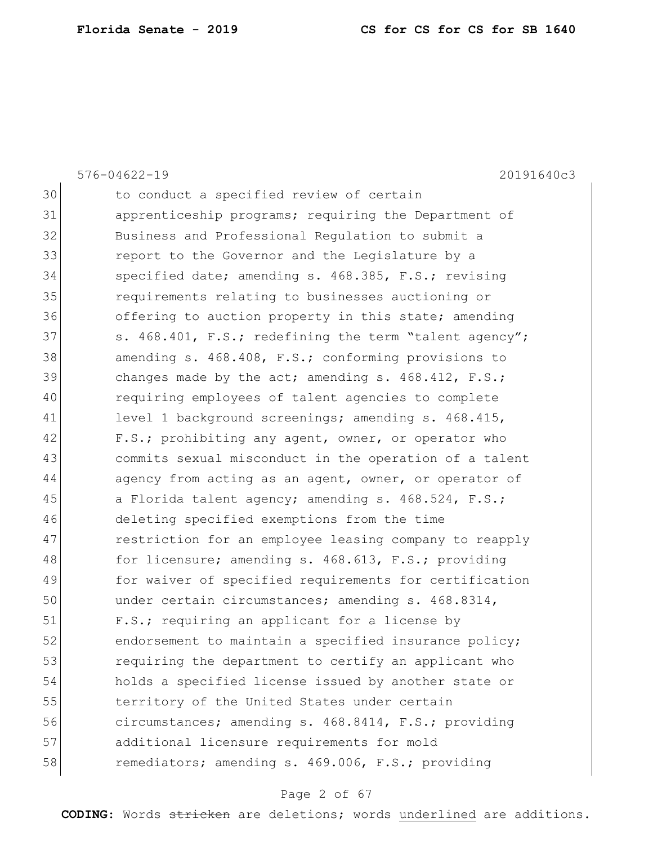|    | $576 - 04622 - 19$<br>20191640c3                       |
|----|--------------------------------------------------------|
| 30 | to conduct a specified review of certain               |
| 31 | apprenticeship programs; requiring the Department of   |
| 32 | Business and Professional Regulation to submit a       |
| 33 | report to the Governor and the Legislature by a        |
| 34 | specified date; amending s. 468.385, F.S.; revising    |
| 35 | requirements relating to businesses auctioning or      |
| 36 | offering to auction property in this state; amending   |
| 37 | s. 468.401, F.S.; redefining the term "talent agency"; |
| 38 | amending s. 468.408, F.S.; conforming provisions to    |
| 39 | changes made by the act; amending s. $468.412$ , F.S.; |
| 40 | requiring employees of talent agencies to complete     |
| 41 | level 1 background screenings; amending s. 468.415,    |
| 42 | F.S.; prohibiting any agent, owner, or operator who    |
| 43 | commits sexual misconduct in the operation of a talent |
| 44 | agency from acting as an agent, owner, or operator of  |
| 45 | a Florida talent agency; amending s. 468.524, F.S.;    |
| 46 | deleting specified exemptions from the time            |
| 47 | restriction for an employee leasing company to reapply |
| 48 | for licensure; amending s. 468.613, F.S.; providing    |
| 49 | for waiver of specified requirements for certification |
| 50 | under certain circumstances; amending s. 468.8314,     |
| 51 | F.S.; requiring an applicant for a license by          |
| 52 | endorsement to maintain a specified insurance policy;  |
| 53 | requiring the department to certify an applicant who   |
| 54 | holds a specified license issued by another state or   |
| 55 | territory of the United States under certain           |
| 56 | circumstances; amending s. 468.8414, F.S.; providing   |
| 57 | additional licensure requirements for mold             |
| 58 | remediators; amending s. 469.006, F.S.; providing      |
|    |                                                        |

# Page 2 of 67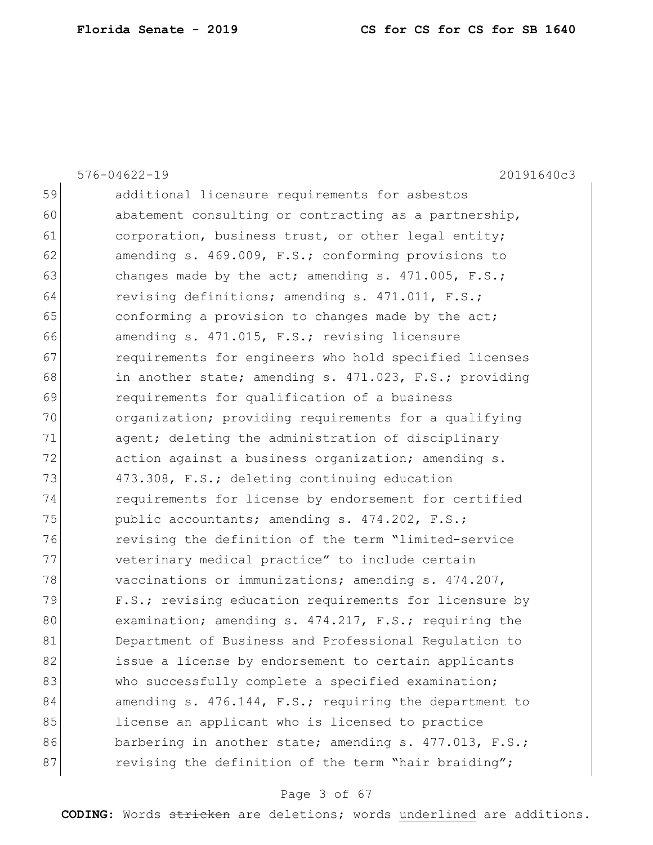|    | $576 - 04622 - 19$<br>20191640c3                       |
|----|--------------------------------------------------------|
| 59 | additional licensure requirements for asbestos         |
| 60 | abatement consulting or contracting as a partnership,  |
| 61 | corporation, business trust, or other legal entity;    |
| 62 | amending s. 469.009, F.S.; conforming provisions to    |
| 63 | changes made by the act; amending s. $471.005$ , F.S.; |
| 64 | revising definitions; amending s. 471.011, F.S.;       |
| 65 | conforming a provision to changes made by the act;     |
| 66 | amending s. 471.015, F.S.; revising licensure          |
| 67 | requirements for engineers who hold specified licenses |
| 68 | in another state; amending s. 471.023, F.S.; providing |
| 69 | requirements for qualification of a business           |
| 70 | organization; providing requirements for a qualifying  |
| 71 | agent; deleting the administration of disciplinary     |
| 72 | action against a business organization; amending s.    |
| 73 | 473.308, F.S.; deleting continuing education           |
| 74 | requirements for license by endorsement for certified  |
| 75 | public accountants; amending s. 474.202, F.S.;         |
| 76 | revising the definition of the term "limited-service   |
| 77 | veterinary medical practice" to include certain        |
| 78 | vaccinations or immunizations; amending s. $474.207$ , |
| 79 | F.S.; revising education requirements for licensure by |
| 80 | examination; amending s. 474.217, F.S.; requiring the  |
| 81 | Department of Business and Professional Requlation to  |
| 82 | issue a license by endorsement to certain applicants   |
| 83 | who successfully complete a specified examination;     |
| 84 | amending s. 476.144, F.S.; requiring the department to |
| 85 | license an applicant who is licensed to practice       |
| 86 | barbering in another state; amending s. 477.013, F.S.; |
| 87 | revising the definition of the term "hair braiding";   |

# Page 3 of 67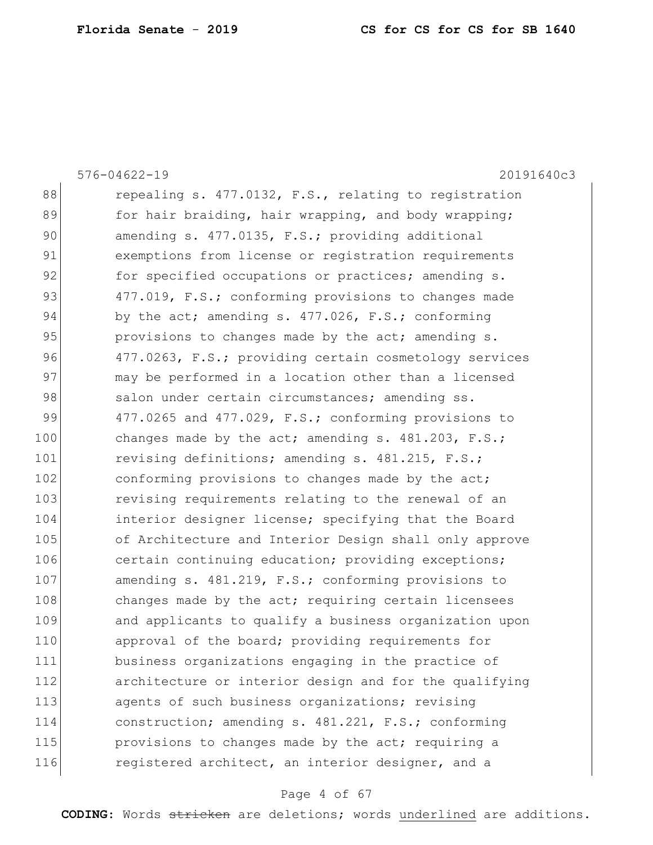|     | $576 - 04622 - 19$<br>20191640c3                       |
|-----|--------------------------------------------------------|
| 88  | repealing s. 477.0132, F.S., relating to registration  |
| 89  | for hair braiding, hair wrapping, and body wrapping;   |
| 90  | amending s. 477.0135, F.S.; providing additional       |
| 91  | exemptions from license or registration requirements   |
| 92  | for specified occupations or practices; amending s.    |
| 93  | 477.019, F.S.; conforming provisions to changes made   |
| 94  | by the act; amending s. 477.026, F.S.; conforming      |
| 95  | provisions to changes made by the act; amending s.     |
| 96  | 477.0263, F.S.; providing certain cosmetology services |
| 97  | may be performed in a location other than a licensed   |
| 98  | salon under certain circumstances; amending ss.        |
| 99  | 477.0265 and 477.029, F.S.; conforming provisions to   |
| 100 | changes made by the act; amending s. $481.203$ , F.S.; |
| 101 | revising definitions; amending s. 481.215, F.S.;       |
| 102 | conforming provisions to changes made by the act;      |
| 103 | revising requirements relating to the renewal of an    |
| 104 | interior designer license; specifying that the Board   |
| 105 | of Architecture and Interior Design shall only approve |
| 106 | certain continuing education; providing exceptions;    |
| 107 | amending s. 481.219, F.S.; conforming provisions to    |
| 108 | changes made by the act; requiring certain licensees   |
| 109 | and applicants to qualify a business organization upon |
| 110 | approval of the board; providing requirements for      |
| 111 | business organizations engaging in the practice of     |
| 112 | architecture or interior design and for the qualifying |
| 113 | agents of such business organizations; revising        |
| 114 | construction; amending s. 481.221, F.S.; conforming    |
| 115 | provisions to changes made by the act; requiring a     |
| 116 | registered architect, an interior designer, and a      |

# Page 4 of 67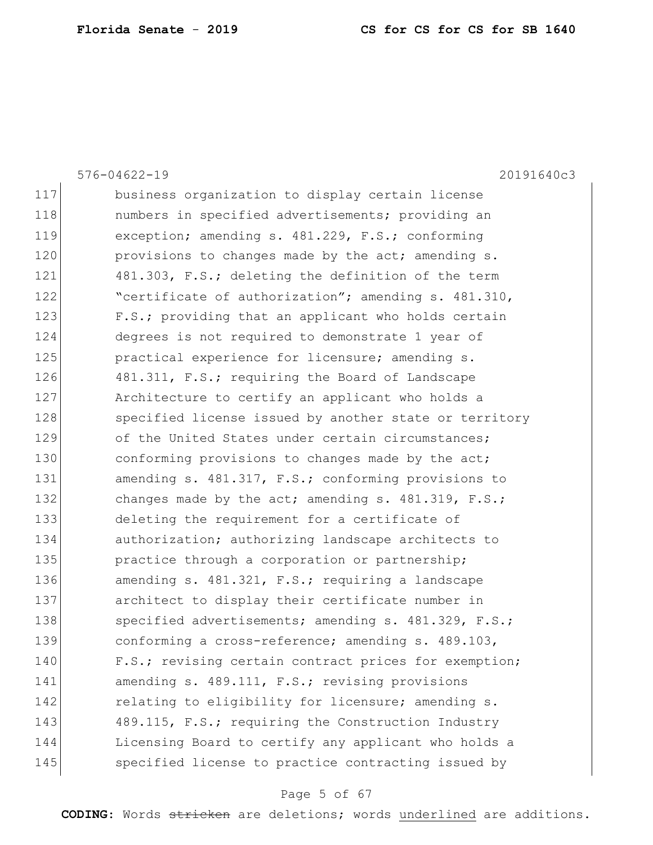|     | $576 - 04622 - 19$<br>20191640c3                       |
|-----|--------------------------------------------------------|
| 117 | business organization to display certain license       |
| 118 | numbers in specified advertisements; providing an      |
| 119 | exception; amending s. 481.229, F.S.; conforming       |
| 120 | provisions to changes made by the act; amending s.     |
| 121 | 481.303, F.S.; deleting the definition of the term     |
| 122 | "certificate of authorization"; amending s. 481.310,   |
| 123 | F.S.; providing that an applicant who holds certain    |
| 124 | degrees is not required to demonstrate 1 year of       |
| 125 | practical experience for licensure; amending s.        |
| 126 | 481.311, F.S.; requiring the Board of Landscape        |
| 127 | Architecture to certify an applicant who holds a       |
| 128 | specified license issued by another state or territory |
| 129 | of the United States under certain circumstances;      |
| 130 | conforming provisions to changes made by the act;      |
| 131 | amending s. 481.317, F.S.; conforming provisions to    |
| 132 | changes made by the act; amending s. 481.319, F.S.;    |
| 133 | deleting the requirement for a certificate of          |
| 134 | authorization; authorizing landscape architects to     |
| 135 | practice through a corporation or partnership;         |
| 136 | amending s. 481.321, F.S.; requiring a landscape       |
| 137 | architect to display their certificate number in       |
| 138 | specified advertisements; amending s. 481.329, F.S.;   |
| 139 | conforming a cross-reference; amending s. 489.103,     |
| 140 | F.S.; revising certain contract prices for exemption;  |
| 141 | amending s. 489.111, F.S.; revising provisions         |
| 142 | relating to eligibility for licensure; amending s.     |
| 143 | 489.115, F.S.; requiring the Construction Industry     |
| 144 | Licensing Board to certify any applicant who holds a   |
| 145 | specified license to practice contracting issued by    |

# Page 5 of 67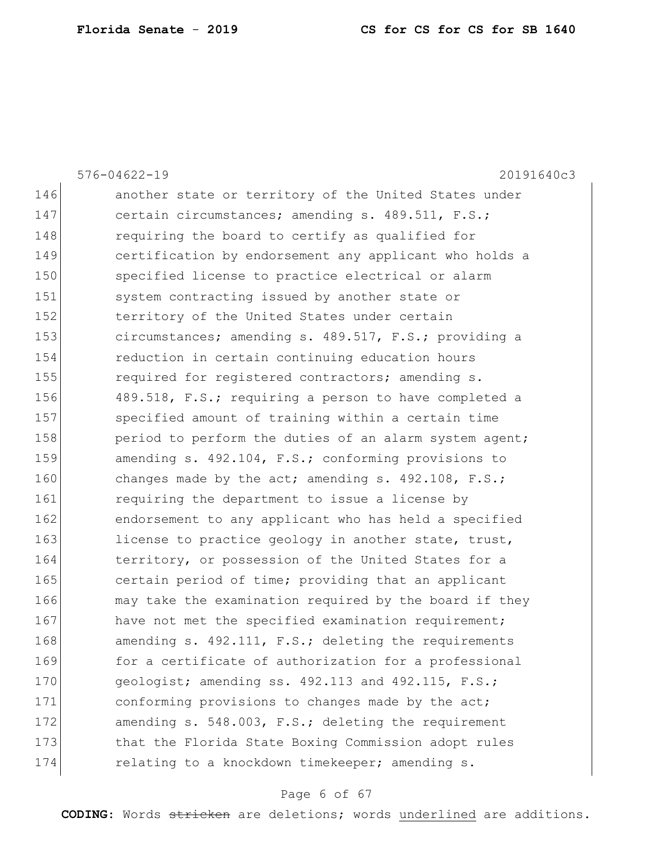|     | $576 - 04622 - 19$<br>20191640c3                       |
|-----|--------------------------------------------------------|
| 146 | another state or territory of the United States under  |
| 147 | certain circumstances; amending s. 489.511, F.S.;      |
| 148 | requiring the board to certify as qualified for        |
| 149 | certification by endorsement any applicant who holds a |
| 150 | specified license to practice electrical or alarm      |
| 151 | system contracting issued by another state or          |
| 152 | territory of the United States under certain           |
| 153 | circumstances; amending s. 489.517, F.S.; providing a  |
| 154 | reduction in certain continuing education hours        |
| 155 | required for registered contractors; amending s.       |
| 156 | 489.518, F.S.; requiring a person to have completed a  |
| 157 | specified amount of training within a certain time     |
| 158 | period to perform the duties of an alarm system agent; |
| 159 | amending s. 492.104, F.S.; conforming provisions to    |
| 160 | changes made by the act; amending s. $492.108$ , F.S.; |
| 161 | requiring the department to issue a license by         |
| 162 | endorsement to any applicant who has held a specified  |
| 163 | license to practice geology in another state, trust,   |
| 164 | territory, or possession of the United States for a    |
| 165 | certain period of time; providing that an applicant    |
| 166 | may take the examination required by the board if they |
| 167 | have not met the specified examination requirement;    |
| 168 | amending s. 492.111, F.S.; deleting the requirements   |
| 169 | for a certificate of authorization for a professional  |
| 170 | geologist; amending ss. 492.113 and 492.115, F.S.;     |
| 171 | conforming provisions to changes made by the act;      |
| 172 | amending s. 548.003, F.S.; deleting the requirement    |
| 173 | that the Florida State Boxing Commission adopt rules   |
| 174 | relating to a knockdown timekeeper; amending s.        |

# Page 6 of 67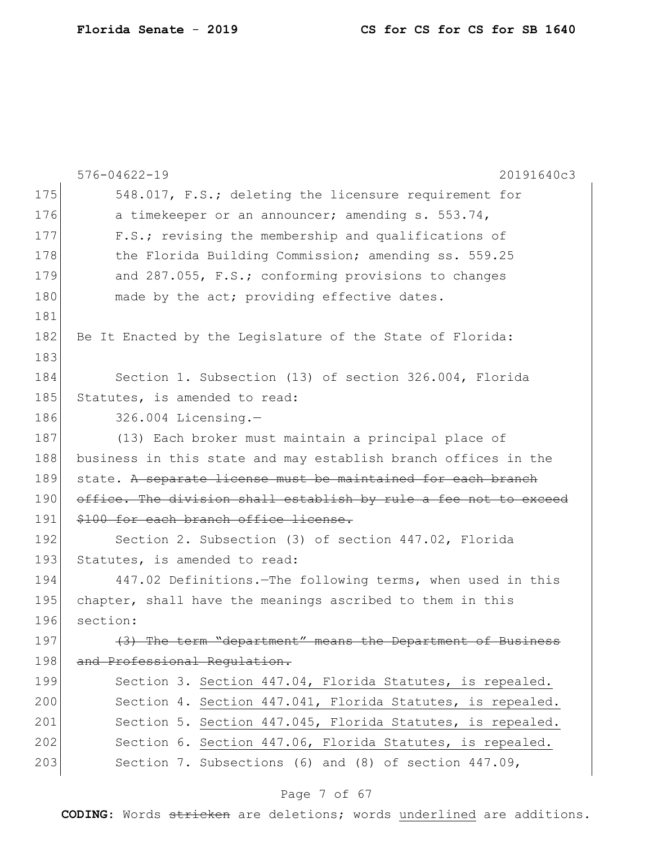|     | $576 - 04622 - 19$<br>20191640c3                                 |
|-----|------------------------------------------------------------------|
| 175 | 548.017, F.S.; deleting the licensure requirement for            |
| 176 | a timekeeper or an announcer; amending s. 553.74,                |
| 177 | F.S.; revising the membership and qualifications of              |
| 178 | the Florida Building Commission; amending ss. 559.25             |
| 179 | and 287.055, F.S.; conforming provisions to changes              |
| 180 | made by the act; providing effective dates.                      |
| 181 |                                                                  |
| 182 | Be It Enacted by the Legislature of the State of Florida:        |
| 183 |                                                                  |
| 184 | Section 1. Subsection (13) of section 326.004, Florida           |
| 185 | Statutes, is amended to read:                                    |
| 186 | $326.004$ Licensing.-                                            |
| 187 | (13) Each broker must maintain a principal place of              |
| 188 | business in this state and may establish branch offices in the   |
|     |                                                                  |
| 189 | state. A separate license must be maintained for each branch     |
| 190 | office. The division shall establish by rule a fee not to exceed |
| 191 | \$100 for each branch office license.                            |
| 192 | Section 2. Subsection (3) of section 447.02, Florida             |
| 193 | Statutes, is amended to read:                                    |
| 194 | 447.02 Definitions. - The following terms, when used in this     |
| 195 | chapter, shall have the meanings ascribed to them in this        |
| 196 | section:                                                         |
| 197 | The term "department" means the Department of Business           |
| 198 | and Professional Requlation.                                     |
| 199 | Section 3. Section 447.04, Florida Statutes, is repealed.        |
| 200 | Section 4. Section 447.041, Florida Statutes, is repealed.       |
| 201 | Section 5. Section 447.045, Florida Statutes, is repealed.       |
| 202 | Section 6. Section 447.06, Florida Statutes, is repealed.        |

# Page 7 of 67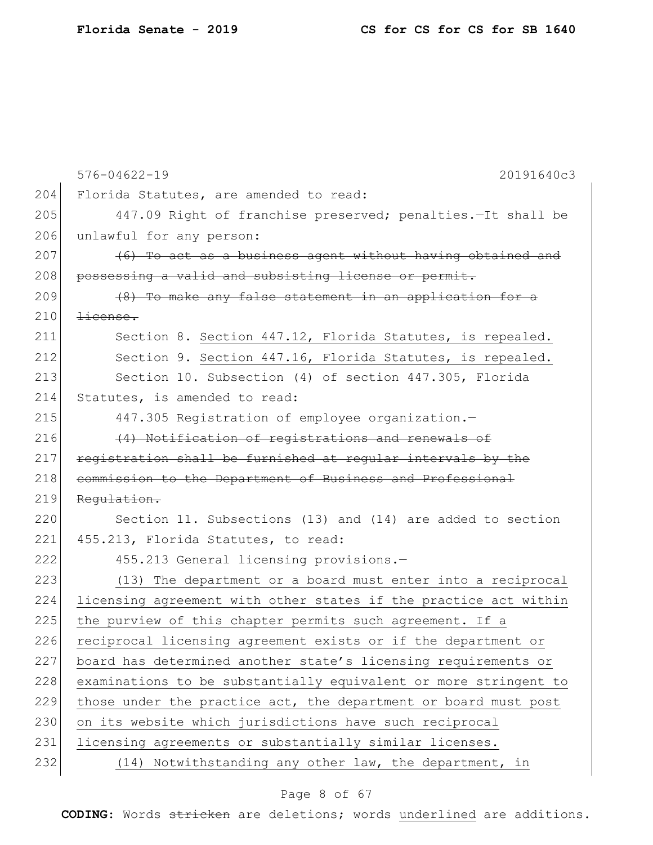|     | $576 - 04622 - 19$<br>20191640c3                                 |
|-----|------------------------------------------------------------------|
| 204 | Florida Statutes, are amended to read:                           |
| 205 | 447.09 Right of franchise preserved; penalties. It shall be      |
| 206 | unlawful for any person:                                         |
| 207 | (6) To act as a business agent without having obtained and       |
| 208 | possessing a valid and subsisting license or permit.             |
| 209 | (8) To make any false statement in an application for a          |
| 210 | $\pm i$ cense.                                                   |
| 211 | Section 8. Section 447.12, Florida Statutes, is repealed.        |
| 212 | Section 9. Section 447.16, Florida Statutes, is repealed.        |
| 213 | Section 10. Subsection (4) of section 447.305, Florida           |
| 214 | Statutes, is amended to read:                                    |
| 215 | 447.305 Registration of employee organization.-                  |
| 216 | (4) Notification of registrations and renewals of                |
| 217 | registration shall be furnished at regular intervals by the      |
| 218 | commission to the Department of Business and Professional        |
| 219 | Regulation.                                                      |
| 220 | Section 11. Subsections (13) and (14) are added to section       |
| 221 | 455.213, Florida Statutes, to read:                              |
| 222 | 455.213 General licensing provisions.-                           |
| 223 | (13) The department or a board must enter into a reciprocal      |
| 224 | licensing agreement with other states if the practice act within |
| 225 | the purview of this chapter permits such agreement. If a         |
| 226 | reciprocal licensing agreement exists or if the department or    |
| 227 | board has determined another state's licensing requirements or   |
| 228 | examinations to be substantially equivalent or more stringent to |
| 229 | those under the practice act, the department or board must post  |
| 230 | on its website which jurisdictions have such reciprocal          |
| 231 | licensing agreements or substantially similar licenses.          |
| 232 | (14) Notwithstanding any other law, the department, in           |

# Page 8 of 67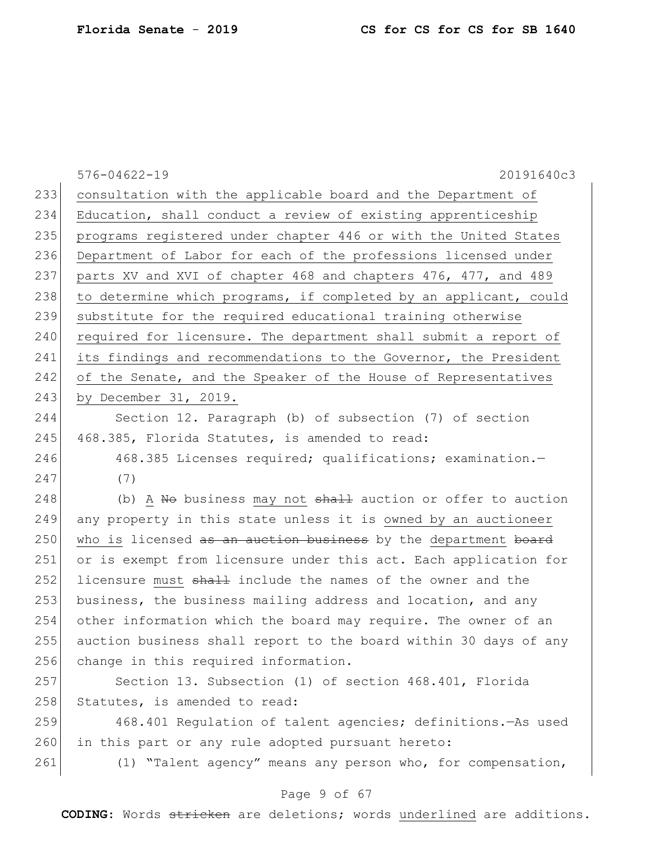|     | $576 - 04622 - 19$<br>20191640c3                                 |
|-----|------------------------------------------------------------------|
| 233 | consultation with the applicable board and the Department of     |
| 234 | Education, shall conduct a review of existing apprenticeship     |
| 235 | programs registered under chapter 446 or with the United States  |
| 236 | Department of Labor for each of the professions licensed under   |
| 237 | parts XV and XVI of chapter 468 and chapters 476, 477, and 489   |
| 238 | to determine which programs, if completed by an applicant, could |
| 239 | substitute for the required educational training otherwise       |
| 240 | required for licensure. The department shall submit a report of  |
| 241 | its findings and recommendations to the Governor, the President  |
| 242 | of the Senate, and the Speaker of the House of Representatives   |
| 243 | by December 31, 2019.                                            |
| 244 | Section 12. Paragraph (b) of subsection (7) of section           |
| 245 | 468.385, Florida Statutes, is amended to read:                   |
| 246 | 468.385 Licenses required; qualifications; examination.-         |
| 247 | (7)                                                              |
| 248 | (b) A No business may not shall auction or offer to auction      |
| 249 | any property in this state unless it is owned by an auctioneer   |
| 250 | who is licensed as an auction business by the department board   |
| 251 | or is exempt from licensure under this act. Each application for |
| 252 | licensure must shall include the names of the owner and the      |
| 253 | business, the business mailing address and location, and any     |
| 254 | other information which the board may require. The owner of an   |
| 255 | auction business shall report to the board within 30 days of any |
| 256 | change in this required information.                             |
| 257 | Section 13. Subsection (1) of section 468.401, Florida           |
| 258 | Statutes, is amended to read:                                    |
| 259 | 468.401 Regulation of talent agencies; definitions.-As used      |
| 260 | in this part or any rule adopted pursuant hereto:                |
| 261 | (1) "Talent agency" means any person who, for compensation,      |
|     |                                                                  |

# Page 9 of 67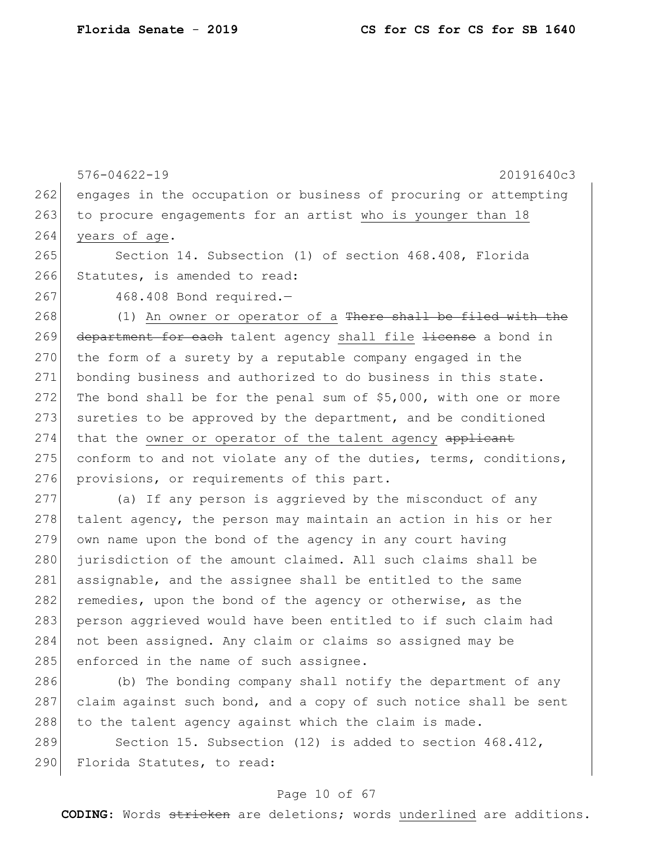|     | $576 - 04622 - 19$<br>20191640c3                                       |
|-----|------------------------------------------------------------------------|
| 262 | engages in the occupation or business of procuring or attempting       |
| 263 | to procure engagements for an artist who is younger than 18            |
| 264 | years of age.                                                          |
| 265 | Section 14. Subsection (1) of section 468.408, Florida                 |
| 266 | Statutes, is amended to read:                                          |
| 267 | 468.408 Bond required.-                                                |
| 268 | (1) An owner or operator of a <del>There shall be filed with the</del> |
| 269 | department for each talent agency shall file Hicense a bond in         |
| 270 | the form of a surety by a reputable company engaged in the             |
| 271 | bonding business and authorized to do business in this state.          |
| 272 | The bond shall be for the penal sum of \$5,000, with one or more       |
| 273 | sureties to be approved by the department, and be conditioned          |
| 274 | that the owner or operator of the talent agency applicant              |
| 275 | conform to and not violate any of the duties, terms, conditions,       |
| 276 | provisions, or requirements of this part.                              |
| 277 | (a) If any person is aggrieved by the misconduct of any                |
| 278 | talent agency, the person may maintain an action in his or her         |
| 279 | own name upon the bond of the agency in any court having               |
| 280 | jurisdiction of the amount claimed. All such claims shall be           |
| 281 | assignable, and the assignee shall be entitled to the same             |
| 282 | remedies, upon the bond of the agency or otherwise, as the             |
| 283 | person aggrieved would have been entitled to if such claim had         |
| 284 | not been assigned. Any claim or claims so assigned may be              |
| 285 | enforced in the name of such assignee.                                 |
|     |                                                                        |

286 (b) The bonding company shall notify the department of any 287 claim against such bond, and a copy of such notice shall be sent  $288$  to the talent agency against which the claim is made.

289 Section 15. Subsection (12) is added to section 468.412, 290 Florida Statutes, to read:

### Page 10 of 67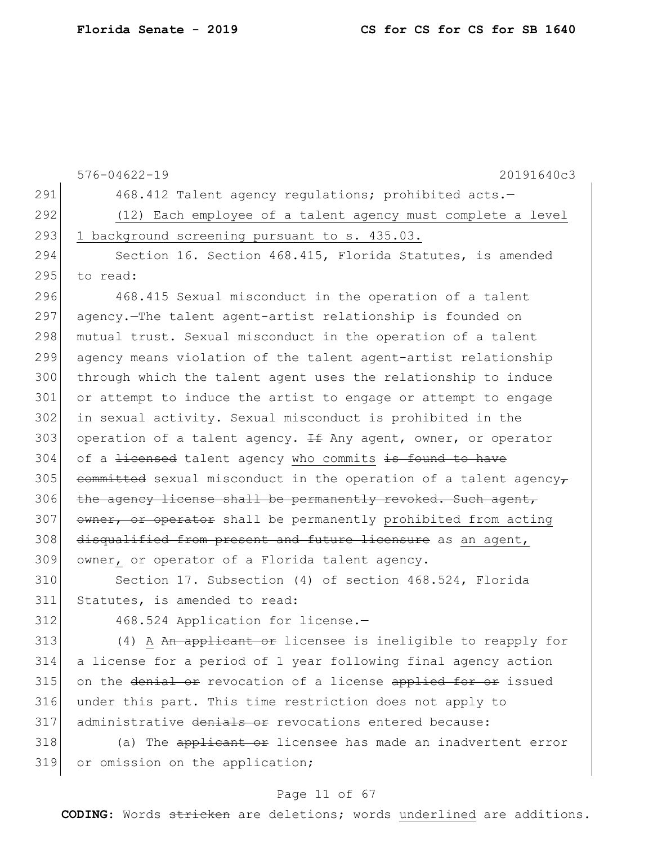|     | $576 - 04622 - 19$<br>20191640c3                                     |
|-----|----------------------------------------------------------------------|
| 291 | 468.412 Talent agency regulations; prohibited acts.-                 |
| 292 | (12) Each employee of a talent agency must complete a level          |
| 293 | 1 background screening pursuant to s. 435.03.                        |
| 294 | Section 16. Section 468.415, Florida Statutes, is amended            |
| 295 | to read:                                                             |
| 296 | 468.415 Sexual misconduct in the operation of a talent               |
| 297 | agency. The talent agent-artist relationship is founded on           |
| 298 | mutual trust. Sexual misconduct in the operation of a talent         |
| 299 | agency means violation of the talent agent-artist relationship       |
| 300 | through which the talent agent uses the relationship to induce       |
| 301 | or attempt to induce the artist to engage or attempt to engage       |
| 302 | in sexual activity. Sexual misconduct is prohibited in the           |
| 303 | operation of a talent agency. $H \oplus N$ agent, owner, or operator |
| 304 | of a <del>licensed</del> talent agency who commits is found to have  |
| 305 | committed sexual misconduct in the operation of a talent agency-     |
| 306 | the agency license shall be permanently revoked. Such agent,         |
| 307 | owner, or operator shall be permanently prohibited from acting       |
| 308 | disqualified from present and future licensure as an agent,          |
| 309 | owner, or operator of a Florida talent agency.                       |
| 310 | Section 17. Subsection (4) of section 468.524, Florida               |
| 311 | Statutes, is amended to read:                                        |
| 312 | 468.524 Application for license.-                                    |
| 313 | (4) A An applicant or licensee is ineligible to reapply for          |
| 314 | a license for a period of 1 year following final agency action       |
| 315 | on the denial or revocation of a license applied for or issued       |
| 316 | under this part. This time restriction does not apply to             |
| 317 | administrative denials or revocations entered because:               |
| 318 | (a) The applicant or licensee has made an inadvertent error          |
| 319 | or omission on the application;                                      |

# Page 11 of 67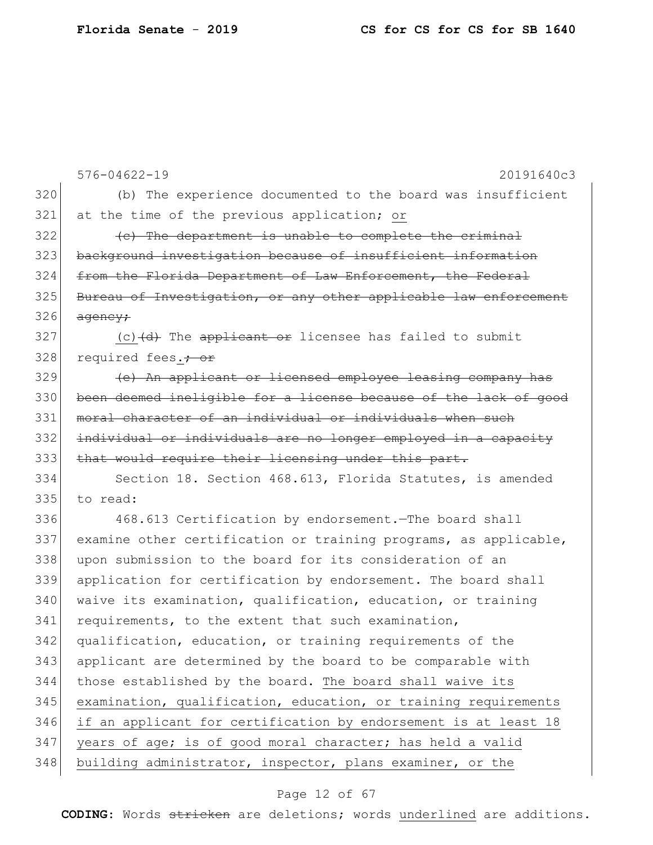576-04622-19 20191640c3 320 (b) The experience documented to the board was insufficient 321 at the time of the previous application; or  $322$   $\left($  c) The department is unable to complete the criminal 323 background investigation because of insufficient information 324 from the Florida Department of Law Enforcement, the Federal 325 Bureau of Investigation, or any other applicable law enforcement  $326$  agency:  $327$  (c)  $(d)$  The applicant or licensee has failed to submit 328 required fees.<del>; or</del> 329 **(e)** An applicant or licensed employee leasing company has 330 been deemed ineligible for a license because of the lack of good 331 moral character of an individual or individuals when such 332 individual or individuals are no longer employed in a capacity 333 that would require their licensing under this part. 334 Section 18. Section 468.613, Florida Statutes, is amended 335 to read: 336 468.613 Certification by endorsement.—The board shall 337 examine other certification or training programs, as applicable, 338 upon submission to the board for its consideration of an 339 application for certification by endorsement. The board shall 340 waive its examination, qualification, education, or training 341 requirements, to the extent that such examination, 342 qualification, education, or training requirements of the 343 applicant are determined by the board to be comparable with 344 those established by the board. The board shall waive its 345 examination, qualification, education, or training requirements 346 if an applicant for certification by endorsement is at least 18 347 years of age; is of good moral character; has held a valid 348 building administrator, inspector, plans examiner, or the

#### Page 12 of 67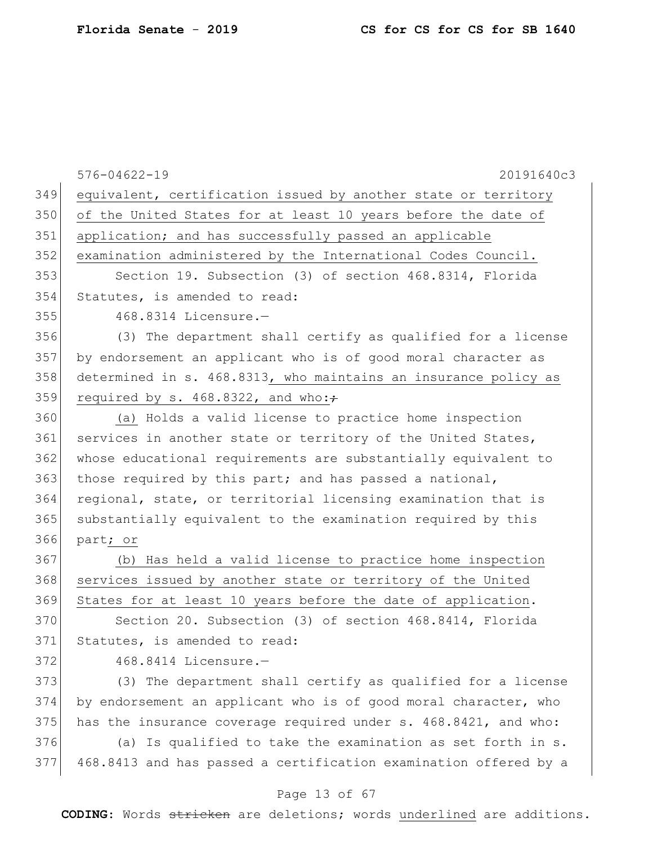|     | $576 - 04622 - 19$<br>20191640c3                                 |
|-----|------------------------------------------------------------------|
| 349 | equivalent, certification issued by another state or territory   |
| 350 | of the United States for at least 10 years before the date of    |
| 351 | application; and has successfully passed an applicable           |
| 352 |                                                                  |
| 353 | examination administered by the International Codes Council.     |
|     | Section 19. Subsection (3) of section 468.8314, Florida          |
| 354 | Statutes, is amended to read:                                    |
| 355 | 468.8314 Licensure.-                                             |
| 356 | (3) The department shall certify as qualified for a license      |
| 357 | by endorsement an applicant who is of good moral character as    |
| 358 | determined in s. 468.8313, who maintains an insurance policy as  |
| 359 | required by s. 468.8322, and who:+                               |
| 360 | (a) Holds a valid license to practice home inspection            |
| 361 | services in another state or territory of the United States,     |
| 362 | whose educational requirements are substantially equivalent to   |
| 363 | those required by this part; and has passed a national,          |
| 364 | regional, state, or territorial licensing examination that is    |
| 365 | substantially equivalent to the examination required by this     |
| 366 | part; or                                                         |
| 367 | (b) Has held a valid license to practice home inspection         |
| 368 | services issued by another state or territory of the United      |
| 369 | States for at least 10 years before the date of application.     |
| 370 | Section 20. Subsection (3) of section 468.8414, Florida          |
| 371 | Statutes, is amended to read:                                    |
| 372 | 468.8414 Licensure.-                                             |
| 373 | (3) The department shall certify as qualified for a license      |
| 374 | by endorsement an applicant who is of good moral character, who  |
| 375 | has the insurance coverage required under s. 468.8421, and who:  |
| 376 | (a) Is qualified to take the examination as set forth in s.      |
| 377 | 468.8413 and has passed a certification examination offered by a |
|     |                                                                  |

# Page 13 of 67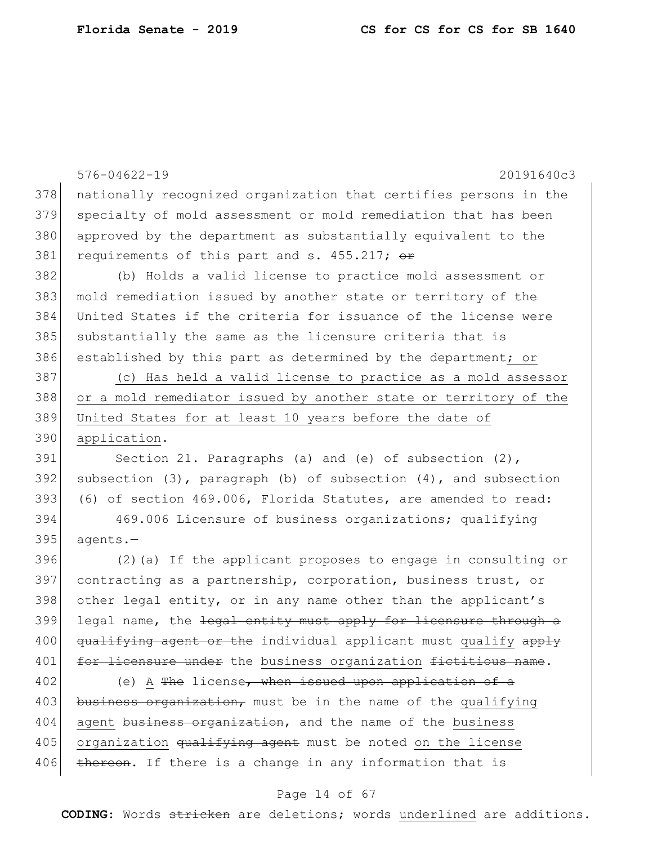|     | $576 - 04622 - 19$<br>20191640c3                                        |
|-----|-------------------------------------------------------------------------|
| 378 | nationally recognized organization that certifies persons in the        |
| 379 | specialty of mold assessment or mold remediation that has been          |
| 380 | approved by the department as substantially equivalent to the           |
| 381 | requirements of this part and s. 455.217; or                            |
| 382 | (b) Holds a valid license to practice mold assessment or                |
| 383 | mold remediation issued by another state or territory of the            |
| 384 | United States if the criteria for issuance of the license were          |
| 385 | substantially the same as the licensure criteria that is                |
| 386 | established by this part as determined by the department; or            |
| 387 | (c) Has held a valid license to practice as a mold assessor             |
| 388 | or a mold remediator issued by another state or territory of the        |
| 389 | United States for at least 10 years before the date of                  |
| 390 | application.                                                            |
| 391 | Section 21. Paragraphs (a) and (e) of subsection (2),                   |
| 392 | subsection $(3)$ , paragraph $(b)$ of subsection $(4)$ , and subsection |
| 393 | (6) of section 469.006, Florida Statutes, are amended to read:          |
| 394 | 469.006 Licensure of business organizations; qualifying                 |
| 395 | agents.-                                                                |
| 396 | $(2)$ (a) If the applicant proposes to engage in consulting or          |
| 397 | contracting as a partnership, corporation, business trust, or           |
| 398 | other legal entity, or in any name other than the applicant's           |
| 399 | legal name, the legal entity must apply for licensure through a         |
| 400 | qualifying agent or the individual applicant must qualify apply         |
| 401 | for licensure under the business organization fictitious name.          |
| 402 | (e) A The license, when issued upon application of a                    |
| 403 | business organization, must be in the name of the qualifying            |
| 404 | agent business organization, and the name of the business               |
| 405 | organization qualifying agent must be noted on the license              |
| 406 | thereon. If there is a change in any information that is                |

# Page 14 of 67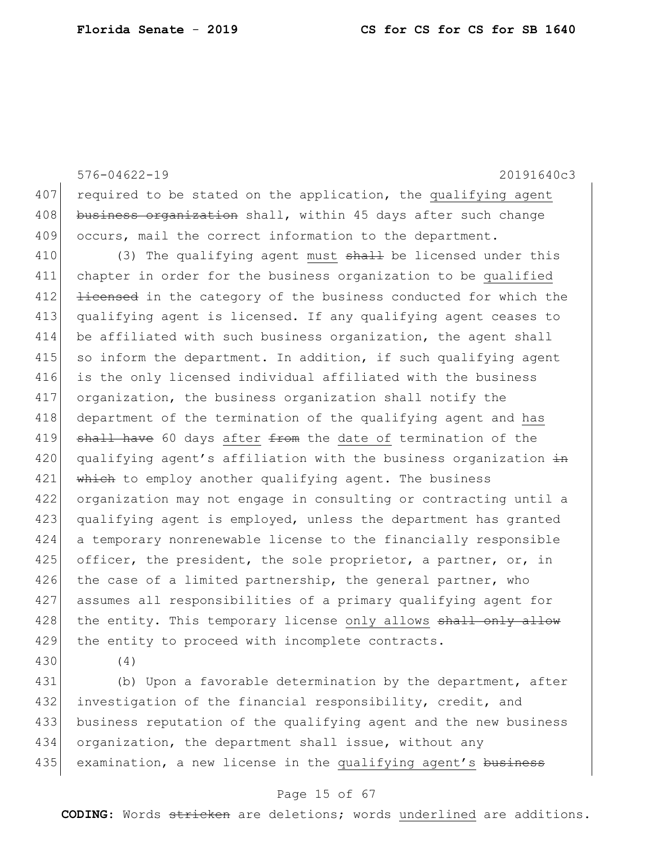576-04622-19 20191640c3 407 required to be stated on the application, the qualifying agent 408 business organization shall, within 45 days after such change 409 occurs, mail the correct information to the department. 410 (3) The qualifying agent must shall be licensed under this 411 chapter in order for the business organization to be qualified 412 <del>licensed</del> in the category of the business conducted for which the 413 qualifying agent is licensed. If any qualifying agent ceases to 414 be affiliated with such business organization, the agent shall  $415$  so inform the department. In addition, if such qualifying agent 416 is the only licensed individual affiliated with the business 417 organization, the business organization shall notify the 418 department of the termination of the qualifying agent and has 419 shall have 60 days after from the date of termination of the 420 qualifying agent's affiliation with the business organization  $\pm n$ 421 which to employ another qualifying agent. The business 422 organization may not engage in consulting or contracting until a 423 qualifying agent is employed, unless the department has granted 424 a temporary nonrenewable license to the financially responsible 425 officer, the president, the sole proprietor, a partner, or, in 426 the case of a limited partnership, the general partner, who 427 assumes all responsibilities of a primary qualifying agent for 428 the entity. This temporary license only allows shall only allow 429 the entity to proceed with incomplete contracts.

430 (4)

431 (b) Upon a favorable determination by the department, after 432 investigation of the financial responsibility, credit, and 433 business reputation of the qualifying agent and the new business 434 organization, the department shall issue, without any 435 examination, a new license in the qualifying agent's business

#### Page 15 of 67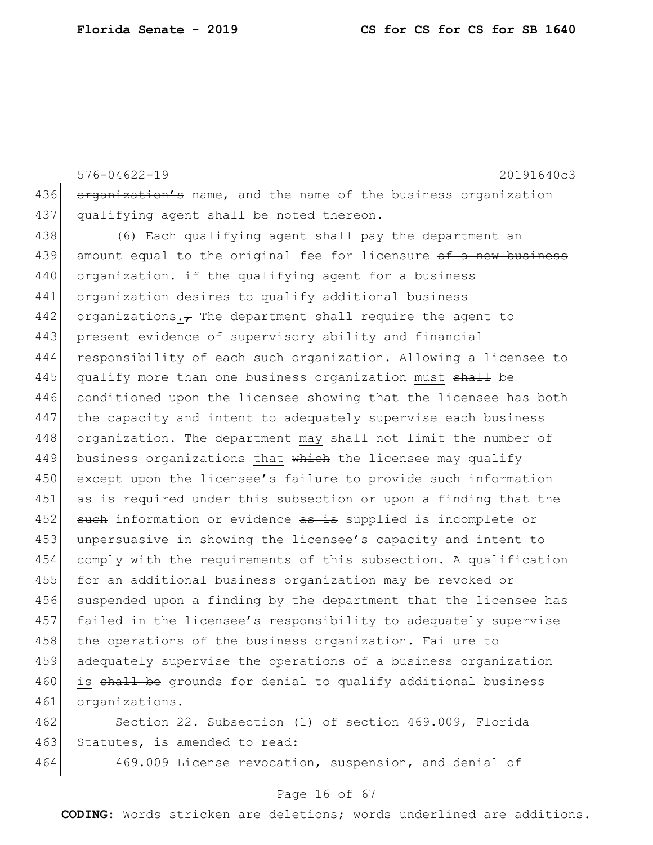576-04622-19 20191640c3 436 organization's name, and the name of the business organization 437  $qualitying agent shall be noted the region.$ 438 (6) Each qualifying agent shall pay the department an 439 amount equal to the original fee for licensure of a new business 440 organization. if the qualifying agent for a business 441 organization desires to qualify additional business 442 organizations. $\tau$  The department shall require the agent to 443 present evidence of supervisory ability and financial 444 responsibility of each such organization. Allowing a licensee to 445 qualify more than one business organization must shall be 446 conditioned upon the licensee showing that the licensee has both 447 the capacity and intent to adequately supervise each business 448 organization. The department may shall not limit the number of 449 business organizations that  $\frac{1}{2}$  which the licensee may qualify 450 except upon the licensee's failure to provide such information 451 as is required under this subsection or upon a finding that the 452 such information or evidence as is supplied is incomplete or 453 unpersuasive in showing the licensee's capacity and intent to 454 comply with the requirements of this subsection. A qualification 455 for an additional business organization may be revoked or 456 suspended upon a finding by the department that the licensee has 457 failed in the licensee's responsibility to adequately supervise 458 the operations of the business organization. Failure to 459 adequately supervise the operations of a business organization 460 is shall be grounds for denial to qualify additional business 461 organizations. 462 Section 22. Subsection (1) of section 469.009, Florida

463 Statutes, is amended to read:

464 469.009 License revocation, suspension, and denial of

#### Page 16 of 67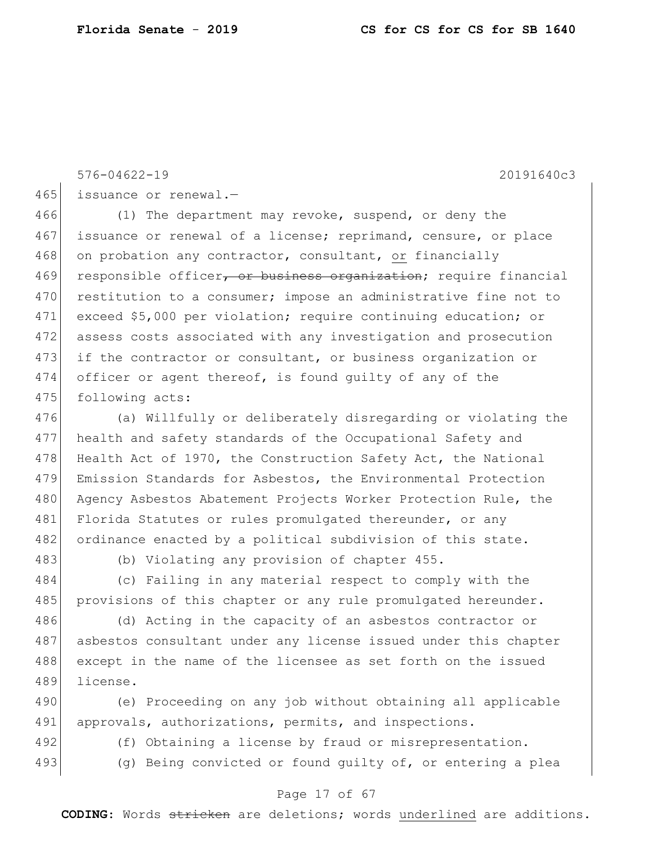576-04622-19 20191640c3

465 issuance or renewal.-

466 (1) The department may revoke, suspend, or deny the 467 issuance or renewal of a license; reprimand, censure, or place 468 on probation any contractor, consultant, or financially 469 responsible officer, or business organization; require financial 470 restitution to a consumer; impose an administrative fine not to 471 exceed \$5,000 per violation; require continuing education; or 472 assess costs associated with any investigation and prosecution 473 if the contractor or consultant, or business organization or 474 officer or agent thereof, is found guilty of any of the 475 following acts:

476 (a) Willfully or deliberately disregarding or violating the 477 health and safety standards of the Occupational Safety and 478 Health Act of 1970, the Construction Safety Act, the National 479 Emission Standards for Asbestos, the Environmental Protection 480 Agency Asbestos Abatement Projects Worker Protection Rule, the 481 Florida Statutes or rules promulgated thereunder, or any 482 ordinance enacted by a political subdivision of this state.

483 (b) Violating any provision of chapter 455.

484 (c) Failing in any material respect to comply with the 485 provisions of this chapter or any rule promulgated hereunder.

486 (d) Acting in the capacity of an asbestos contractor or 487 asbestos consultant under any license issued under this chapter 488 except in the name of the licensee as set forth on the issued 489 license.

490 (e) Proceeding on any job without obtaining all applicable 491 approvals, authorizations, permits, and inspections.

492 (f) Obtaining a license by fraud or misrepresentation.

493 (g) Being convicted or found guilty of, or entering a plea

#### Page 17 of 67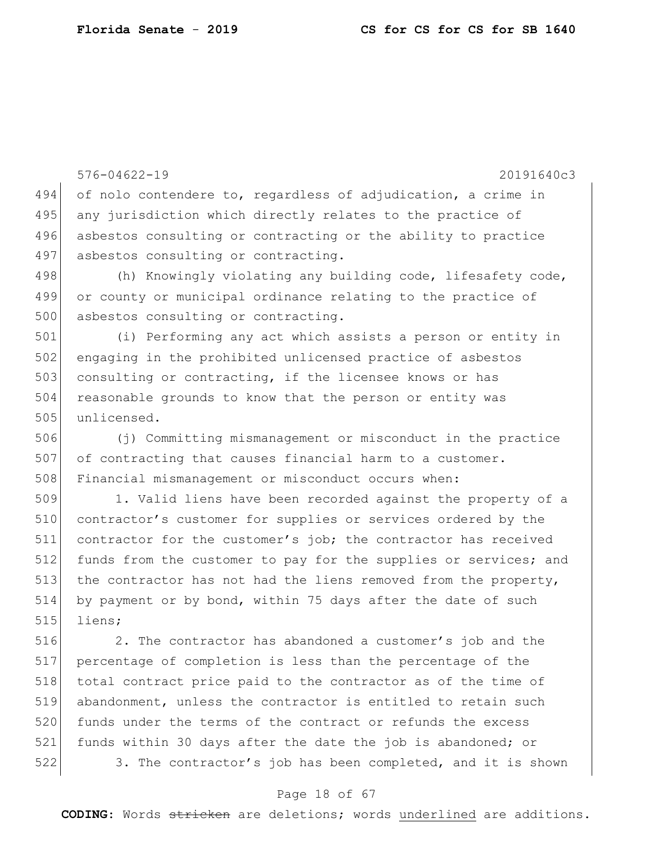576-04622-19 20191640c3 494 of nolo contendere to, regardless of adjudication, a crime in 495 any jurisdiction which directly relates to the practice of 496 asbestos consulting or contracting or the ability to practice 497 asbestos consulting or contracting. 498 (h) Knowingly violating any building code, lifesafety code, 499 or county or municipal ordinance relating to the practice of 500 asbestos consulting or contracting. 501 (i) Performing any act which assists a person or entity in 502 engaging in the prohibited unlicensed practice of asbestos 503 consulting or contracting, if the licensee knows or has 504 reasonable grounds to know that the person or entity was 505 unlicensed. 506 (j) Committing mismanagement or misconduct in the practice 507 of contracting that causes financial harm to a customer. 508 Financial mismanagement or misconduct occurs when: 509 1. Valid liens have been recorded against the property of a 510 contractor's customer for supplies or services ordered by the 511 contractor for the customer's job; the contractor has received 512 funds from the customer to pay for the supplies or services; and 513 the contractor has not had the liens removed from the property, 514 by payment or by bond, within 75 days after the date of such 515 liens; 516 2. The contractor has abandoned a customer's job and the 517 percentage of completion is less than the percentage of the 518 total contract price paid to the contractor as of the time of 519 abandonment, unless the contractor is entitled to retain such 520 funds under the terms of the contract or refunds the excess 521 funds within 30 days after the date the job is abandoned; or

Page 18 of 67

522 3. The contractor's job has been completed, and it is shown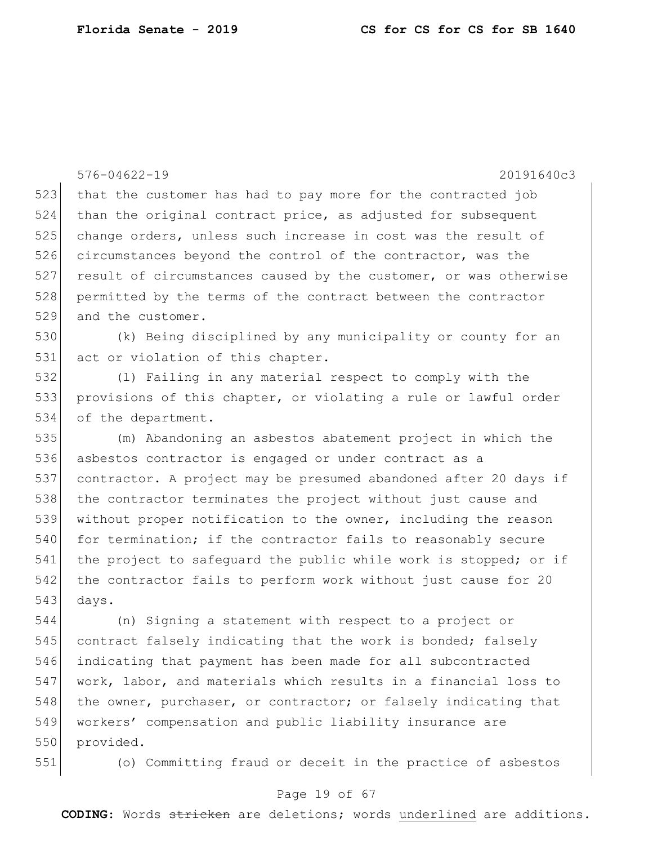576-04622-19 20191640c3 523 that the customer has had to pay more for the contracted job 524 than the original contract price, as adjusted for subsequent 525 change orders, unless such increase in cost was the result of 526 circumstances beyond the control of the contractor, was the 527 result of circumstances caused by the customer, or was otherwise 528 permitted by the terms of the contract between the contractor 529 and the customer. 530 (k) Being disciplined by any municipality or county for an 531 act or violation of this chapter. 532 (l) Failing in any material respect to comply with the 533 provisions of this chapter, or violating a rule or lawful order 534 of the department. 535 (m) Abandoning an asbestos abatement project in which the 536 asbestos contractor is engaged or under contract as a 537 contractor. A project may be presumed abandoned after 20 days if 538 the contractor terminates the project without just cause and 539 without proper notification to the owner, including the reason 540 for termination; if the contractor fails to reasonably secure 541 the project to safeguard the public while work is stopped; or if 542 the contractor fails to perform work without just cause for 20 543 days. 544 (n) Signing a statement with respect to a project or 545 contract falsely indicating that the work is bonded; falsely 546 indicating that payment has been made for all subcontracted 547 work, labor, and materials which results in a financial loss to 548 the owner, purchaser, or contractor; or falsely indicating that 549 workers' compensation and public liability insurance are

550 provided.

551 (o) Committing fraud or deceit in the practice of asbestos

### Page 19 of 67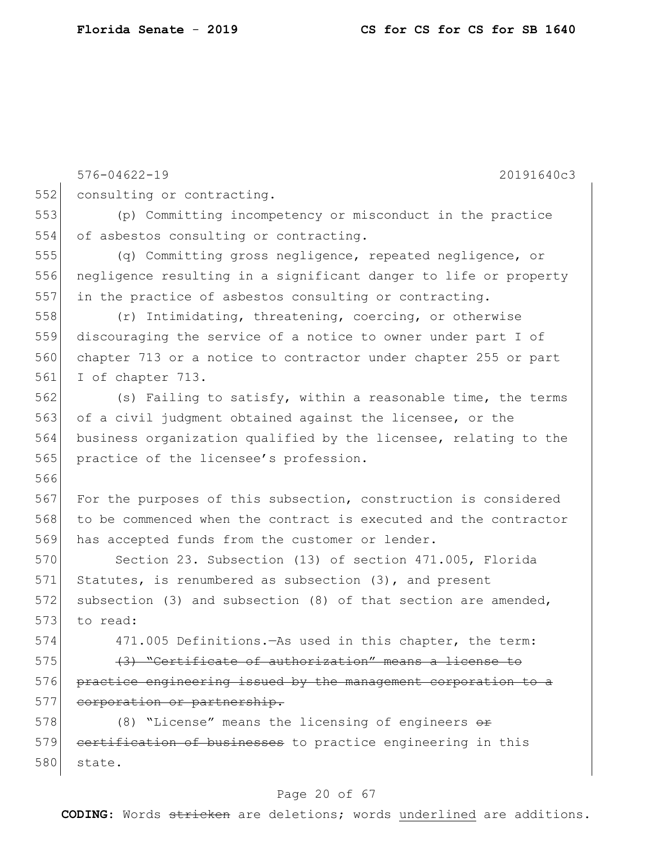576-04622-19 20191640c3 552 consulting or contracting. 553 (p) Committing incompetency or misconduct in the practice 554 of asbestos consulting or contracting. 555 (q) Committing gross negligence, repeated negligence, or 556 negligence resulting in a significant danger to life or property 557 in the practice of asbestos consulting or contracting. 558 (r) Intimidating, threatening, coercing, or otherwise 559 discouraging the service of a notice to owner under part I of 560 chapter 713 or a notice to contractor under chapter 255 or part 561 I of chapter 713. 562 (s) Failing to satisfy, within a reasonable time, the terms 563 of a civil judgment obtained against the licensee, or the 564 business organization qualified by the licensee, relating to the 565 practice of the licensee's profession. 566 567 For the purposes of this subsection, construction is considered 568 to be commenced when the contract is executed and the contractor 569 has accepted funds from the customer or lender. 570 Section 23. Subsection (13) of section 471.005, Florida 571 Statutes, is renumbered as subsection (3), and present 572 subsection (3) and subsection (8) of that section are amended, 573 to read: 574 471.005 Definitions.—As used in this chapter, the term: 575 (3) "Certificate of authorization" means a license to 576 practice engineering issued by the management corporation to a 577 corporation or partnership. 578 (8) "License" means the licensing of engineers or 579 certification of businesses to practice engineering in this 580 state.

#### Page 20 of 67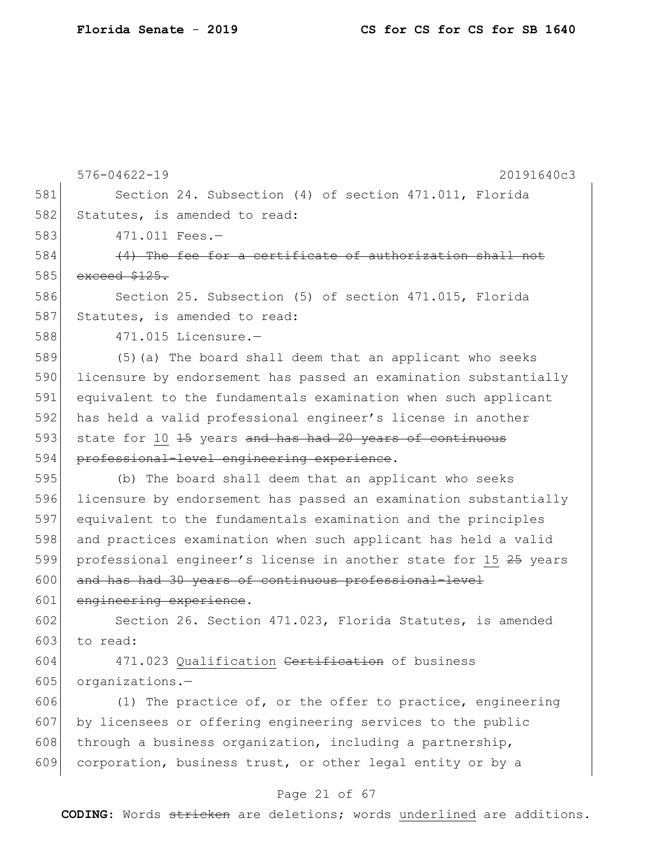576-04622-19 20191640c3 Page 21 of 67 581 Section 24. Subsection (4) of section 471.011, Florida 582 Statutes, is amended to read: 583 471.011 Fees.— 584 (4) The fee for a certificate of authorization shall not  $585$  exceed  $$125.$ 586 Section 25. Subsection (5) of section 471.015, Florida 587 Statutes, is amended to read: 588 471.015 Licensure.— 589 (5)(a) The board shall deem that an applicant who seeks 590 licensure by endorsement has passed an examination substantially 591 equivalent to the fundamentals examination when such applicant 592 has held a valid professional engineer's license in another 593 state for 10 <del>15</del> years and has had 20 years of continuous 594 professional-level engineering experience. 595 (b) The board shall deem that an applicant who seeks 596 licensure by endorsement has passed an examination substantially 597 equivalent to the fundamentals examination and the principles 598 and practices examination when such applicant has held a valid 599 professional engineer's license in another state for 15 25 years 600 and has had 30 years of continuous professional-level 601 engineering experience. 602 Section 26. Section 471.023, Florida Statutes, is amended  $603$  to read: 604 471.023 Qualification Certification of business 605 organizations. $606$  (1) The practice of, or the offer to practice, engineering 607 by licensees or offering engineering services to the public 608 through a business organization, including a partnership, 609 corporation, business trust, or other legal entity or by a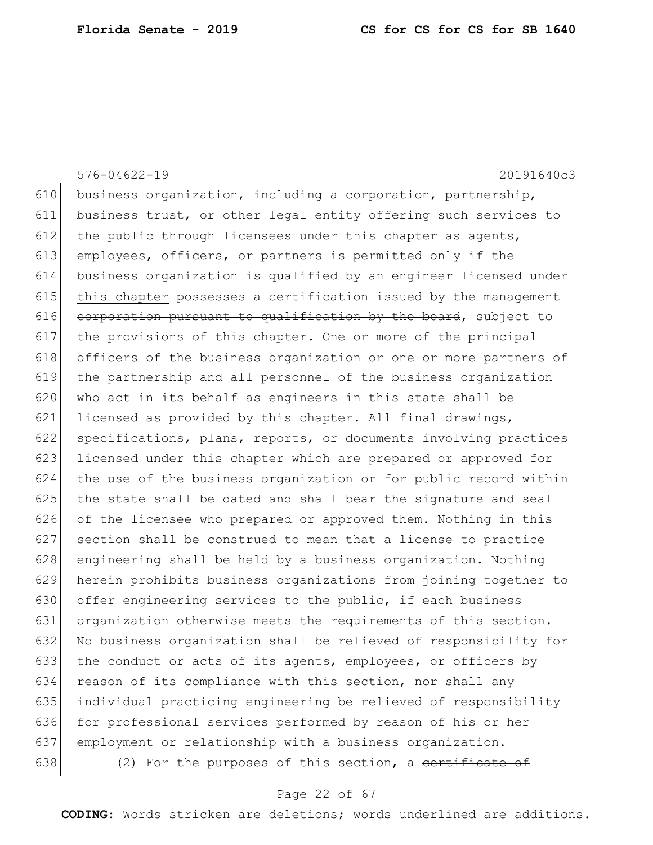576-04622-19 20191640c3 610 business organization, including a corporation, partnership, business trust, or other legal entity offering such services to 612 the public through licensees under this chapter as agents, employees, officers, or partners is permitted only if the business organization is qualified by an engineer licensed under this chapter possesses a certification issued by the management corporation pursuant to qualification by the board, subject to the provisions of this chapter. One or more of the principal officers of the business organization or one or more partners of the partnership and all personnel of the business organization 620 who act in its behalf as engineers in this state shall be 621 licensed as provided by this chapter. All final drawings, specifications, plans, reports, or documents involving practices licensed under this chapter which are prepared or approved for the use of the business organization or for public record within the state shall be dated and shall bear the signature and seal 626 of the licensee who prepared or approved them. Nothing in this 627 section shall be construed to mean that a license to practice 628 engineering shall be held by a business organization. Nothing herein prohibits business organizations from joining together to 630 offer engineering services to the public, if each business organization otherwise meets the requirements of this section. No business organization shall be relieved of responsibility for the conduct or acts of its agents, employees, or officers by reason of its compliance with this section, nor shall any individual practicing engineering be relieved of responsibility 636 for professional services performed by reason of his or her employment or relationship with a business organization.  $(2)$  For the purposes of this section, a <del>certificate of</del>

#### Page 22 of 67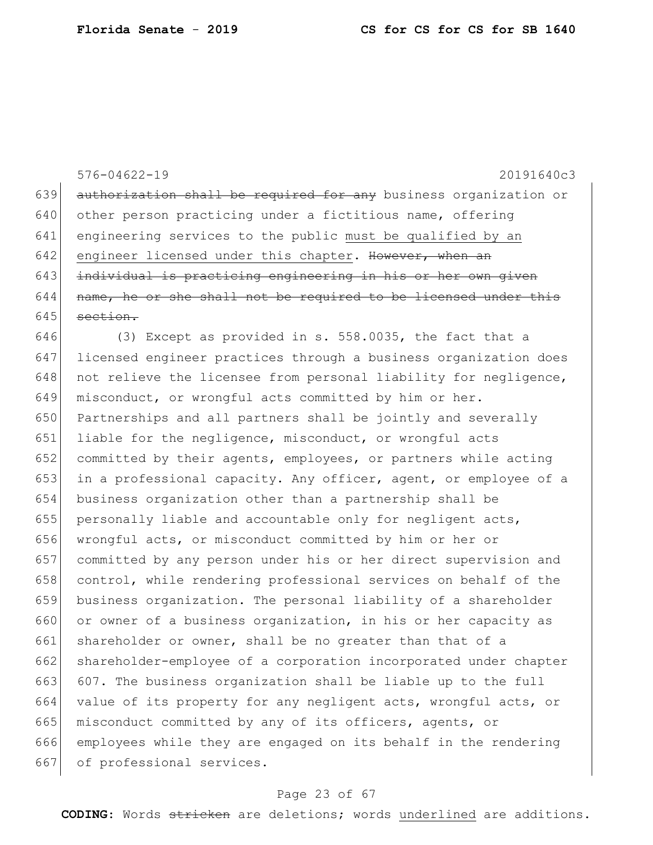576-04622-19 20191640c3 639 authorization shall be required for any business organization or 640 other person practicing under a fictitious name, offering 641 engineering services to the public must be qualified by an 642 engineer licensed under this chapter. However, when an 643 individual is practicing engineering in his or her own given  $644$  name, he or she shall not be required to be licensed under this  $645$  section. 646 (3) Except as provided in s. 558.0035, the fact that a 647 licensed engineer practices through a business organization does 648 not relieve the licensee from personal liability for negligence, 649 misconduct, or wrongful acts committed by him or her. 650 Partnerships and all partners shall be jointly and severally 651 liable for the negligence, misconduct, or wrongful acts 652 committed by their agents, employees, or partners while acting 653 in a professional capacity. Any officer, agent, or employee of a 654 business organization other than a partnership shall be 655 personally liable and accountable only for negligent acts, 656 wrongful acts, or misconduct committed by him or her or 657 committed by any person under his or her direct supervision and 658 control, while rendering professional services on behalf of the 659 business organization. The personal liability of a shareholder 660 or owner of a business organization, in his or her capacity as 661 shareholder or owner, shall be no greater than that of a 662 shareholder-employee of a corporation incorporated under chapter 663 607. The business organization shall be liable up to the full

664 value of its property for any negligent acts, wrongful acts, or 665 misconduct committed by any of its officers, agents, or 666 employees while they are engaged on its behalf in the rendering 667 of professional services.

#### Page 23 of 67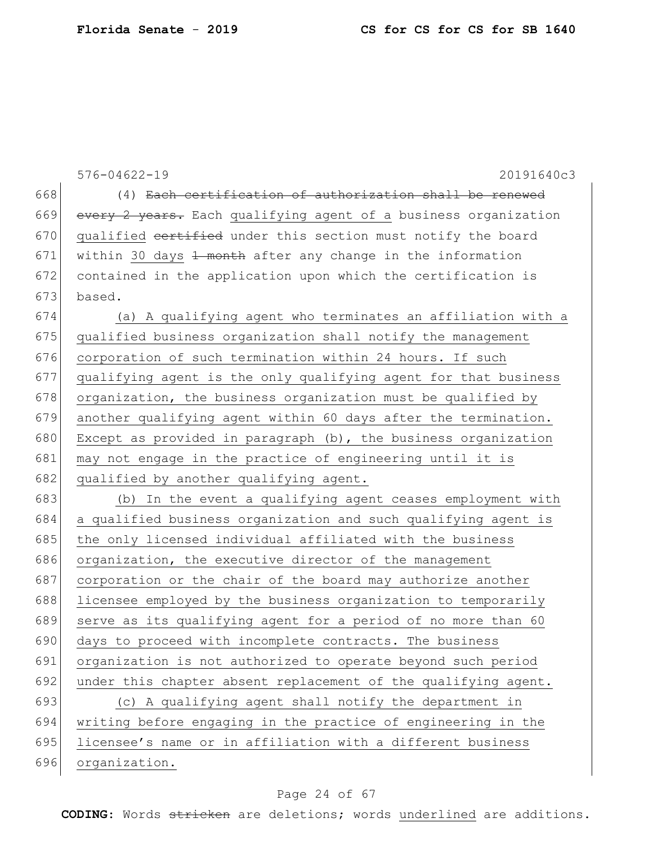|     | $576 - 04622 - 19$<br>20191640c3                                      |
|-----|-----------------------------------------------------------------------|
| 668 | (4) Each certification of authorization shall be renewed              |
| 669 | every 2 years. Each qualifying agent of a business organization       |
| 670 | qualified cortified under this section must notify the board          |
| 671 | within 30 days <del>1 month</del> after any change in the information |
| 672 | contained in the application upon which the certification is          |
| 673 | based.                                                                |
| 674 | (a) A qualifying agent who terminates an affiliation with a           |
| 675 | qualified business organization shall notify the management           |
| 676 | corporation of such termination within 24 hours. If such              |
| 677 | qualifying agent is the only qualifying agent for that business       |
| 678 | organization, the business organization must be qualified by          |
| 679 | another qualifying agent within 60 days after the termination.        |
| 680 | Except as provided in paragraph (b), the business organization        |
| 681 | may not engage in the practice of engineering until it is             |
| 682 | qualified by another qualifying agent.                                |
| 683 | (b) In the event a qualifying agent ceases employment with            |
| 684 | a qualified business organization and such qualifying agent is        |
| 685 | the only licensed individual affiliated with the business             |
| 686 | organization, the executive director of the management                |
| 687 | corporation or the chair of the board may authorize another           |
| 688 | licensee employed by the business organization to temporarily         |
| 689 | serve as its qualifying agent for a period of no more than 60         |
| 690 | days to proceed with incomplete contracts. The business               |
| 691 | organization is not authorized to operate beyond such period          |
| 692 | under this chapter absent replacement of the qualifying agent.        |
| 693 | (c) A qualifying agent shall notify the department in                 |
| 694 | writing before engaging in the practice of engineering in the         |
| 695 | licensee's name or in affiliation with a different business           |
| 696 | organization.                                                         |

# Page 24 of 67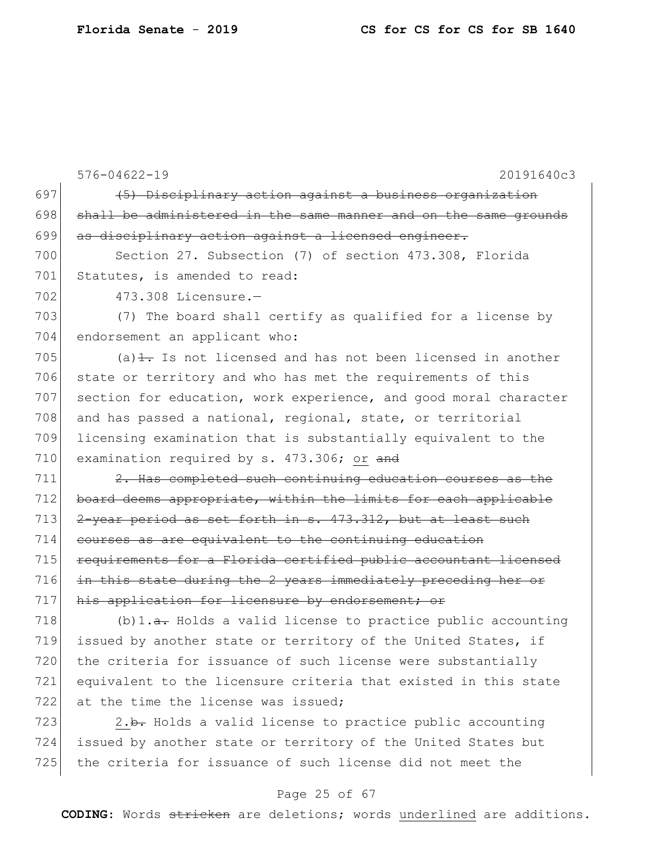576-04622-19 20191640c3 697  $(5)$  Disciplinary action against a business organization  $698$  shall be administered in the same manner and on the same grounds 699 as disciplinary action against a licensed engineer. 700 Section 27. Subsection (7) of section 473.308, Florida 701 Statutes, is amended to read: 702 473.308 Licensure. 703 (7) The board shall certify as qualified for a license by 704 endorsement an applicant who:  $705$  (a) $\frac{1}{1}$ . Is not licensed and has not been licensed in another 706 state or territory and who has met the requirements of this 707 section for education, work experience, and good moral character 708 and has passed a national, regional, state, or territorial 709 licensing examination that is substantially equivalent to the 710 examination required by s.  $473.306$ ; or and  $711$   $2.$  Has completed such continuing education courses as the 712 board deems appropriate, within the limits for each applicable  $713$   $2$ -year period as set forth in s.  $473.312$ , but at least such 714 courses as are equivalent to the continuing education 715 **requirements for a Florida certified public accountant licensed** 716 in this state during the 2 years immediately preceding her or 717 his application for licensure by endorsement; or 718 (b)1.<del>a.</del> Holds a valid license to practice public accounting 719 issued by another state or territory of the United States, if 720 the criteria for issuance of such license were substantially 721 equivalent to the licensure criteria that existed in this state 722 at the time the license was issued: 723  $\vert$  2.b. Holds a valid license to practice public accounting 724 issued by another state or territory of the United States but

#### Page 25 of 67

725 the criteria for issuance of such license did not meet the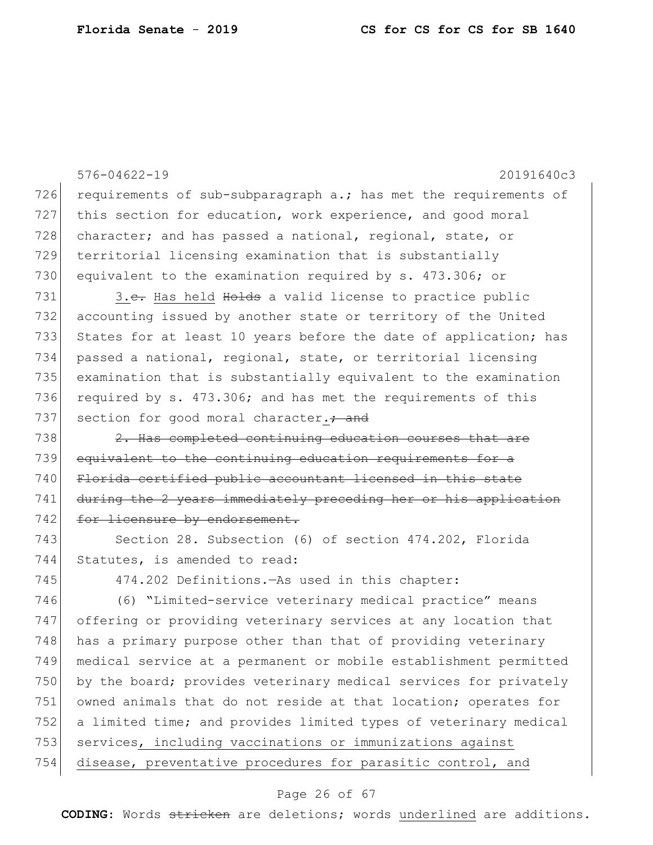576-04622-19 20191640c3 726 requirements of sub-subparagraph a.; has met the requirements of 727 this section for education, work experience, and good moral 728 character; and has passed a national, regional, state, or 729 territorial licensing examination that is substantially 730 equivalent to the examination required by s. 473.306; or 731 3.<del>c.</del> Has held Holds a valid license to practice public 732 accounting issued by another state or territory of the United 733 States for at least 10 years before the date of application; has 734 passed a national, regional, state, or territorial licensing 735 examination that is substantially equivalent to the examination 736 required by s. 473.306; and has met the requirements of this 737 section for good moral character. + and 738 2. Has completed continuing education courses that are 739 equivalent to the continuing education requirements for a 740 Florida certified public accountant licensed in this state 741 during the 2 years immediately preceding her or his application 742 for licensure by endorsement. 743 Section 28. Subsection (6) of section 474.202, Florida 744 Statutes, is amended to read: 745 474.202 Definitions.—As used in this chapter: 746 (6) "Limited-service veterinary medical practice" means 747 offering or providing veterinary services at any location that 748 has a primary purpose other than that of providing veterinary 749 medical service at a permanent or mobile establishment permitted 750 by the board; provides veterinary medical services for privately 751 owned animals that do not reside at that location; operates for 752 a limited time; and provides limited types of veterinary medical 753 services, including vaccinations or immunizations against 754 disease, preventative procedures for parasitic control, and

#### Page 26 of 67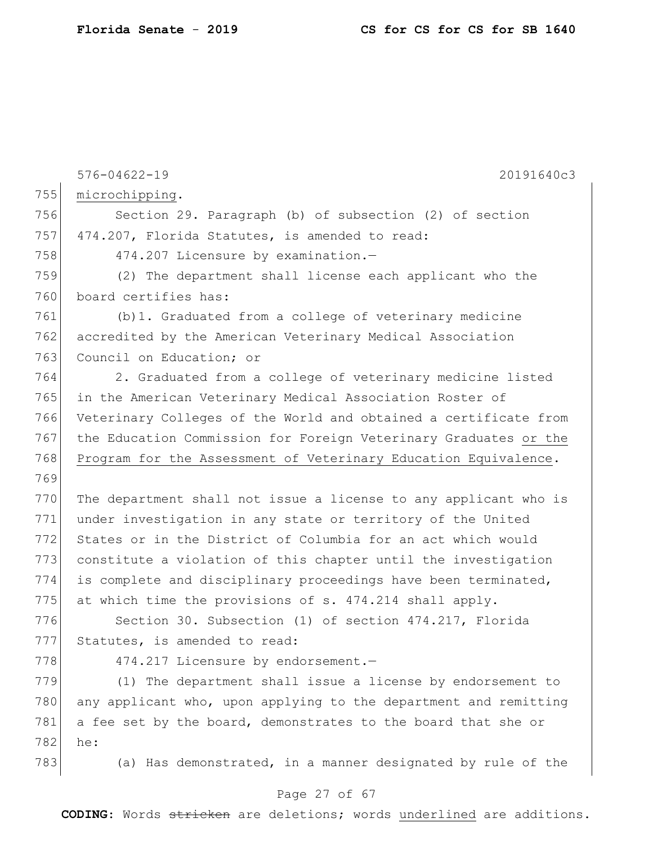|     | $576 - 04622 - 19$<br>20191640c3                                                |
|-----|---------------------------------------------------------------------------------|
| 755 | microchipping.                                                                  |
| 756 | Section 29. Paragraph (b) of subsection (2) of section                          |
| 757 | 474.207, Florida Statutes, is amended to read:                                  |
| 758 |                                                                                 |
|     | 474.207 Licensure by examination.-                                              |
| 759 | (2) The department shall license each applicant who the<br>board certifies has: |
| 760 |                                                                                 |
| 761 | (b) 1. Graduated from a college of veterinary medicine                          |
| 762 | accredited by the American Veterinary Medical Association                       |
| 763 | Council on Education; or                                                        |
| 764 | 2. Graduated from a college of veterinary medicine listed                       |
| 765 | in the American Veterinary Medical Association Roster of                        |
| 766 | Veterinary Colleges of the World and obtained a certificate from                |
| 767 | the Education Commission for Foreign Veterinary Graduates or the                |
| 768 | Program for the Assessment of Veterinary Education Equivalence.                 |
| 769 |                                                                                 |
| 770 | The department shall not issue a license to any applicant who is                |
| 771 | under investigation in any state or territory of the United                     |
| 772 | States or in the District of Columbia for an act which would                    |
| 773 | constitute a violation of this chapter until the investigation                  |
| 774 | is complete and disciplinary proceedings have been terminated,                  |
| 775 | at which time the provisions of s. 474.214 shall apply.                         |
| 776 | Section 30. Subsection (1) of section 474.217, Florida                          |
| 777 | Statutes, is amended to read:                                                   |
| 778 | 474.217 Licensure by endorsement.-                                              |
| 779 | (1) The department shall issue a license by endorsement to                      |
| 780 | any applicant who, upon applying to the department and remitting                |
| 781 | a fee set by the board, demonstrates to the board that she or                   |
| 782 | he:                                                                             |
| 783 | (a) Has demonstrated, in a manner designated by rule of the                     |
|     |                                                                                 |

# Page 27 of 67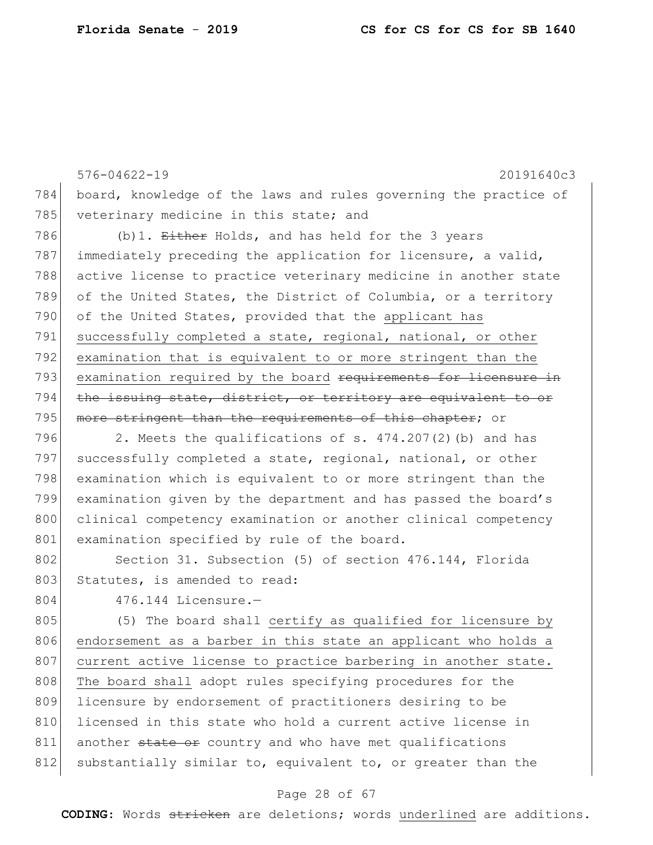576-04622-19 20191640c3 784 board, knowledge of the laws and rules governing the practice of 785 veterinary medicine in this state; and 786 (b)1.  $E\text{ther}$  Holds, and has held for the 3 years 787 immediately preceding the application for licensure, a valid, 788 active license to practice veterinary medicine in another state 789 of the United States, the District of Columbia, or a territory 790 of the United States, provided that the applicant has 791 successfully completed a state, regional, national, or other 792 examination that is equivalent to or more stringent than the 793 examination required by the board requirements for licensure in 794 the issuing state, district, or territory are equivalent to or 795 more stringent than the requirements of this chapter; or

796 2. Meets the qualifications of s.  $474.207(2)$  (b) and has 797 successfully completed a state, regional, national, or other 798 examination which is equivalent to or more stringent than the 799 examination given by the department and has passed the board's 800 clinical competency examination or another clinical competency 801 examination specified by rule of the board.

802 Section 31. Subsection (5) of section 476.144, Florida 803 Statutes, is amended to read:

804 476.144 Licensure.

805 (5) The board shall certify as qualified for licensure by 806 endorsement as a barber in this state an applicant who holds a 807 current active license to practice barbering in another state. 808 The board shall adopt rules specifying procedures for the 809 licensure by endorsement of practitioners desiring to be 810 licensed in this state who hold a current active license in 811 another state or country and who have met qualifications 812 substantially similar to, equivalent to, or greater than the

#### Page 28 of 67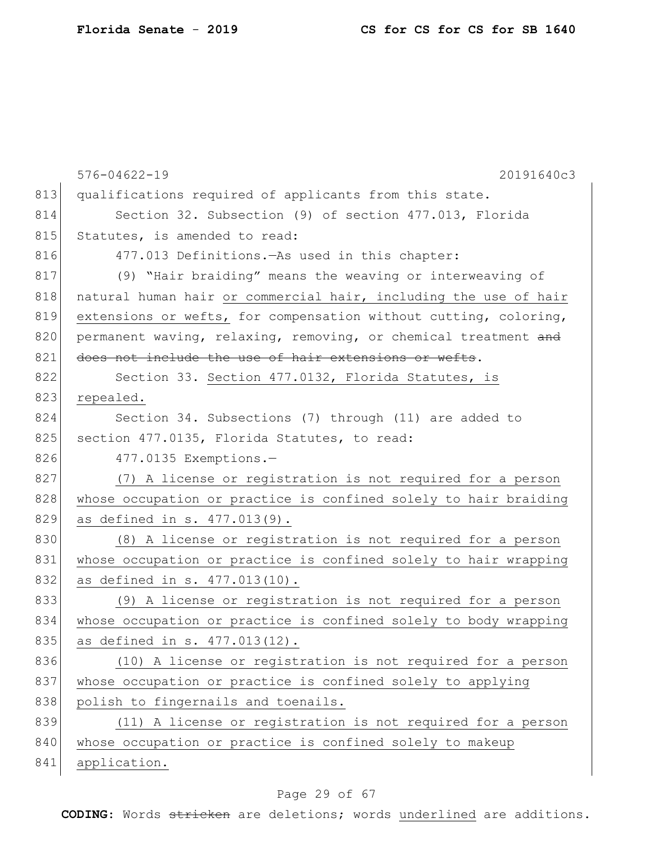|     | $576 - 04622 - 19$<br>20191640c3                                 |
|-----|------------------------------------------------------------------|
| 813 | qualifications required of applicants from this state.           |
| 814 | Section 32. Subsection (9) of section 477.013, Florida           |
| 815 | Statutes, is amended to read:                                    |
| 816 | 477.013 Definitions. - As used in this chapter:                  |
| 817 | (9) "Hair braiding" means the weaving or interweaving of         |
| 818 | natural human hair or commercial hair, including the use of hair |
| 819 | extensions or wefts, for compensation without cutting, coloring, |
| 820 | permanent waving, relaxing, removing, or chemical treatment and  |
| 821 | does not include the use of hair extensions or wefts.            |
| 822 | Section 33. Section 477.0132, Florida Statutes, is               |
| 823 | repealed.                                                        |
| 824 | Section 34. Subsections (7) through (11) are added to            |
| 825 | section 477.0135, Florida Statutes, to read:                     |
| 826 | 477.0135 Exemptions.-                                            |
| 827 | (7) A license or registration is not required for a person       |
| 828 | whose occupation or practice is confined solely to hair braiding |
| 829 | as defined in s. 477.013(9).                                     |
| 830 | (8) A license or registration is not required for a person       |
| 831 | whose occupation or practice is confined solely to hair wrapping |
| 832 | as defined in s. 477.013(10).                                    |
| 833 | (9) A license or registration is not required for a person       |
| 834 | whose occupation or practice is confined solely to body wrapping |
| 835 | as defined in s. 477.013(12).                                    |
| 836 | (10) A license or registration is not required for a person      |
| 837 | whose occupation or practice is confined solely to applying      |
| 838 | polish to fingernails and toenails.                              |
| 839 | (11) A license or registration is not required for a person      |
| 840 | whose occupation or practice is confined solely to makeup        |
| 841 | application.                                                     |

# Page 29 of 67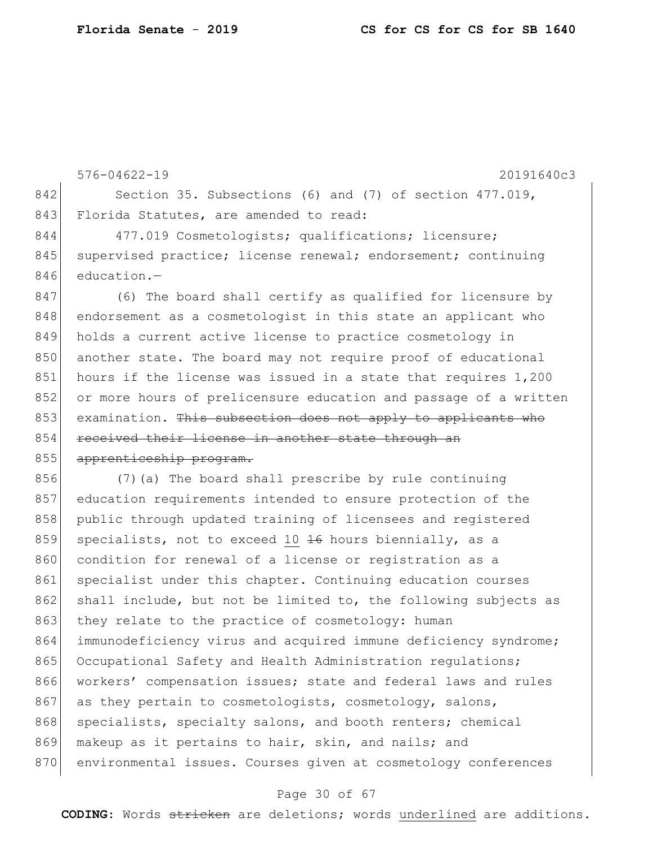576-04622-19 20191640c3 842 Section 35. Subsections (6) and (7) of section 477.019, 843 Florida Statutes, are amended to read: 844 477.019 Cosmetologists; qualifications; licensure; 845 supervised practice; license renewal; endorsement; continuing 846 education.-847 (6) The board shall certify as qualified for licensure by 848 endorsement as a cosmetologist in this state an applicant who 849 holds a current active license to practice cosmetology in 850 another state. The board may not require proof of educational 851 hours if the license was issued in a state that requires 1,200 852 or more hours of prelicensure education and passage of a written 853 examination. This subsection does not apply to applicants who 854 received their license in another state through an 855 apprenticeship program. 856 (7) (a) The board shall prescribe by rule continuing 857 education requirements intended to ensure protection of the 858 public through updated training of licensees and registered 859 specialists, not to exceed 10  $\frac{16}{16}$  hours biennially, as a 860 condition for renewal of a license or registration as a 861 specialist under this chapter. Continuing education courses 862 shall include, but not be limited to, the following subjects as 863 they relate to the practice of cosmetology: human 864 immunodeficiency virus and acquired immune deficiency syndrome; 865 Occupational Safety and Health Administration requiations; 866 workers' compensation issues; state and federal laws and rules

867 as they pertain to cosmetologists, cosmetology, salons, 868 specialists, specialty salons, and booth renters; chemical

- 869 makeup as it pertains to hair, skin, and nails; and
- 870 environmental issues. Courses given at cosmetology conferences

#### Page 30 of 67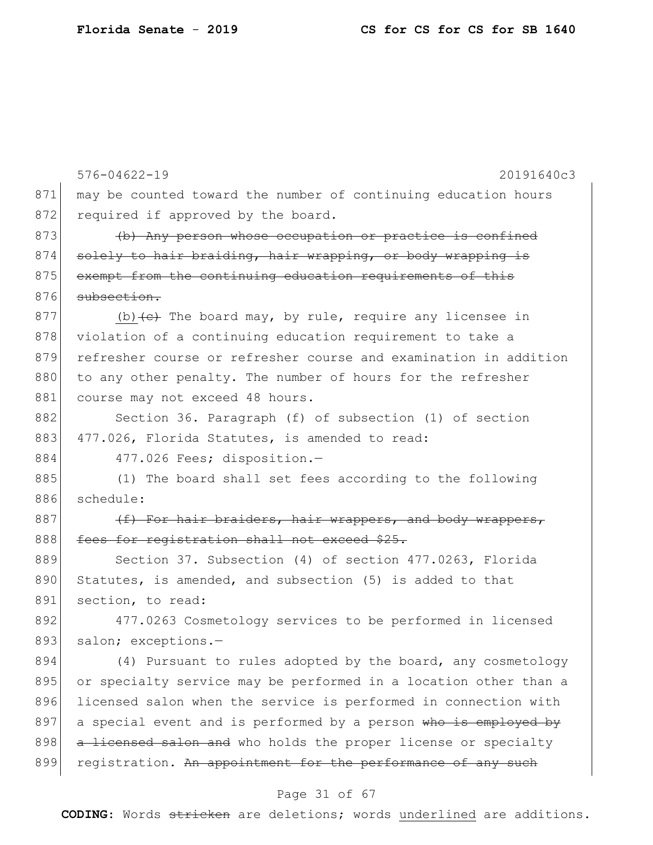|     | $576 - 04622 - 19$<br>20191640c3                                       |
|-----|------------------------------------------------------------------------|
| 871 | may be counted toward the number of continuing education hours         |
| 872 | required if approved by the board.                                     |
| 873 | (b) Any person whose occupation or practice is confined                |
| 874 | solely to hair braiding, hair wrapping, or body wrapping is            |
| 875 | exempt from the continuing education requirements of this              |
| 876 | subsection.                                                            |
| 877 | (b) $\left\{e\right\}$ The board may, by rule, require any licensee in |
| 878 | violation of a continuing education requirement to take a              |
| 879 | refresher course or refresher course and examination in addition       |
| 880 | to any other penalty. The number of hours for the refresher            |
| 881 | course may not exceed 48 hours.                                        |
| 882 | Section 36. Paragraph (f) of subsection (1) of section                 |
| 883 | 477.026, Florida Statutes, is amended to read:                         |
| 884 | 477.026 Fees; disposition.-                                            |
| 885 | (1) The board shall set fees according to the following                |
| 886 | schedule:                                                              |
| 887 | (f) For hair braiders, hair wrappers, and body wrappers,               |
| 888 | fees for registration shall not exceed \$25.                           |
| 889 | Section 37. Subsection (4) of section 477.0263, Florida                |
| 890 | Statutes, is amended, and subsection (5) is added to that              |
| 891 | section, to read:                                                      |
| 892 | 477.0263 Cosmetology services to be performed in licensed              |
| 893 | salon; exceptions.-                                                    |
| 894 | (4) Pursuant to rules adopted by the board, any cosmetology            |
| 895 | or specialty service may be performed in a location other than a       |
| 896 | licensed salon when the service is performed in connection with        |
| 897 | a special event and is performed by a person who is employed by        |
| 898 | a licensed salon and who holds the proper license or specialty         |
| 899 | registration. An appointment for the performance of any such           |
|     |                                                                        |

# Page 31 of 67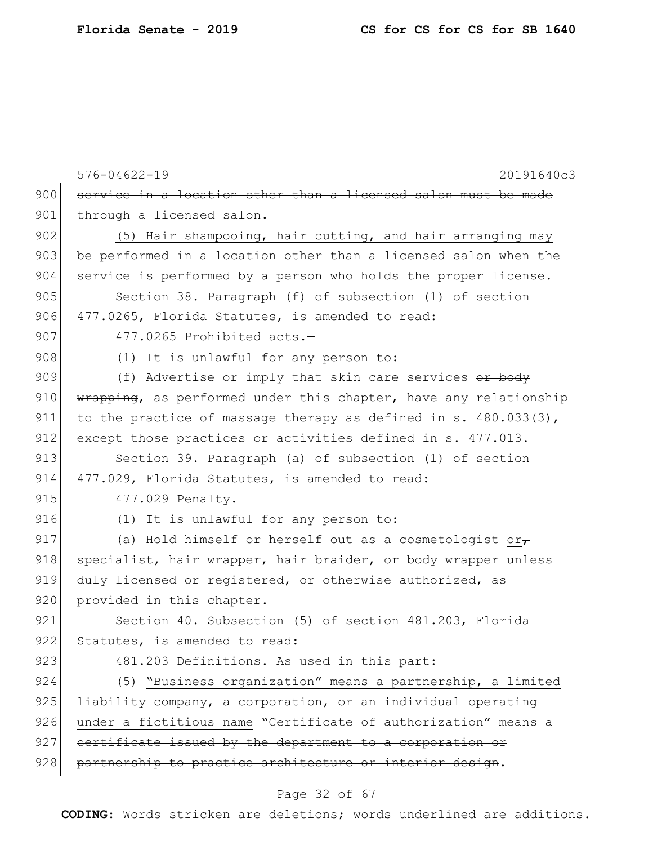|     | $576 - 04622 - 19$<br>20191640c3                                   |
|-----|--------------------------------------------------------------------|
| 900 | service in a location other than a licensed salon must be made     |
| 901 | through a licensed salon.                                          |
| 902 | (5) Hair shampooing, hair cutting, and hair arranging may          |
| 903 | be performed in a location other than a licensed salon when the    |
| 904 | service is performed by a person who holds the proper license.     |
| 905 | Section 38. Paragraph (f) of subsection (1) of section             |
| 906 | 477.0265, Florida Statutes, is amended to read:                    |
| 907 | 477.0265 Prohibited acts.-                                         |
| 908 | (1) It is unlawful for any person to:                              |
| 909 | (f) Advertise or imply that skin care services or body             |
| 910 | wrapping, as performed under this chapter, have any relationship   |
| 911 | to the practice of massage therapy as defined in s. $480.033(3)$ , |
| 912 | except those practices or activities defined in s. 477.013.        |
| 913 | Section 39. Paragraph (a) of subsection (1) of section             |
| 914 | 477.029, Florida Statutes, is amended to read:                     |
| 915 | $477.029$ Penalty.-                                                |
| 916 | (1) It is unlawful for any person to:                              |
| 917 | (a) Hold himself or herself out as a cosmetologist or $\tau$       |
| 918 | specialist, hair wrapper, hair braider, or body wrapper unless     |
| 919 | duly licensed or registered, or otherwise authorized, as           |
| 920 | provided in this chapter.                                          |
| 921 | Section 40. Subsection (5) of section 481.203, Florida             |
| 922 | Statutes, is amended to read:                                      |
| 923 | 481.203 Definitions. - As used in this part:                       |
| 924 | (5) "Business organization" means a partnership, a limited         |
| 925 | liability company, a corporation, or an individual operating       |
| 926 | under a fictitious name "Certificate of authorization" means a     |
| 927 | certificate issued by the department to a corporation or           |
| 928 | partnership to practice architecture or interior design.           |
|     |                                                                    |

#### Page 32 of 67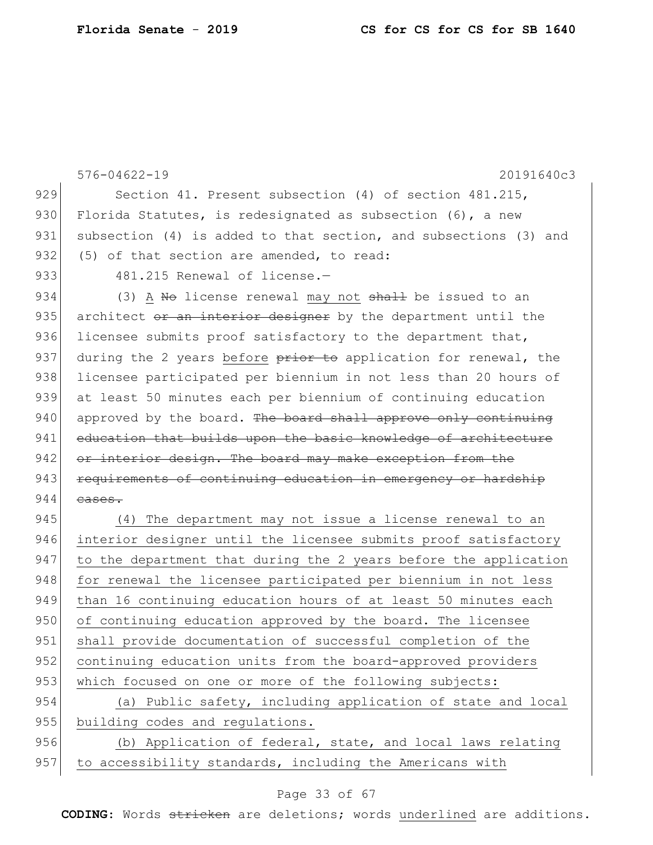|     | $576 - 04622 - 19$<br>20191640c3                                 |
|-----|------------------------------------------------------------------|
| 929 | Section 41. Present subsection (4) of section 481.215,           |
| 930 | Florida Statutes, is redesignated as subsection $(6)$ , a new    |
| 931 | subsection (4) is added to that section, and subsections (3) and |
| 932 | (5) of that section are amended, to read:                        |
| 933 | 481.215 Renewal of license.-                                     |
| 934 | (3) A No license renewal may not shall be issued to an           |
| 935 | architect or an interior designer by the department until the    |
| 936 | licensee submits proof satisfactory to the department that,      |
| 937 | during the 2 years before prior to application for renewal, the  |
| 938 | licensee participated per biennium in not less than 20 hours of  |
| 939 | at least 50 minutes each per biennium of continuing education    |
| 940 | approved by the board. The board shall approve only continuing   |
| 941 | education that builds upon the basic knowledge of architecture   |
| 942 | or interior design. The board may make exception from the        |
| 943 | requirements of continuing education in emergency or hardship    |
| 944 | cases.                                                           |
| 945 | (4) The department may not issue a license renewal to an         |
| 946 | interior designer until the licensee submits proof satisfactory  |
| 947 | to the department that during the 2 years before the application |
| 948 | for renewal the licensee participated per biennium in not less   |
| 949 | than 16 continuing education hours of at least 50 minutes each   |
| 950 | of continuing education approved by the board. The licensee      |
| 951 | shall provide documentation of successful completion of the      |
| 952 | continuing education units from the board-approved providers     |
| 953 | which focused on one or more of the following subjects:          |
| 954 | (a) Public safety, including application of state and local      |
| 955 | building codes and regulations.                                  |
| 956 | (b) Application of federal, state, and local laws relating       |
| 957 | to accessibility standards, including the Americans with         |

# Page 33 of 67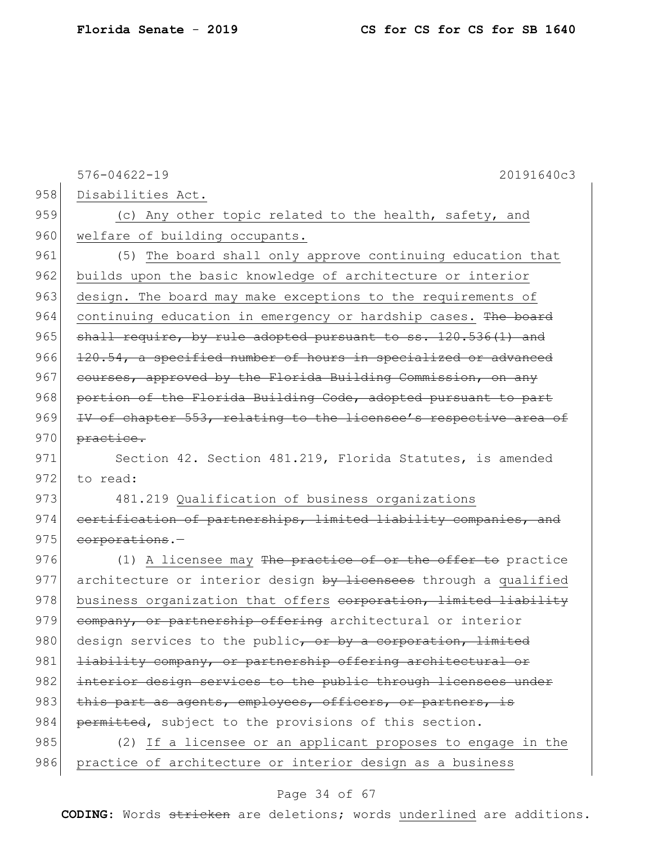|     | $576 - 04622 - 19$<br>20191640c3                                 |
|-----|------------------------------------------------------------------|
| 958 | Disabilities Act.                                                |
| 959 | (c) Any other topic related to the health, safety, and           |
| 960 | welfare of building occupants.                                   |
| 961 | (5) The board shall only approve continuing education that       |
| 962 | builds upon the basic knowledge of architecture or interior      |
| 963 | design. The board may make exceptions to the requirements of     |
| 964 | continuing education in emergency or hardship cases. The board   |
| 965 | shall require, by rule adopted pursuant to ss. 120.536(1) and    |
| 966 | 120.54, a specified number of hours in specialized or advanced   |
| 967 | courses, approved by the Florida Building Commission, on any     |
| 968 | portion of the Florida Building Code, adopted pursuant to part   |
| 969 | IV of chapter 553, relating to the licensee's respective area of |
| 970 | practice.                                                        |
| 971 | Section 42. Section 481.219, Florida Statutes, is amended        |
| 972 | to read:                                                         |
| 973 | 481.219 Qualification of business organizations                  |
| 974 | eertification of partnerships, limited liability companies, and  |
| 975 | corporations.-                                                   |
| 976 | (1) A licensee may The practice of or the offer to practice      |
| 977 | architecture or interior design by licensees through a qualified |
| 978 | business organization that offers corporation, limited liability |
| 979 | company, or partnership offering architectural or interior       |
| 980 | design services to the public, or by a corporation, limited      |
| 981 | liability company, or partnership offering architectural or      |
| 982 | interior design services to the public through licensees under   |
| 983 | this part as agents, employees, officers, or partners, is        |
| 984 | permitted, subject to the provisions of this section.            |
| 985 | (2) If a licensee or an applicant proposes to engage in the      |
| 986 | practice of architecture or interior design as a business        |

# Page 34 of 67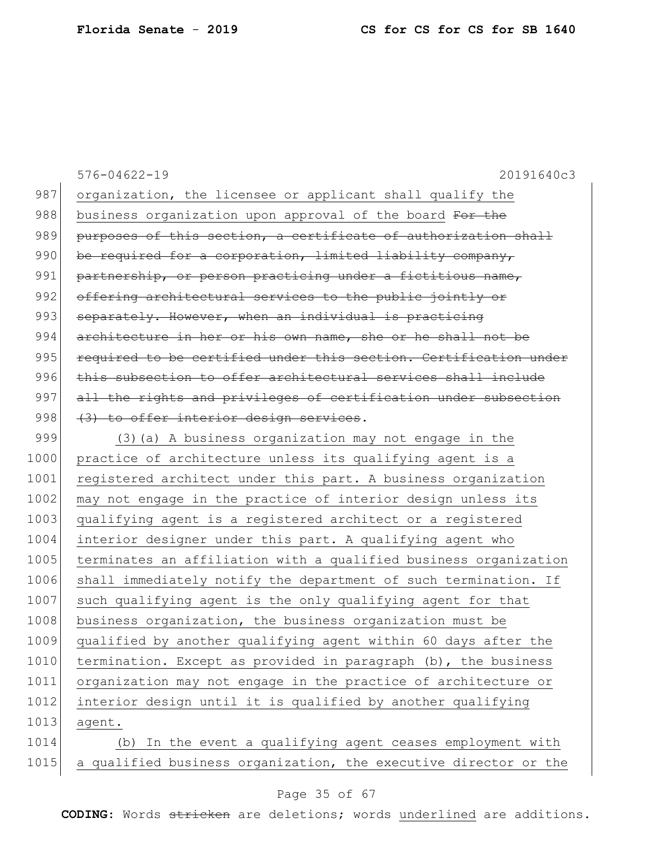|      | $576 - 04622 - 19$<br>20191640c3                                 |
|------|------------------------------------------------------------------|
| 987  | organization, the licensee or applicant shall qualify the        |
| 988  | business organization upon approval of the board For the         |
| 989  | purposes of this section, a certificate of authorization shall   |
| 990  | be required for a corporation, limited liability company,        |
| 991  | partnership, or person practicing under a fictitious name,       |
| 992  | offering architectural services to the public jointly or         |
| 993  | separately. However, when an individual is practicing            |
| 994  | architecture in her or his own name, she or he shall not be      |
| 995  | required to be certified under this section. Certification under |
| 996  | this subsection to offer architectural services shall include    |
| 997  | all the rights and privileges of certification under subsection  |
| 998  | (3) to offer interior design services.                           |
| 999  | (3) (a) A business organization may not engage in the            |
| 1000 | practice of architecture unless its qualifying agent is a        |
| 1001 | registered architect under this part. A business organization    |
| 1002 | may not engage in the practice of interior design unless its     |
| 1003 | qualifying agent is a registered architect or a registered       |
| 1004 | interior designer under this part. A qualifying agent who        |
| 1005 | terminates an affiliation with a qualified business organization |
| 1006 | shall immediately notify the department of such termination. If  |
| 1007 | such qualifying agent is the only qualifying agent for that      |
| 1008 | business organization, the business organization must be         |
| 1009 | qualified by another qualifying agent within 60 days after the   |
| 1010 | termination. Except as provided in paragraph (b), the business   |
| 1011 | organization may not engage in the practice of architecture or   |
| 1012 | interior design until it is qualified by another qualifying      |
| 1013 | agent.                                                           |
| 1014 | In the event a qualifying agent ceases employment with<br>(b)    |
| 1015 | a qualified business organization, the executive director or the |

# Page 35 of 67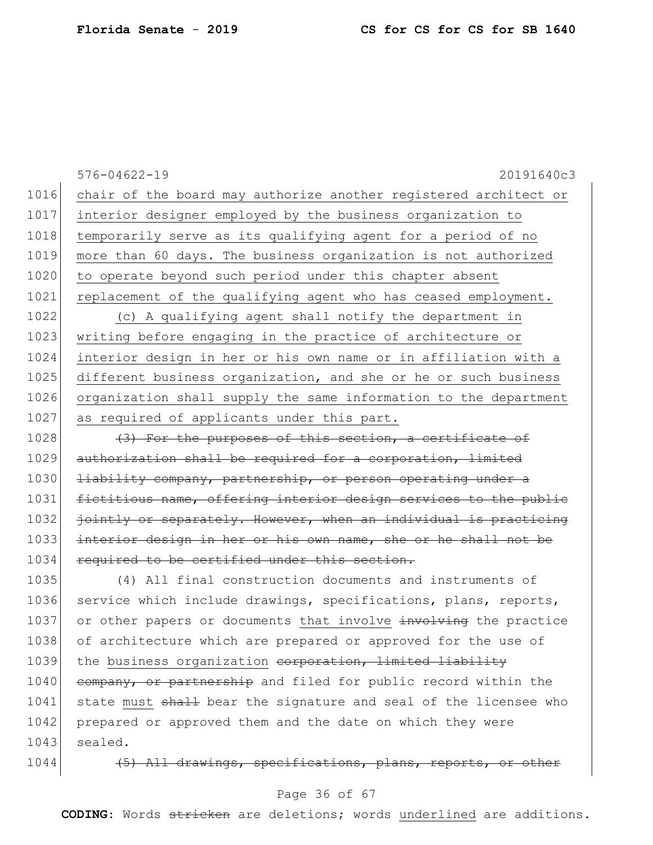|      | $576 - 04622 - 19$<br>20191640c3                                 |
|------|------------------------------------------------------------------|
| 1016 | chair of the board may authorize another registered architect or |
| 1017 | interior designer employed by the business organization to       |
| 1018 | temporarily serve as its qualifying agent for a period of no     |
| 1019 | more than 60 days. The business organization is not authorized   |
| 1020 | to operate beyond such period under this chapter absent          |
| 1021 | replacement of the qualifying agent who has ceased employment.   |
| 1022 | (c) A qualifying agent shall notify the department in            |
| 1023 | writing before engaging in the practice of architecture or       |
| 1024 | interior design in her or his own name or in affiliation with a  |
| 1025 | different business organization, and she or he or such business  |
| 1026 | organization shall supply the same information to the department |
| 1027 | as required of applicants under this part.                       |
| 1028 | (3) For the purposes of this section, a certificate of           |
| 1029 | authorization shall be required for a corporation, limited       |
| 1030 | liability company, partnership, or person operating under a      |
| 1031 | fictitious name, offering interior design services to the public |
| 1032 | jointly or separately. However, when an individual is practicing |
| 1033 | interior design in her or his own name, she or he shall not be   |
| 1034 | required to be certified under this section.                     |
| 1035 | (4) All final construction documents and instruments of          |
| 1036 | service which include drawings, specifications, plans, reports,  |
| 1037 | or other papers or documents that involve involving the practice |
| 1038 | of architecture which are prepared or approved for the use of    |
| 1039 | the business organization corporation, limited liability         |
| 1040 | company, or partnership and filed for public record within the   |
| 1041 | state must shall bear the signature and seal of the licensee who |
| 1042 | prepared or approved them and the date on which they were        |
| 1043 | sealed.                                                          |
| 1044 | (5) All drawings, specifications, plans, reports, or other       |

# Page 36 of 67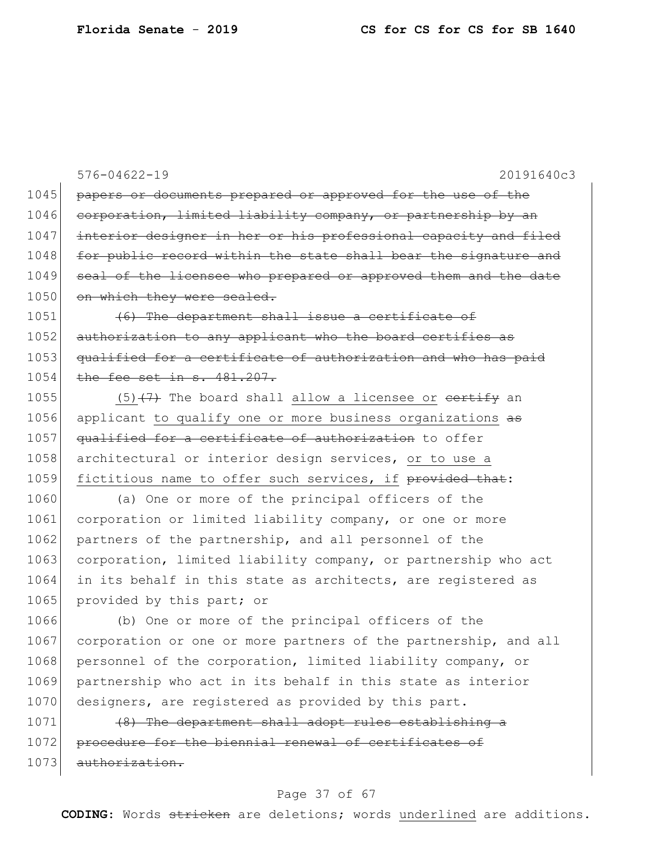576-04622-19 20191640c3 1045 papers or documents prepared or approved for the use of the 1046 corporation, limited liability company, or partnership by an 1047 interior designer in her or his professional capacity and filed 1048 for public record within the state shall bear the signature and 1049 seal of the licensee who prepared or approved them and the date 1050 on which they were sealed. 1051 (6) The department shall issue a certificate of 1052 authorization to any applicant who the board certifies as 1053 qualified for a certificate of authorization and who has paid 1054 the fee set in s. 481.207. 1055 (5) $(7)$  The board shall allow a licensee or certify an 1056 applicant to qualify one or more business organizations as 1057 qualified for a certificate of authorization to offer 1058 architectural or interior design services, or to use a 1059 fictitious name to offer such services, if provided that: 1060 (a) One or more of the principal officers of the 1061 corporation or limited liability company, or one or more 1062 partners of the partnership, and all personnel of the 1063 corporation, limited liability company, or partnership who act 1064 in its behalf in this state as architects, are registered as 1065 provided by this part; or 1066 (b) One or more of the principal officers of the 1067 corporation or one or more partners of the partnership, and all 1068 personnel of the corporation, limited liability company, or 1069 partnership who act in its behalf in this state as interior 1070 designers, are registered as provided by this part. 1071 (8) The department shall adopt rules establishing a 1072 procedure for the biennial renewal of certificates of 1073 authorization.

#### Page 37 of 67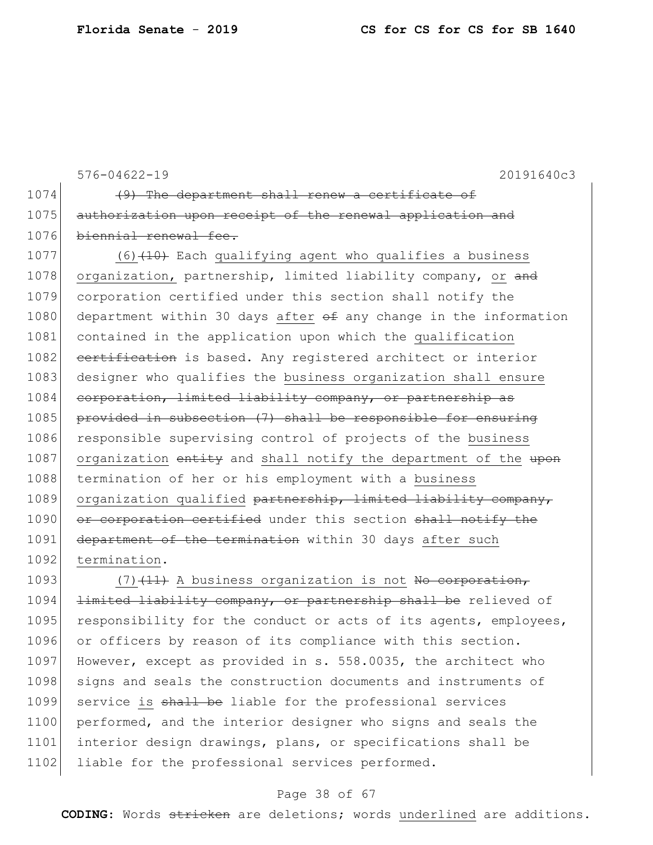576-04622-19 20191640c3 1074 (9) The department shall renew a certificate of 1075 authorization upon receipt of the renewal application and 1076 biennial renewal fee. 1077  $(6)$  (40) Each qualifying agent who qualifies a business 1078 organization, partnership, limited liability company, or and 1079 corporation certified under this section shall notify the 1080 department within 30 days after  $\theta$  any change in the information 1081 contained in the application upon which the qualification 1082 certification is based. Any registered architect or interior 1083 designer who qualifies the business organization shall ensure 1084 corporation, limited liability company, or partnership as 1085 provided in subsection (7) shall be responsible for ensuring 1086 responsible supervising control of projects of the business 1087 organization entity and shall notify the department of the upon 1088 termination of her or his employment with a business 1089 organization qualified partnership, limited liability company, 1090 or corporation certified under this section shall notify the 1091 department of the termination within 30 days after such 1092 termination. 1093  $(7)$   $(11)$  A business organization is not No corporation, 1094 <del>limited liability company, or partnership shall be</del> relieved of 1095 responsibility for the conduct or acts of its agents, employees, 1096 or officers by reason of its compliance with this section.

1097 However, except as provided in s. 558.0035, the architect who 1098 signs and seals the construction documents and instruments of 1099 service is shall be liable for the professional services 1100 performed, and the interior designer who signs and seals the 1101 interior design drawings, plans, or specifications shall be 1102 liable for the professional services performed.

#### Page 38 of 67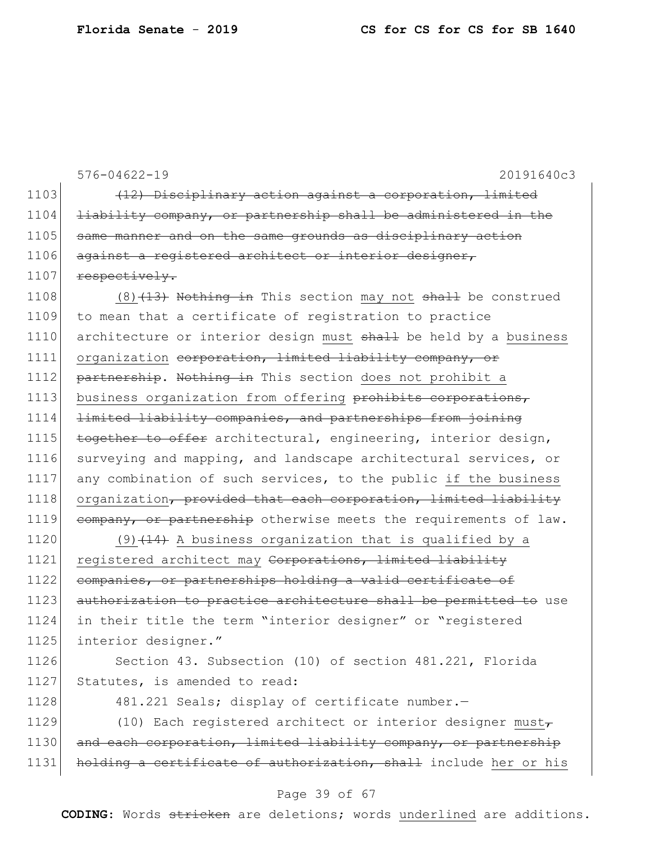576-04622-19 20191640c3 1103  $(12)$  Disciplinary action against a corporation, limited 1104 <del>liability company, or partnership shall be administered in the</del> 1105 same manner and on the same grounds as disciplinary action 1106 against a registered architect or interior designer, 1107 respectively. 1108  $(8)$   $(13)$  Nothing in This section may not shall be construed 1109 to mean that a certificate of registration to practice 1110 architecture or interior design must shall be held by a business 1111 organization corporation, limited liability company, or 1112 partnership. Nothing in This section does not prohibit a 1113 business organization from offering prohibits corporations, 1114 limited liability companies, and partnerships from joining 1115 together to offer architectural, engineering, interior design, 1116 surveying and mapping, and landscape architectural services, or 1117 any combination of such services, to the public if the business 1118 organization, provided that each corporation, limited liability 1119 company, or partnership otherwise meets the requirements of law. 1120 (9)  $(14)$  A business organization that is qualified by a 1121 registered architect may Corporations, limited liability 1122 companies, or partnerships holding a valid certificate of 1123 authorization to practice architecture shall be permitted to use 1124 in their title the term "interior designer" or "registered 1125 interior designer."

1126 Section 43. Subsection (10) of section 481.221, Florida 1127 Statutes, is amended to read:

1128 481.221 Seals; display of certificate number.

1129 (10) Each registered architect or interior designer must $_{\tau}$ 1130 and each corporation, limited liability company, or partnership 1131 holding a certificate of authorization, shall include her or his

#### Page 39 of 67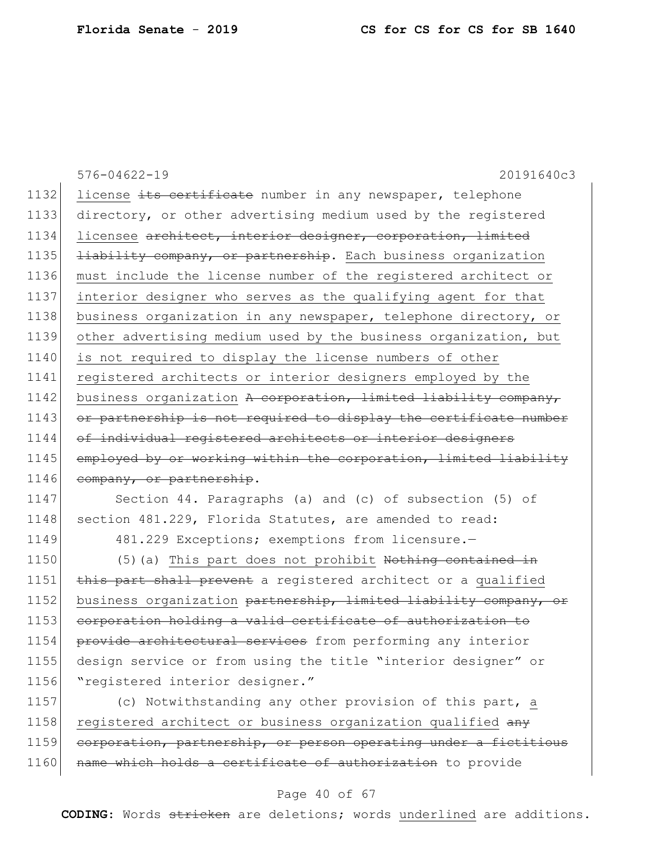576-04622-19 20191640c3 1132 license its certificate number in any newspaper, telephone 1133 directory, or other advertising medium used by the registered 1134 licensee architect, interior designer, corporation, limited 1135 <del>liability company, or partnership</del>. Each business organization 1136 must include the license number of the registered architect or 1137 interior designer who serves as the qualifying agent for that 1138 business organization in any newspaper, telephone directory, or 1139 other advertising medium used by the business organization, but 1140 is not required to display the license numbers of other 1141 registered architects or interior designers employed by the 1142 business organization A corporation, limited liability company, 1143 or partnership is not required to display the certificate number 1144 of individual registered architects or interior designers 1145 employed by or working within the corporation, limited liability 1146 company, or partnership. 1147 Section 44. Paragraphs (a) and (c) of subsection (5) of 1148 section 481.229, Florida Statutes, are amended to read: 1149 481.229 Exceptions; exemptions from licensure.

1150 (5)(a) This part does not prohibit Nothing contained in 1151 this part shall prevent a registered architect or a qualified 1152 business organization partnership, limited liability company, or 1153 corporation holding a valid certificate of authorization to 1154 provide architectural services from performing any interior 1155 design service or from using the title "interior designer" or 1156 "registered interior designer."

1157 (c) Notwithstanding any other provision of this part, a 1158 registered architect or business organization qualified any 1159 corporation, partnership, or person operating under a fictitious 1160 name which holds a certificate of authorization to provide

#### Page 40 of 67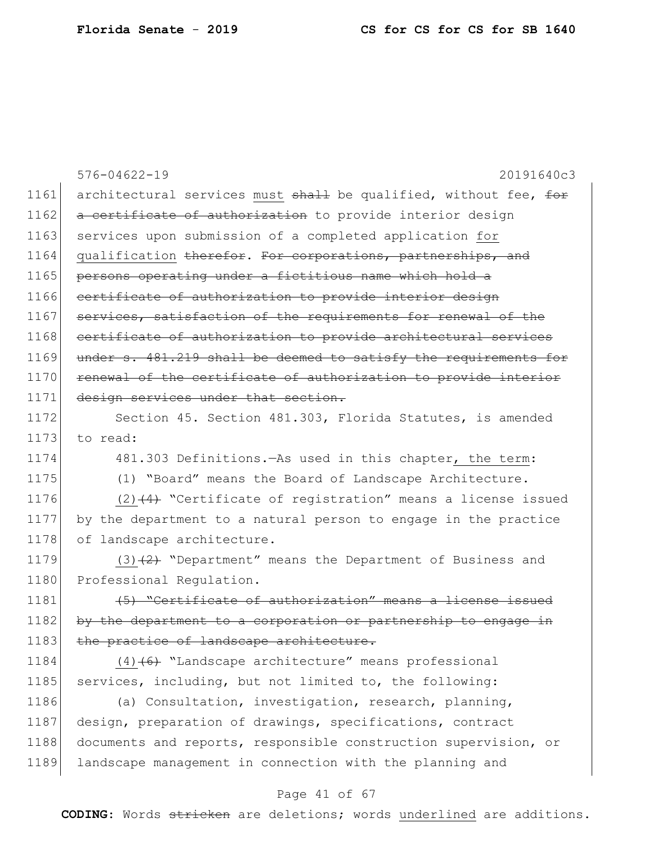|      | $576 - 04622 - 19$<br>20191640c3                                 |
|------|------------------------------------------------------------------|
| 1161 | architectural services must shall be qualified, without fee, for |
| 1162 | a certificate of authorization to provide interior design        |
| 1163 | services upon submission of a completed application for          |
| 1164 | qualification therefor. For corporations, partnerships, and      |
| 1165 | persons operating under a fictitious name which hold a           |
| 1166 | certificate of authorization to provide interior design          |
| 1167 | services, satisfaction of the requirements for renewal of the    |
| 1168 | certificate of authorization to provide architectural services   |
| 1169 | under s. 481.219 shall be deemed to satisfy the requirements for |
| 1170 | renewal of the certificate of authorization to provide interior  |
| 1171 | design services under that section.                              |
| 1172 | Section 45. Section 481.303, Florida Statutes, is amended        |
| 1173 | to read:                                                         |
| 1174 | 481.303 Definitions. - As used in this chapter, the term:        |
| 1175 | (1) "Board" means the Board of Landscape Architecture.           |
| 1176 | $(2)$ $(4)$ "Certificate of registration" means a license issued |
| 1177 | by the department to a natural person to engage in the practice  |
| 1178 | of landscape architecture.                                       |
| 1179 | $(3)$ +2+ "Department" means the Department of Business and      |
| 1180 | Professional Regulation.                                         |
| 1181 | (5) "Certificate of authorization" means a license issued        |
| 1182 | by the department to a corporation or partnership to engage in   |
| 1183 | the practice of landscape architecture.                          |
| 1184 | $(4)$ +6+ "Landscape architecture" means professional            |
| 1185 | services, including, but not limited to, the following:          |
| 1186 | (a) Consultation, investigation, research, planning,             |
| 1187 | design, preparation of drawings, specifications, contract        |
| 1188 | documents and reports, responsible construction supervision, or  |
| 1189 | landscape management in connection with the planning and         |
|      | Page 41 of 67                                                    |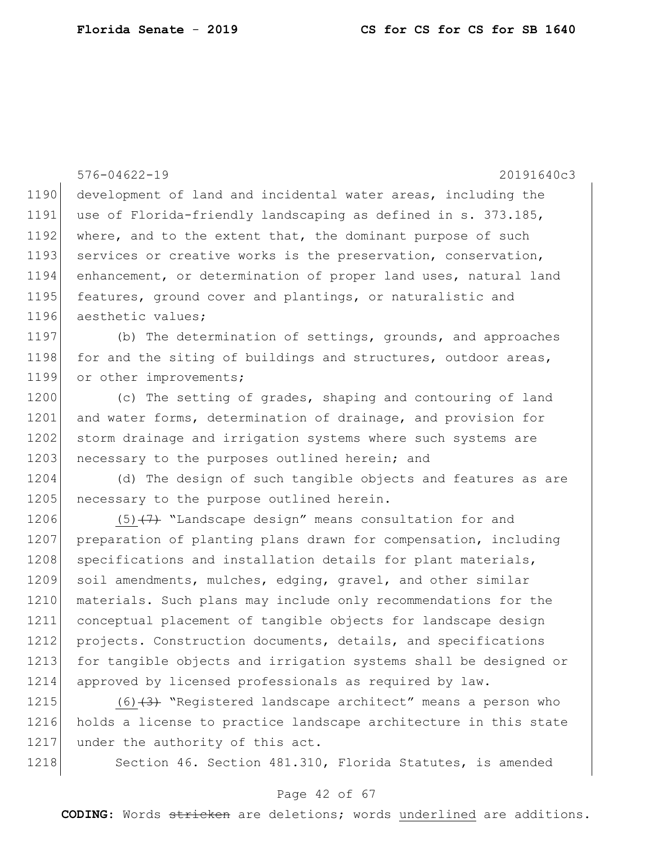576-04622-19 20191640c3 1190 development of land and incidental water areas, including the 1191 use of Florida-friendly landscaping as defined in s. 373.185, 1192 where, and to the extent that, the dominant purpose of such 1193 services or creative works is the preservation, conservation, 1194 enhancement, or determination of proper land uses, natural land 1195 features, ground cover and plantings, or naturalistic and 1196 aesthetic values; 1197 (b) The determination of settings, grounds, and approaches 1198 for and the siting of buildings and structures, outdoor areas, 1199 or other improvements; 1200 (c) The setting of grades, shaping and contouring of land 1201 and water forms, determination of drainage, and provision for 1202 storm drainage and irrigation systems where such systems are 1203 necessary to the purposes outlined herein; and 1204 (d) The design of such tangible objects and features as are 1205 necessary to the purpose outlined herein. 1206 (5) $(7)$  "Landscape design" means consultation for and 1207 preparation of planting plans drawn for compensation, including 1208 specifications and installation details for plant materials, 1209 soil amendments, mulches, edging, gravel, and other similar 1210 materials. Such plans may include only recommendations for the 1211 conceptual placement of tangible objects for landscape design 1212 projects. Construction documents, details, and specifications 1213 for tangible objects and irrigation systems shall be designed or 1214 approved by licensed professionals as required by law. 1215  $(6)$   $(3)$  "Registered landscape architect" means a person who 1216 holds a license to practice landscape architecture in this state 1217 under the authority of this act.

1218 Section 46. Section 481.310, Florida Statutes, is amended

#### Page 42 of 67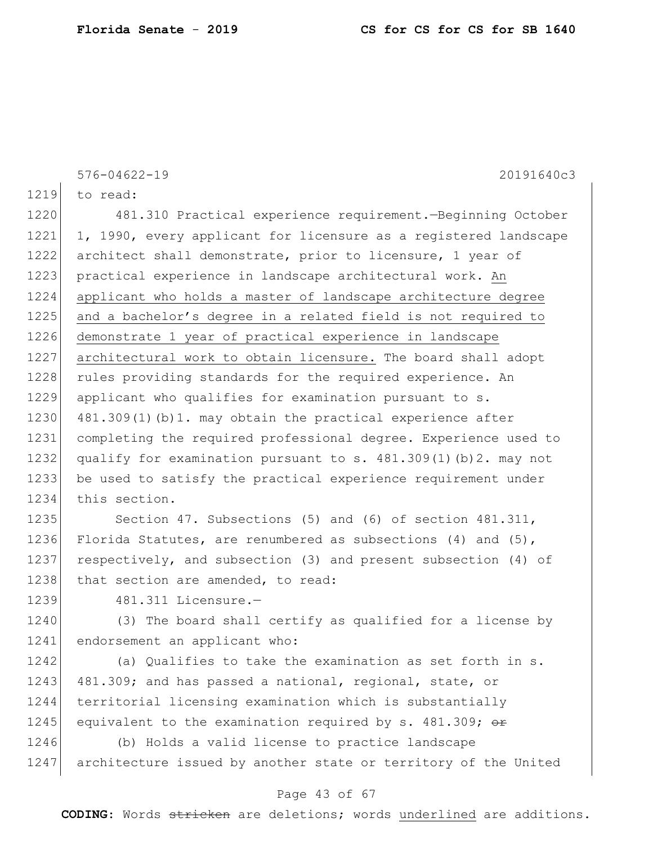576-04622-19 20191640c3

1219 to read:

 481.310 Practical experience requirement.—Beginning October 1, 1990, every applicant for licensure as a registered landscape architect shall demonstrate, prior to licensure, 1 year of 1223 practical experience in landscape architectural work. An applicant who holds a master of landscape architecture degree 1225 and a bachelor's degree in a related field is not required to demonstrate 1 year of practical experience in landscape architectural work to obtain licensure. The board shall adopt 1228 rules providing standards for the required experience. An applicant who qualifies for examination pursuant to s. 1230 481.309(1)(b)1. may obtain the practical experience after completing the required professional degree. Experience used to 1232 qualify for examination pursuant to s.  $481.309(1)$  (b) 2. may not be used to satisfy the practical experience requirement under this section.

1235 Section 47. Subsections (5) and (6) of section 481.311, 1236 Florida Statutes, are renumbered as subsections (4) and (5), 1237 respectively, and subsection (3) and present subsection (4) of 1238 that section are amended, to read:

1239 481.311 Licensure.—

1240 (3) The board shall certify as qualified for a license by 1241 endorsement an applicant who:

1242 (a) Qualifies to take the examination as set forth in s. 1243 481.309; and has passed a national, regional, state, or 1244 territorial licensing examination which is substantially 1245 equivalent to the examination required by s. 481.309;  $\theta$ r

1246 (b) Holds a valid license to practice landscape 1247 architecture issued by another state or territory of the United

#### Page 43 of 67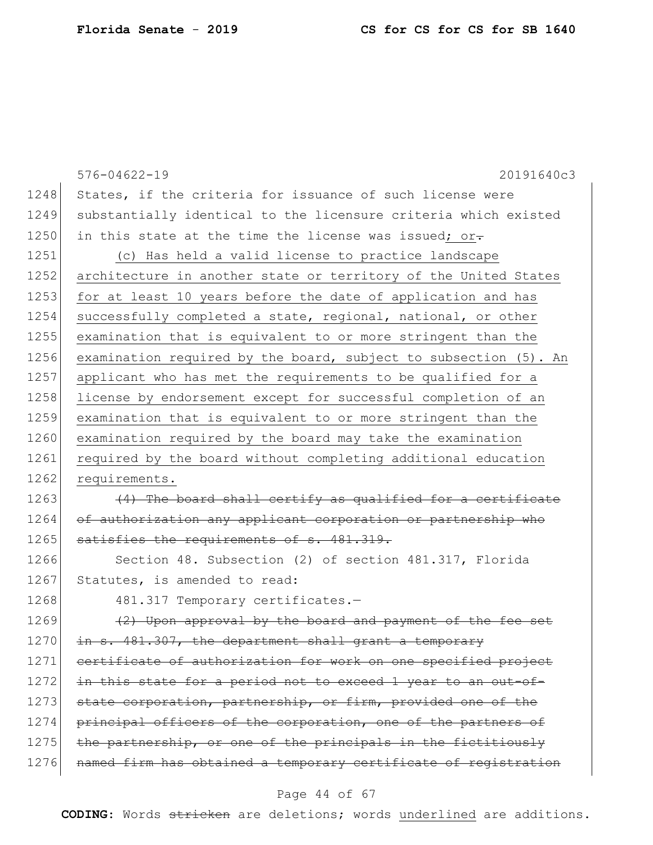|      | $576 - 04622 - 19$<br>20191640c3                                 |
|------|------------------------------------------------------------------|
| 1248 | States, if the criteria for issuance of such license were        |
| 1249 | substantially identical to the licensure criteria which existed  |
| 1250 | in this state at the time the license was issued; or-            |
| 1251 | (c) Has held a valid license to practice landscape               |
| 1252 | architecture in another state or territory of the United States  |
| 1253 | for at least 10 years before the date of application and has     |
| 1254 | successfully completed a state, regional, national, or other     |
| 1255 | examination that is equivalent to or more stringent than the     |
| 1256 | examination required by the board, subject to subsection (5). An |
| 1257 | applicant who has met the requirements to be qualified for a     |
| 1258 | license by endorsement except for successful completion of an    |
| 1259 | examination that is equivalent to or more stringent than the     |
| 1260 | examination required by the board may take the examination       |
| 1261 | required by the board without completing additional education    |
| 1262 | requirements.                                                    |
| 1263 | (4) The board shall certify as qualified for a certificate       |
| 1264 | of authorization any applicant corporation or partnership who    |
| 1265 | satisfies the requirements of s. 481.319.                        |
| 1266 | Section 48. Subsection (2) of section 481.317, Florida           |
| 1267 | Statutes, is amended to read:                                    |
| 1268 | 481.317 Temporary certificates.-                                 |
| 1269 | (2) Upon approval by the board and payment of the fee set        |
| 1270 | in s. 481.307, the department shall grant a temporary            |
| 1271 | certificate of authorization for work on one specified project   |
| 1272 | in this state for a period not to exceed 1 year to an out-of-    |
| 1273 | state corporation, partnership, or firm, provided one of the     |
| 1274 | principal officers of the corporation, one of the partners of    |
| 1275 | the partnership, or one of the principals in the fictitiously    |
| 1276 | named firm has obtained a temporary certificate of registration  |
|      |                                                                  |

# Page 44 of 67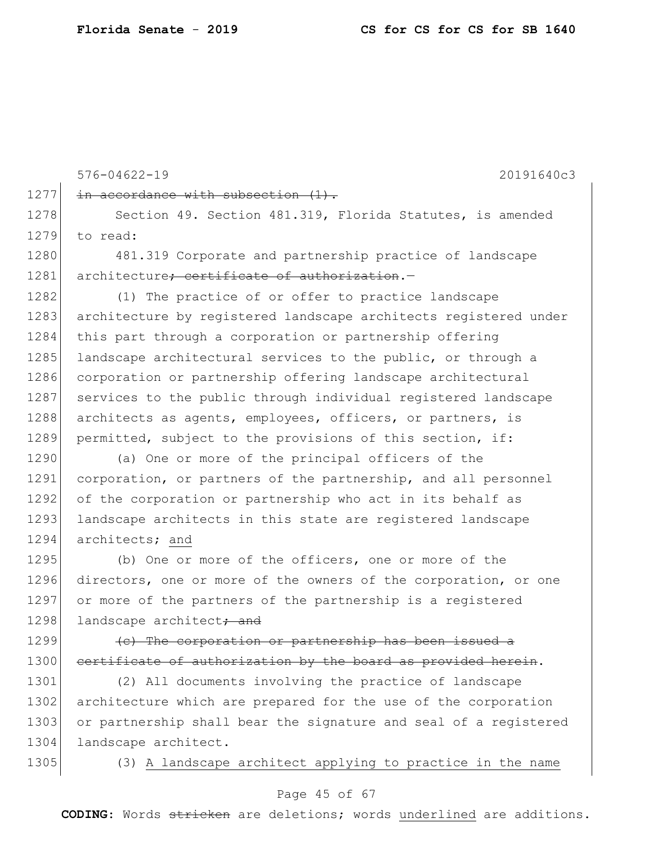576-04622-19 20191640c3 1277 in accordance with subsection  $(1)$ . 1278 Section 49. Section 481.319, Florida Statutes, is amended 1279 to read: 1280 481.319 Corporate and partnership practice of landscape 1281 architecture; certificate of authorization.-1282 (1) The practice of or offer to practice landscape 1283 architecture by registered landscape architects registered under 1284 this part through a corporation or partnership offering 1285 landscape architectural services to the public, or through a 1286 corporation or partnership offering landscape architectural 1287 services to the public through individual registered landscape 1288 architects as agents, employees, officers, or partners, is 1289 permitted, subject to the provisions of this section, if: 1290 (a) One or more of the principal officers of the 1291 corporation, or partners of the partnership, and all personnel 1292 of the corporation or partnership who act in its behalf as 1293 landscape architects in this state are registered landscape 1294 architects; and 1295 (b) One or more of the officers, one or more of the 1296 directors, one or more of the owners of the corporation, or one 1297 or more of the partners of the partnership is a registered 1298 landscape architect<del>; and</del> 1299  $\left($  (c) The corporation or partnership has been issued a 1300 certificate of authorization by the board as provided herein. 1301 (2) All documents involving the practice of landscape 1302 architecture which are prepared for the use of the corporation 1303 or partnership shall bear the signature and seal of a registered 1304 landscape architect.

1305 (3) A landscape architect applying to practice in the name

#### Page 45 of 67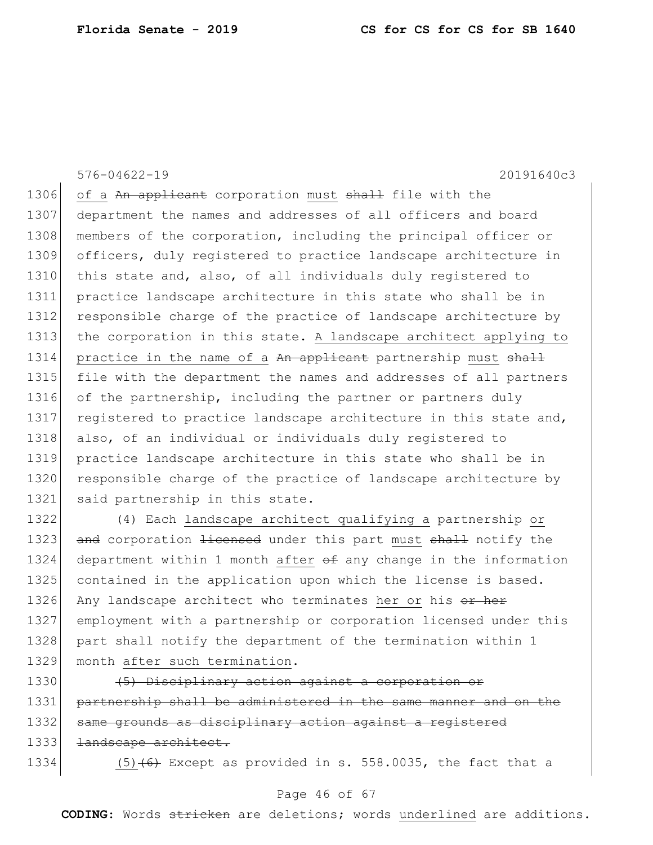576-04622-19 20191640c3

1306 of a An applicant corporation must shall file with the 1307 department the names and addresses of all officers and board 1308 members of the corporation, including the principal officer or 1309 officers, duly registered to practice landscape architecture in 1310 this state and, also, of all individuals duly registered to 1311 practice landscape architecture in this state who shall be in 1312 responsible charge of the practice of landscape architecture by 1313 the corporation in this state. A landscape architect applying to 1314 practice in the name of a An applicant partnership must shall 1315 file with the department the names and addresses of all partners 1316 of the partnership, including the partner or partners duly 1317 registered to practice landscape architecture in this state and, 1318 also, of an individual or individuals duly registered to 1319 practice landscape architecture in this state who shall be in 1320 responsible charge of the practice of landscape architecture by 1321 said partnership in this state.

1322 (4) Each landscape architect qualifying a partnership or 1323 and corporation licensed under this part must shall notify the 1324 department within 1 month after  $\theta$  any change in the information 1325 contained in the application upon which the license is based. 1326 Any landscape architect who terminates her or his or her 1327 employment with a partnership or corporation licensed under this 1328 part shall notify the department of the termination within 1 1329 month after such termination.

1330 (5) Disciplinary action against a corporation or 1331 partnership shall be administered in the same manner and on the 1332 same grounds as disciplinary action against a registered 1333 <del>landscape architect.</del>

1334  $(5)$  (6) Except as provided in s. 558.0035, the fact that a

### Page 46 of 67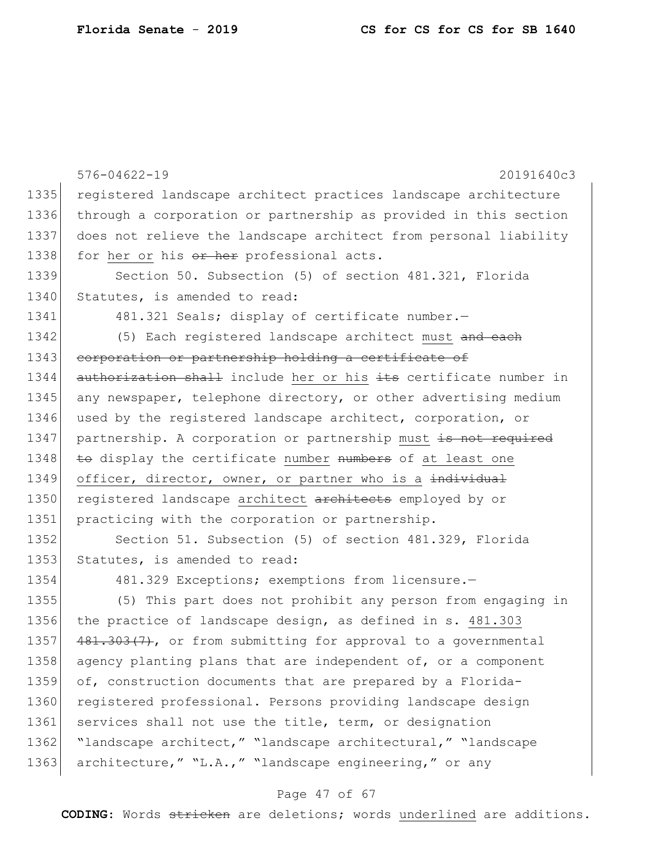|      | $576 - 04622 - 19$<br>20191640c3                                 |
|------|------------------------------------------------------------------|
| 1335 | registered landscape architect practices landscape architecture  |
| 1336 | through a corporation or partnership as provided in this section |
| 1337 | does not relieve the landscape architect from personal liability |
| 1338 | for her or his or her professional acts.                         |
| 1339 | Section 50. Subsection (5) of section 481.321, Florida           |
| 1340 | Statutes, is amended to read:                                    |
| 1341 | 481.321 Seals; display of certificate number.-                   |
| 1342 | (5) Each registered landscape architect must and each            |
| 1343 | corporation or partnership holding a certificate of              |
| 1344 | authorization shall include her or his its certificate number in |
| 1345 | any newspaper, telephone directory, or other advertising medium  |
| 1346 | used by the registered landscape architect, corporation, or      |
| 1347 | partnership. A corporation or partnership must is not required   |
| 1348 | to display the certificate number numbers of at least one        |
| 1349 | officer, director, owner, or partner who is a individual         |
|      |                                                                  |
| 1350 | registered landscape architect architects employed by or         |
| 1351 | practicing with the corporation or partnership.                  |
| 1352 | Section 51. Subsection (5) of section 481.329, Florida           |
| 1353 | Statutes, is amended to read:                                    |
| 1354 | 481.329 Exceptions; exemptions from licensure.-                  |
| 1355 | (5) This part does not prohibit any person from engaging in      |
| 1356 | the practice of landscape design, as defined in s. 481.303       |
| 1357 | 481.303(7), or from submitting for approval to a governmental    |
| 1358 | agency planting plans that are independent of, or a component    |
| 1359 | of, construction documents that are prepared by a Florida-       |
| 1360 | registered professional. Persons providing landscape design      |
| 1361 | services shall not use the title, term, or designation           |
| 1362 | "landscape architect," "landscape architectural," "landscape     |

# Page 47 of 67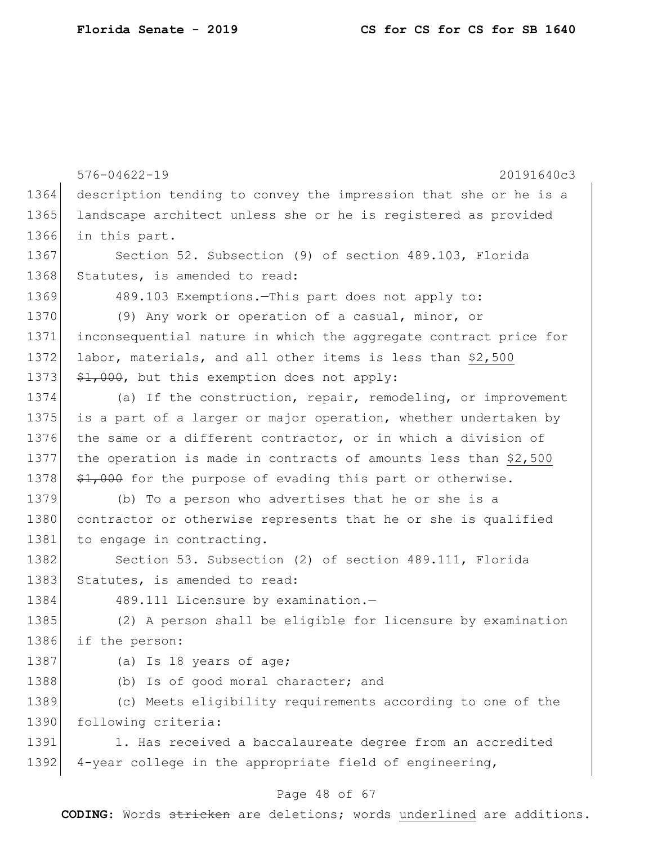|      | $576 - 04622 - 19$<br>20191640c3                                       |
|------|------------------------------------------------------------------------|
| 1364 | description tending to convey the impression that she or he is a       |
| 1365 | landscape architect unless she or he is registered as provided         |
| 1366 | in this part.                                                          |
| 1367 | Section 52. Subsection (9) of section 489.103, Florida                 |
| 1368 | Statutes, is amended to read:                                          |
| 1369 | 489.103 Exemptions.-This part does not apply to:                       |
| 1370 | (9) Any work or operation of a casual, minor, or                       |
| 1371 | inconsequential nature in which the aggregate contract price for       |
| 1372 | labor, materials, and all other items is less than \$2,500             |
| 1373 | $\frac{1}{2}$ , 000, but this exemption does not apply:                |
| 1374 | (a) If the construction, repair, remodeling, or improvement            |
| 1375 | is a part of a larger or major operation, whether undertaken by        |
| 1376 | the same or a different contractor, or in which a division of          |
| 1377 | the operation is made in contracts of amounts less than \$2,500        |
| 1378 | $\frac{1}{2}$ , 000 for the purpose of evading this part or otherwise. |
| 1379 | (b) To a person who advertises that he or she is a                     |
| 1380 | contractor or otherwise represents that he or she is qualified         |
| 1381 | to engage in contracting.                                              |
| 1382 | Section 53. Subsection (2) of section 489.111, Florida                 |
| 1383 | Statutes, is amended to read:                                          |
| 1384 | 489.111 Licensure by examination.-                                     |
| 1385 | (2) A person shall be eligible for licensure by examination            |
| 1386 | if the person:                                                         |
| 1387 | (a) Is 18 years of age;                                                |
| 1388 | (b) Is of good moral character; and                                    |
| 1389 | (c) Meets eligibility requirements according to one of the             |
| 1390 | following criteria:                                                    |
| 1391 | 1. Has received a baccalaureate degree from an accredited              |
| 1392 | 4-year college in the appropriate field of engineering,                |

# Page 48 of 67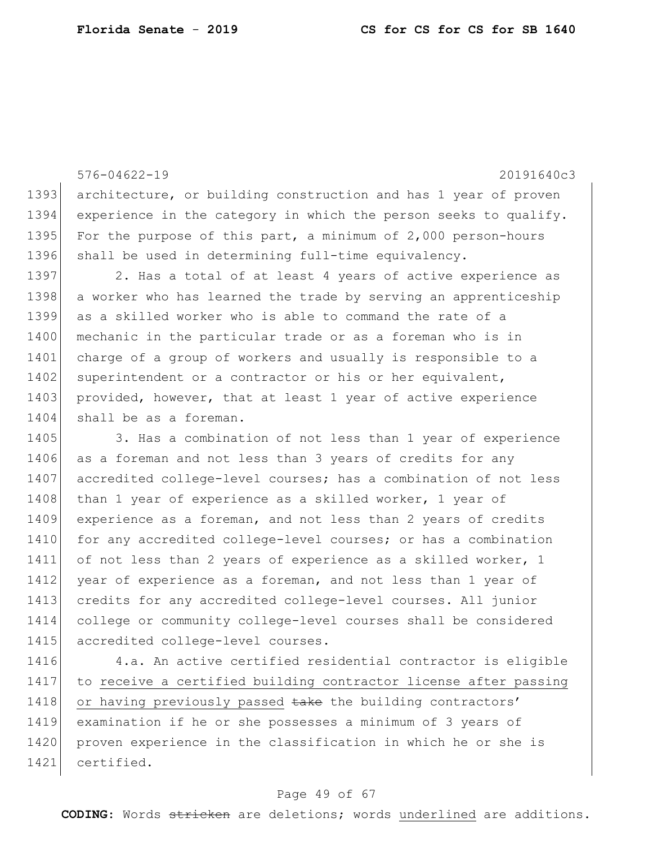576-04622-19 20191640c3 1393 architecture, or building construction and has 1 year of proven 1394 experience in the category in which the person seeks to qualify. 1395 For the purpose of this part, a minimum of 2,000 person-hours 1396 shall be used in determining full-time equivalency. 1397 2. Has a total of at least 4 years of active experience as 1398 a worker who has learned the trade by serving an apprenticeship 1399 as a skilled worker who is able to command the rate of a 1400 mechanic in the particular trade or as a foreman who is in 1401 charge of a group of workers and usually is responsible to a 1402 superintendent or a contractor or his or her equivalent, 1403 provided, however, that at least 1 year of active experience 1404 shall be as a foreman. 1405 3. Has a combination of not less than 1 year of experience 1406 as a foreman and not less than 3 years of credits for any 1407 accredited college-level courses; has a combination of not less 1408 | than 1 year of experience as a skilled worker, 1 year of 1409 experience as a foreman, and not less than 2 years of credits 1410 for any accredited college-level courses; or has a combination 1411 of not less than 2 years of experience as a skilled worker, 1 1412 year of experience as a foreman, and not less than 1 year of 1413 credits for any accredited college-level courses. All junior 1414 college or community college-level courses shall be considered 1415 accredited college-level courses. 1416 4.a. An active certified residential contractor is eligible

1417 to receive a certified building contractor license after passing 1418 or having previously passed take the building contractors' 1419 examination if he or she possesses a minimum of 3 years of 1420 proven experience in the classification in which he or she is 1421 certified.

#### Page 49 of 67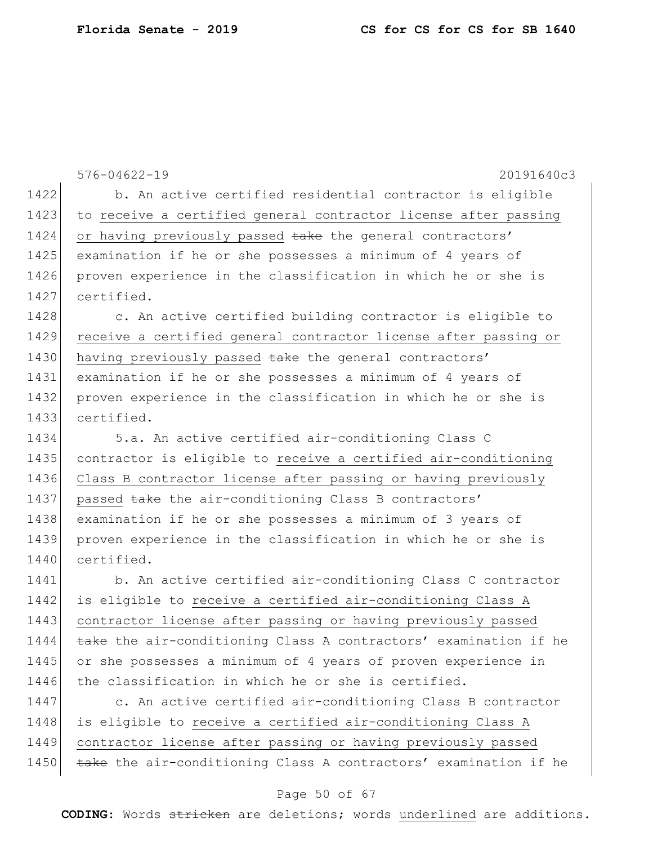576-04622-19 20191640c3 1422 b. An active certified residential contractor is eligible 1423 to receive a certified general contractor license after passing 1424 or having previously passed take the general contractors' 1425 examination if he or she possesses a minimum of 4 years of 1426 proven experience in the classification in which he or she is 1427 certified. 1428 c. An active certified building contractor is eligible to 1429 receive a certified general contractor license after passing or 1430 having previously passed take the general contractors' 1431 examination if he or she possesses a minimum of 4 years of 1432 proven experience in the classification in which he or she is 1433 certified. 1434 5.a. An active certified air-conditioning Class C 1435 contractor is eligible to receive a certified air-conditioning 1436 Class B contractor license after passing or having previously 1437 passed take the air-conditioning Class B contractors' 1438 examination if he or she possesses a minimum of 3 years of 1439 proven experience in the classification in which he or she is 1440 certified. 1441 b. An active certified air-conditioning Class C contractor 1442 is eligible to receive a certified air-conditioning Class A 1443 contractor license after passing or having previously passed 1444 take the air-conditioning Class A contractors' examination if he 1445 or she possesses a minimum of 4 years of proven experience in 1446 the classification in which he or she is certified. 1447 c. An active certified air-conditioning Class B contractor 1448 is eligible to receive a certified air-conditioning Class A 1449 contractor license after passing or having previously passed 1450 take the air-conditioning Class A contractors' examination if he

#### Page 50 of 67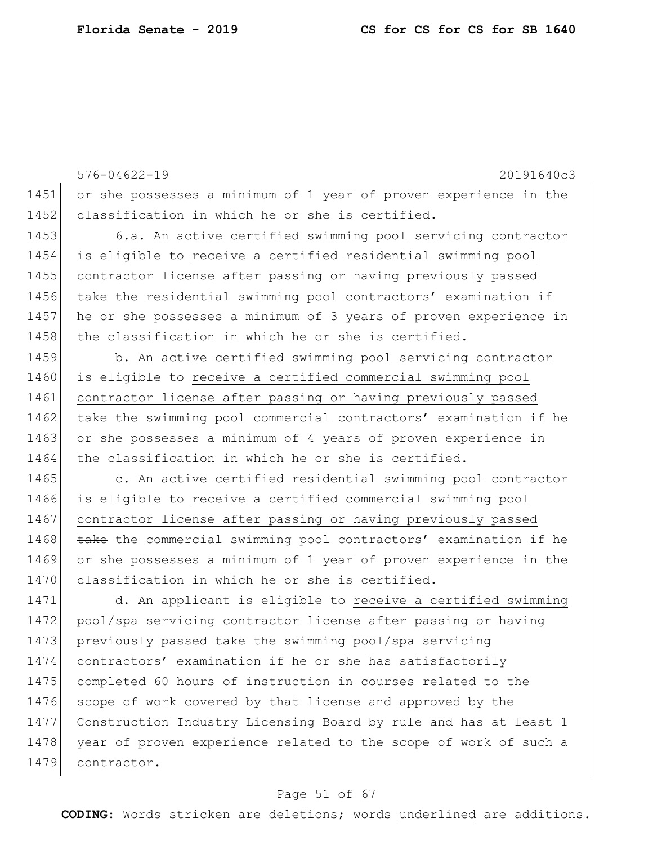576-04622-19 20191640c3 1451 or she possesses a minimum of 1 year of proven experience in the 1452 classification in which he or she is certified. 1453 6.a. An active certified swimming pool servicing contractor 1454 is eligible to receive a certified residential swimming pool 1455 contractor license after passing or having previously passed 1456 take the residential swimming pool contractors' examination if 1457 he or she possesses a minimum of 3 years of proven experience in 1458 the classification in which he or she is certified. 1459 b. An active certified swimming pool servicing contractor 1460 is eligible to receive a certified commercial swimming pool 1461 contractor license after passing or having previously passed 1462  $\rightarrow$  take the swimming pool commercial contractors' examination if he 1463 or she possesses a minimum of 4 years of proven experience in 1464 the classification in which he or she is certified. 1465 c. An active certified residential swimming pool contractor 1466 is eligible to receive a certified commercial swimming pool 1467 contractor license after passing or having previously passed 1468 take the commercial swimming pool contractors' examination if he 1469 or she possesses a minimum of 1 year of proven experience in the 1470 classification in which he or she is certified. 1471 d. An applicant is eligible to receive a certified swimming 1472 pool/spa servicing contractor license after passing or having 1473 previously passed take the swimming pool/spa servicing 1474 contractors' examination if he or she has satisfactorily 1475 completed 60 hours of instruction in courses related to the 1476 scope of work covered by that license and approved by the 1477 Construction Industry Licensing Board by rule and has at least 1 1478 year of proven experience related to the scope of work of such a 1479 contractor.

#### Page 51 of 67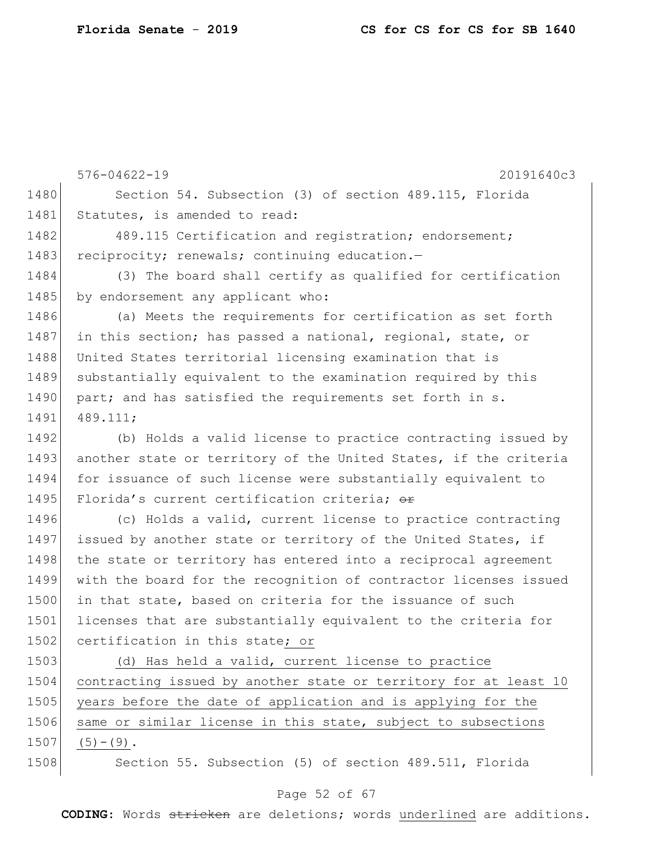576-04622-19 20191640c3 1480 Section 54. Subsection (3) of section 489.115, Florida 1481 Statutes, is amended to read: 1482 489.115 Certification and registration; endorsement; 1483 reciprocity; renewals; continuing education.-1484 (3) The board shall certify as qualified for certification 1485 by endorsement any applicant who: 1486 (a) Meets the requirements for certification as set forth 1487 in this section; has passed a national, regional, state, or 1488 United States territorial licensing examination that is 1489 substantially equivalent to the examination required by this 1490 part; and has satisfied the requirements set forth in s. 1491 489.111; 1492 (b) Holds a valid license to practice contracting issued by 1493 another state or territory of the United States, if the criteria 1494 for issuance of such license were substantially equivalent to 1495 Florida's current certification criteria;  $\Theta$ 1496 (c) Holds a valid, current license to practice contracting 1497 issued by another state or territory of the United States, if 1498 the state or territory has entered into a reciprocal agreement 1499 with the board for the recognition of contractor licenses issued 1500 in that state, based on criteria for the issuance of such 1501 licenses that are substantially equivalent to the criteria for 1502 certification in this state; or 1503 (d) Has held a valid, current license to practice 1504 contracting issued by another state or territory for at least 10 1505 years before the date of application and is applying for the 1506 same or similar license in this state, subject to subsections

 $1507$  (5) – (9).

1508 Section 55. Subsection (5) of section 489.511, Florida

### Page 52 of 67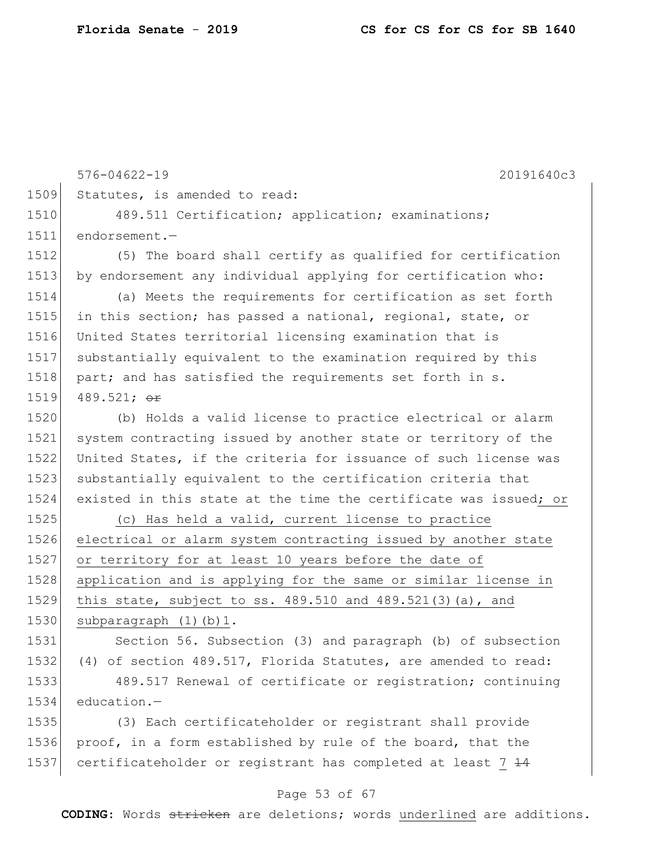576-04622-19 20191640c3 Statutes, is amended to read: 1510 489.511 Certification; application; examinations; 1511 endorsement.- (5) The board shall certify as qualified for certification 1513 by endorsement any individual applying for certification who: (a) Meets the requirements for certification as set forth in this section; has passed a national, regional, state, or United States territorial licensing examination that is substantially equivalent to the examination required by this 1518 part; and has satisfied the requirements set forth in s. 1519 489.521;  $\sigma$ r (b) Holds a valid license to practice electrical or alarm system contracting issued by another state or territory of the United States, if the criteria for issuance of such license was 1523 substantially equivalent to the certification criteria that existed in this state at the time the certificate was issued; or (c) Has held a valid, current license to practice electrical or alarm system contracting issued by another state or territory for at least 10 years before the date of application and is applying for the same or similar license in this state, subject to ss. 489.510 and 489.521(3)(a), and 1530 subparagraph (1)(b)1. 1531 Section 56. Subsection (3) and paragraph (b) of subsection (4) of section 489.517, Florida Statutes, are amended to read: 489.517 Renewal of certificate or registration; continuing education.— (3) Each certificateholder or registrant shall provide 1536 proof, in a form established by rule of the board, that the

#### Page 53 of 67

1537 certificateholder or registrant has completed at least  $7+4$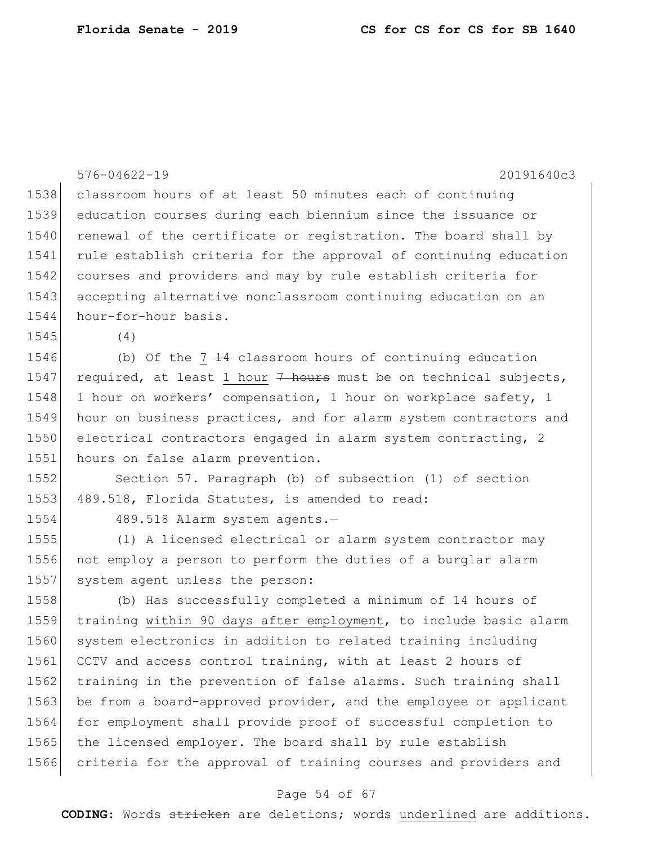|      | $576 - 04622 - 19$<br>20191640c3                                 |
|------|------------------------------------------------------------------|
| 1538 | classroom hours of at least 50 minutes each of continuing        |
| 1539 | education courses during each biennium since the issuance or     |
| 1540 | renewal of the certificate or registration. The board shall by   |
| 1541 | rule establish criteria for the approval of continuing education |
| 1542 | courses and providers and may by rule establish criteria for     |
| 1543 | accepting alternative nonclassroom continuing education on an    |
| 1544 | hour-for-hour basis.                                             |
| 1545 | (4)                                                              |
| 1546 | (b) Of the $7$ $14$ classroom hours of continuing education      |
| 1547 | required, at least 1 hour 7 hours must be on technical subjects, |
| 1548 | 1 hour on workers' compensation, 1 hour on workplace safety, 1   |
| 1549 | hour on business practices, and for alarm system contractors and |
| 1550 | electrical contractors engaged in alarm system contracting, 2    |
| 1551 | hours on false alarm prevention.                                 |
| 1552 | Section 57. Paragraph (b) of subsection (1) of section           |
| 1553 | 489.518, Florida Statutes, is amended to read:                   |
| 1554 | 489.518 Alarm system agents.-                                    |
| 1555 | (1) A licensed electrical or alarm system contractor may         |
| 1556 | not employ a person to perform the duties of a burglar alarm     |
| 1557 | system agent unless the person:                                  |
| 1558 | (b) Has successfully completed a minimum of 14 hours of          |
| 1559 | training within 90 days after employment, to include basic alarm |
| 1560 | system electronics in addition to related training including     |
| 1561 | CCTV and access control training, with at least 2 hours of       |
| 1562 | training in the prevention of false alarms. Such training shall  |
| 1563 | be from a board-approved provider, and the employee or applicant |
| 1564 | for employment shall provide proof of successful completion to   |
| 1565 | the licensed employer. The board shall by rule establish         |
| 1566 | criteria for the approval of training courses and providers and  |

# Page 54 of 67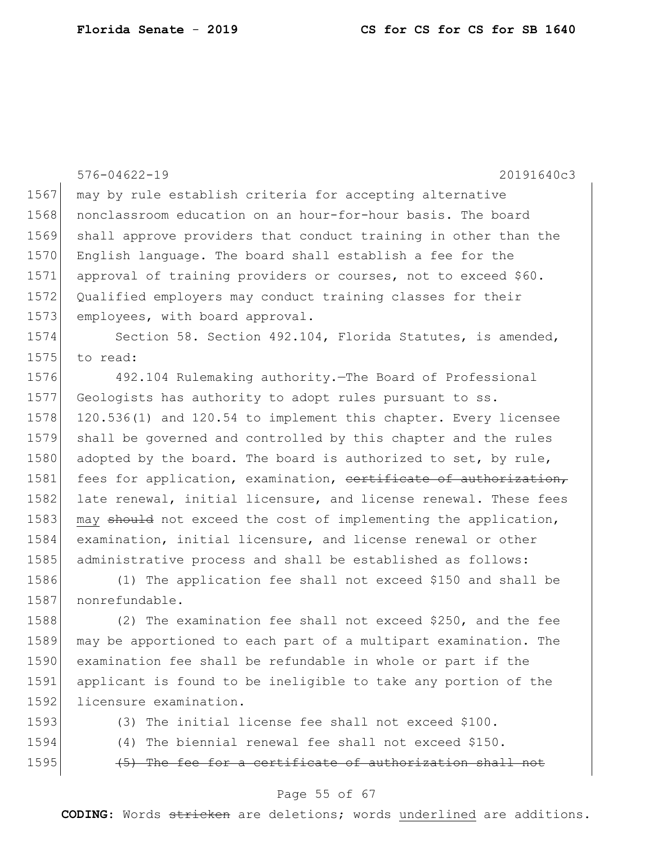|      | $576 - 04622 - 19$<br>20191640c3                                 |
|------|------------------------------------------------------------------|
| 1567 | may by rule establish criteria for accepting alternative         |
| 1568 | nonclassroom education on an hour-for-hour basis. The board      |
| 1569 | shall approve providers that conduct training in other than the  |
| 1570 | English language. The board shall establish a fee for the        |
| 1571 | approval of training providers or courses, not to exceed \$60.   |
| 1572 | Qualified employers may conduct training classes for their       |
| 1573 | employees, with board approval.                                  |
| 1574 | Section 58. Section 492.104, Florida Statutes, is amended,       |
| 1575 | to read:                                                         |
| 1576 | 492.104 Rulemaking authority. The Board of Professional          |
| 1577 | Geologists has authority to adopt rules pursuant to ss.          |
| 1578 | 120.536(1) and 120.54 to implement this chapter. Every licensee  |
| 1579 | shall be governed and controlled by this chapter and the rules   |
| 1580 | adopted by the board. The board is authorized to set, by rule,   |
| 1581 | fees for application, examination, cortificate of authorization, |
| 1582 | late renewal, initial licensure, and license renewal. These fees |
| 1583 | may should not exceed the cost of implementing the application,  |
| 1584 | examination, initial licensure, and license renewal or other     |
| 1585 | administrative process and shall be established as follows:      |
| 1586 | (1) The application fee shall not exceed \$150 and shall be      |
| 1587 | nonrefundable.                                                   |
| 1588 | (2) The examination fee shall not exceed \$250, and the fee      |
| 1589 | may be apportioned to each part of a multipart examination. The  |
| 1590 | examination fee shall be refundable in whole or part if the      |
| 1591 | applicant is found to be ineligible to take any portion of the   |
| 1592 | licensure examination.                                           |
| 1593 | (3) The initial license fee shall not exceed \$100.              |

1594 (4) The biennial renewal fee shall not exceed \$150.

1595  $(5)$  The fee for a certificate of authorization shall not

## Page 55 of 67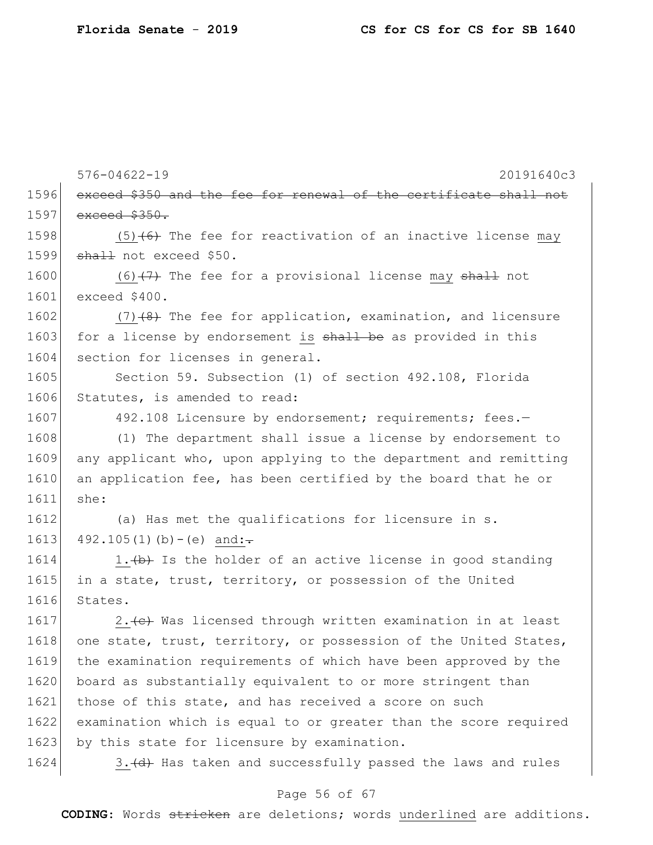|      | $576 - 04622 - 19$<br>20191640c3                                  |
|------|-------------------------------------------------------------------|
| 1596 | exceed \$350 and the fee for renewal of the certificate shall not |
| 1597 | $exceed$ $$350.$                                                  |
| 1598 | $(5)$ $(6)$ The fee for reactivation of an inactive license may   |
| 1599 | shall not exceed \$50.                                            |
| 1600 | $(6)$ $(7)$ The fee for a provisional license may shall not       |
| 1601 | exceed \$400.                                                     |
| 1602 | $(7)$ $(4)$ The fee for application, examination, and licensure   |
| 1603 | for a license by endorsement is shall be as provided in this      |
| 1604 | section for licenses in general.                                  |
| 1605 | Section 59. Subsection (1) of section 492.108, Florida            |
| 1606 | Statutes, is amended to read:                                     |
| 1607 | 492.108 Licensure by endorsement; requirements; fees.-            |
| 1608 | (1) The department shall issue a license by endorsement to        |
| 1609 | any applicant who, upon applying to the department and remitting  |
| 1610 | an application fee, has been certified by the board that he or    |
| 1611 | she:                                                              |
| 1612 | (a) Has met the qualifications for licensure in s.                |
| 1613 | $492.105(1)(b)-(e)$ and:                                          |
| 1614 | 1. (b) Is the holder of an active license in good standing        |
| 1615 | in a state, trust, territory, or possession of the United         |
| 1616 | States.                                                           |
| 1617 | 2.(c) Was licensed through written examination in at least        |
| 1618 | one state, trust, territory, or possession of the United States,  |
| 1619 | the examination requirements of which have been approved by the   |
| 1620 | board as substantially equivalent to or more stringent than       |
| 1621 | those of this state, and has received a score on such             |
| 1622 | examination which is equal to or greater than the score required  |
| 1623 | by this state for licensure by examination.                       |
| 1624 | 3. (d) Has taken and successfully passed the laws and rules       |

# Page 56 of 67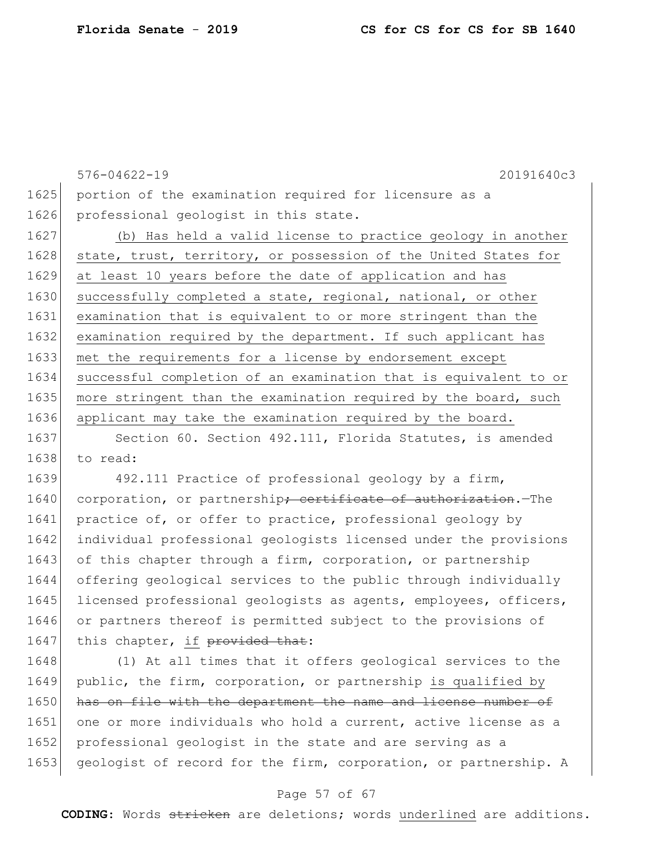576-04622-19 20191640c3 1625 portion of the examination required for licensure as a 1626 professional geologist in this state. 1627 (b) Has held a valid license to practice geology in another 1628 state, trust, territory, or possession of the United States for 1629 at least 10 years before the date of application and has 1630 successfully completed a state, regional, national, or other 1631 examination that is equivalent to or more stringent than the 1632 examination required by the department. If such applicant has 1633 met the requirements for a license by endorsement except 1634 successful completion of an examination that is equivalent to or 1635 more stringent than the examination required by the board, such 1636 applicant may take the examination required by the board.

1637 Section 60. Section 492.111, Florida Statutes, is amended 1638 to read:

1639 492.111 Practice of professional geology by a firm, 1640 corporation, or partnership<del>; certificate of authorization</del>.—The 1641 practice of, or offer to practice, professional geology by 1642 individual professional geologists licensed under the provisions 1643 of this chapter through a firm, corporation, or partnership 1644 offering geological services to the public through individually 1645 licensed professional geologists as agents, employees, officers, 1646 or partners thereof is permitted subject to the provisions of 1647 this chapter, if provided that:

1648 (1) At all times that it offers geological services to the 1649 public, the firm, corporation, or partnership is qualified by 1650 has on file with the department the name and license number of 1651 one or more individuals who hold a current, active license as a 1652 professional geologist in the state and are serving as a 1653 geologist of record for the firm, corporation, or partnership. A

#### Page 57 of 67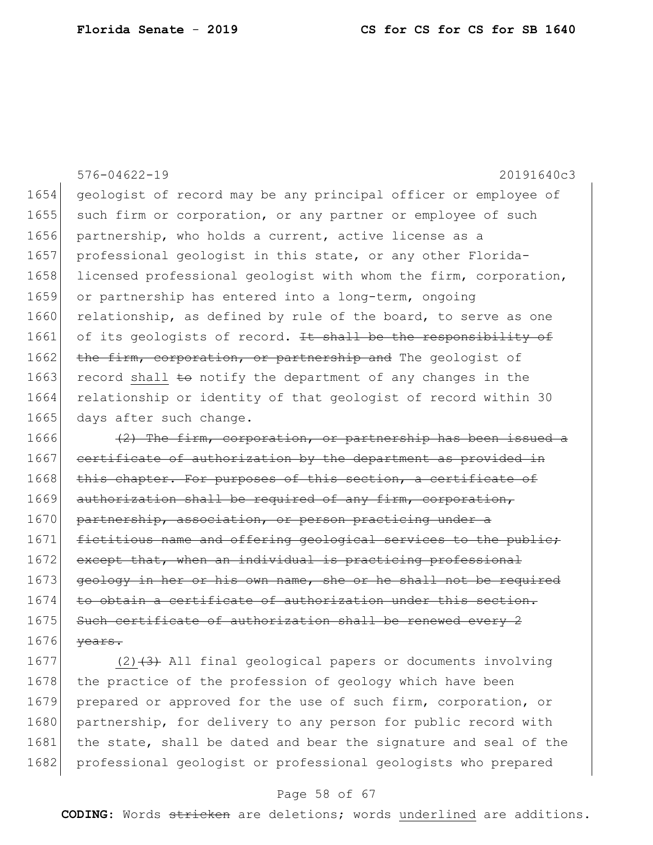576-04622-19 20191640c3 1654 geologist of record may be any principal officer or employee of 1655 such firm or corporation, or any partner or employee of such 1656 partnership, who holds a current, active license as a 1657 professional geologist in this state, or any other Florida-1658 licensed professional geologist with whom the firm, corporation, 1659 or partnership has entered into a long-term, ongoing 1660 relationship, as defined by rule of the board, to serve as one 1661 of its geologists of record. It shall be the responsibility of 1662 the firm, corporation, or partnership and The geologist of 1663 record shall  $\pm\Theta$  notify the department of any changes in the 1664 relationship or identity of that geologist of record within 30 1665 days after such change. 1666  $(2)$  The firm, corporation, or partnership has been issued a 1667 certificate of authorization by the department as provided in 1668 this chapter. For purposes of this section, a certificate of 1669 authorization shall be required of any firm, corporation, 1670 partnership, association, or person practicing under a 1671 fictitious name and offering geological services to the public; 1672 except that, when an individual is practicing professional

1673 geology in her or his own name, she or he shall not be required  $1674$  to obtain a certificate of authorization under this section. 1675 Such certificate of authorization shall be renewed every 2  $1676$  <del>years.</del>

1677 (2) $(3)$  All final geological papers or documents involving 1678 the practice of the profession of geology which have been 1679 prepared or approved for the use of such firm, corporation, or 1680 partnership, for delivery to any person for public record with 1681 the state, shall be dated and bear the signature and seal of the 1682 professional geologist or professional geologists who prepared

#### Page 58 of 67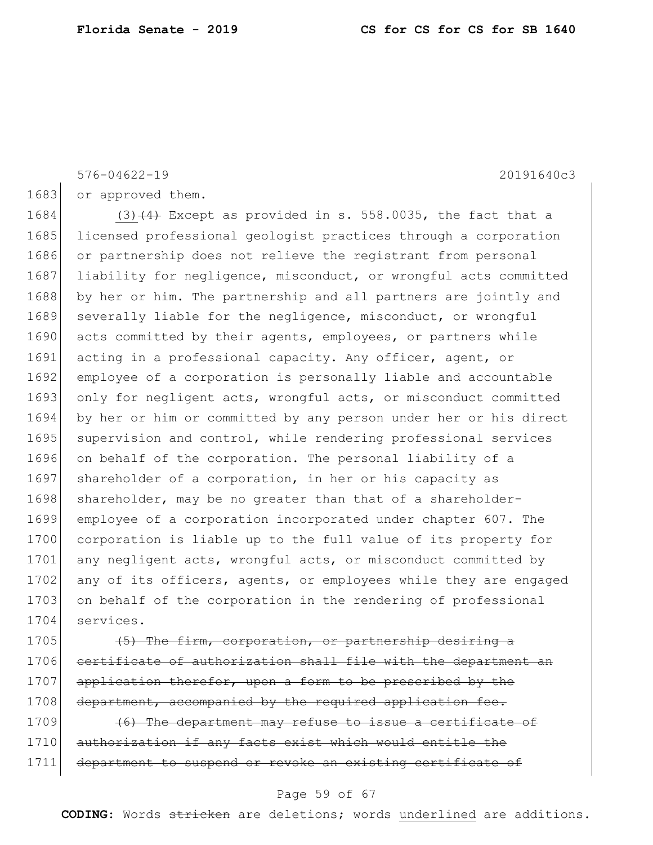576-04622-19 20191640c3

1683 or approved them.

1684 (3) $(4)$  Except as provided in s. 558.0035, the fact that a 1685 licensed professional geologist practices through a corporation 1686 or partnership does not relieve the registrant from personal 1687 liability for negligence, misconduct, or wrongful acts committed 1688 by her or him. The partnership and all partners are jointly and 1689 severally liable for the negligence, misconduct, or wrongful 1690 acts committed by their agents, employees, or partners while 1691 acting in a professional capacity. Any officer, agent, or 1692 employee of a corporation is personally liable and accountable 1693 only for negligent acts, wrongful acts, or misconduct committed 1694 by her or him or committed by any person under her or his direct 1695 supervision and control, while rendering professional services 1696 on behalf of the corporation. The personal liability of a 1697 shareholder of a corporation, in her or his capacity as 1698 shareholder, may be no greater than that of a shareholder-1699 employee of a corporation incorporated under chapter 607. The 1700 corporation is liable up to the full value of its property for 1701 any negligent acts, wrongful acts, or misconduct committed by 1702 any of its officers, agents, or employees while they are engaged 1703 on behalf of the corporation in the rendering of professional 1704 services.

1705  $(5)$  The firm, corporation, or partnership desiring a 1706 certificate of authorization shall file with the department an 1707 application therefor, upon a form to be prescribed by the 1708 department, accompanied by the required application fee.

1709  $(6)$  The department may refuse to issue a certificate of 1710 authorization if any facts exist which would entitle the 1711 department to suspend or revoke an existing certificate of

#### Page 59 of 67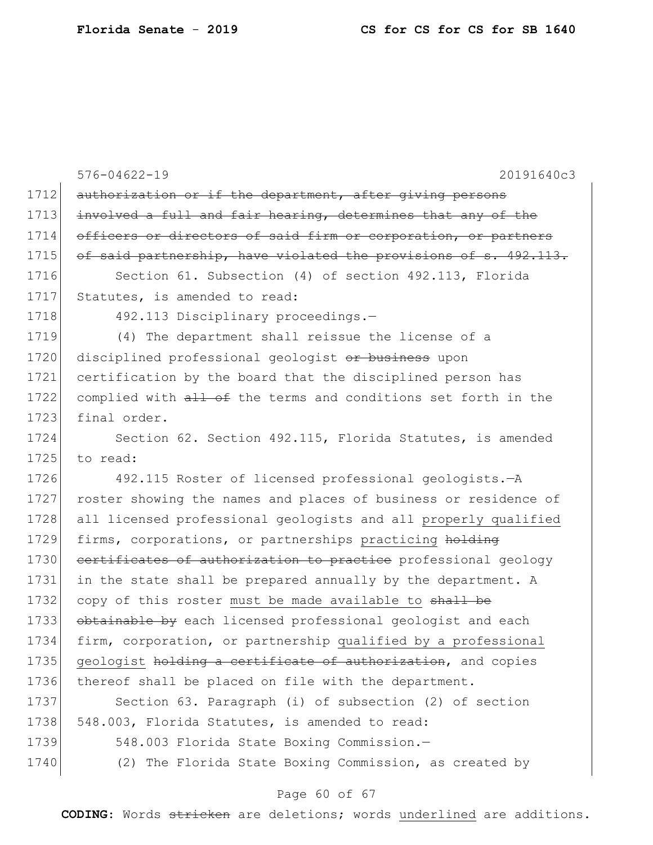|      | $576 - 04622 - 19$<br>20191640c3                                 |
|------|------------------------------------------------------------------|
| 1712 | authorization or if the department, after giving persons         |
| 1713 | involved a full and fair hearing, determines that any of the     |
| 1714 | officers or directors of said firm or corporation, or partners   |
| 1715 | of said partnership, have violated the provisions of s. 492.113. |
| 1716 | Section 61. Subsection (4) of section 492.113, Florida           |
| 1717 | Statutes, is amended to read:                                    |
| 1718 | 492.113 Disciplinary proceedings.-                               |
| 1719 | (4) The department shall reissue the license of a                |
| 1720 | disciplined professional geologist or business upon              |
| 1721 | certification by the board that the disciplined person has       |
| 1722 | complied with all of the terms and conditions set forth in the   |
| 1723 | final order.                                                     |
| 1724 | Section 62. Section 492.115, Florida Statutes, is amended        |
| 1725 | to read:                                                         |
| 1726 | 492.115 Roster of licensed professional geologists. - A          |
| 1727 | roster showing the names and places of business or residence of  |
| 1728 | all licensed professional geologists and all properly qualified  |
| 1729 | firms, corporations, or partnerships practicing holding          |
| 1730 | certificates of authorization to practice professional geology   |
| 1731 | in the state shall be prepared annually by the department. A     |
| 1732 | copy of this roster must be made available to shall be           |
| 1733 | obtainable by each licensed professional geologist and each      |
| 1734 | firm, corporation, or partnership qualified by a professional    |
| 1735 | geologist holding a certificate of authorization, and copies     |
| 1736 | thereof shall be placed on file with the department.             |
| 1737 | Section 63. Paragraph (i) of subsection (2) of section           |
| 1738 | 548.003, Florida Statutes, is amended to read:                   |
| 1739 | 548.003 Florida State Boxing Commission.-                        |
| 1740 | (2) The Florida State Boxing Commission, as created by           |

# Page 60 of 67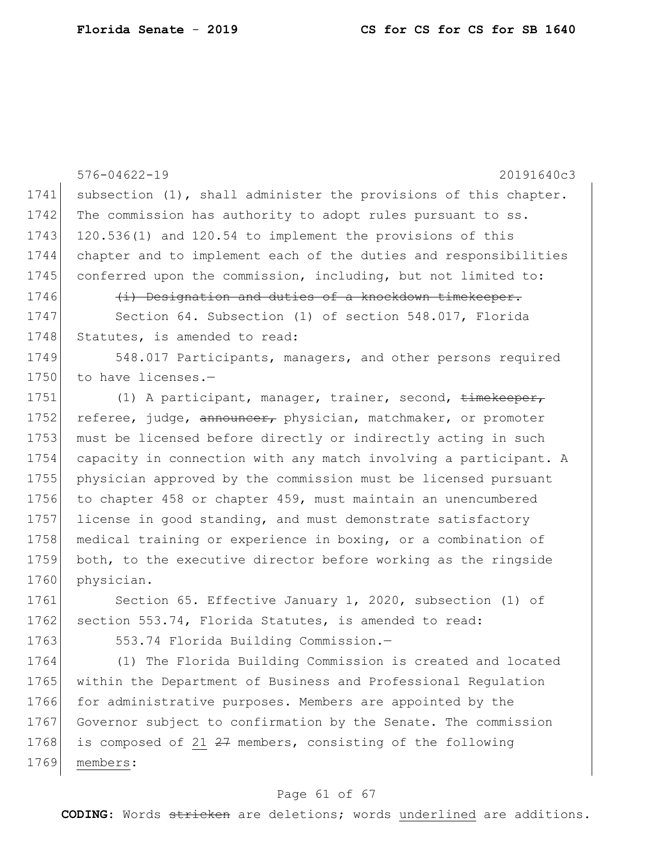576-04622-19 20191640c3 1741 subsection (1), shall administer the provisions of this chapter. 1742 The commission has authority to adopt rules pursuant to ss. 1743 120.536(1) and 120.54 to implement the provisions of this 1744 chapter and to implement each of the duties and responsibilities 1745 conferred upon the commission, including, but not limited to: 1746 **(i)** Designation and duties of a knockdown timekeeper. 1747 Section 64. Subsection (1) of section 548.017, Florida 1748 Statutes, is amended to read: 1749 548.017 Participants, managers, and other persons required 1750 to have licenses.-1751 (1) A participant, manager, trainer, second, timekeeper, 1752 referee, judge, announcer, physician, matchmaker, or promoter 1753 must be licensed before directly or indirectly acting in such 1754 capacity in connection with any match involving a participant. A 1755 physician approved by the commission must be licensed pursuant 1756 to chapter 458 or chapter 459, must maintain an unencumbered 1757 license in good standing, and must demonstrate satisfactory 1758 medical training or experience in boxing, or a combination of 1759 both, to the executive director before working as the ringside 1760 physician. 1761 Section 65. Effective January 1, 2020, subsection (1) of 1762 section 553.74, Florida Statutes, is amended to read: 1763 553.74 Florida Building Commission.-1764 (1) The Florida Building Commission is created and located 1765 within the Department of Business and Professional Regulation 1766 for administrative purposes. Members are appointed by the

1767 Governor subject to confirmation by the Senate. The commission 1768 is composed of 21  $27$  members, consisting of the following 1769 members:

### Page 61 of 67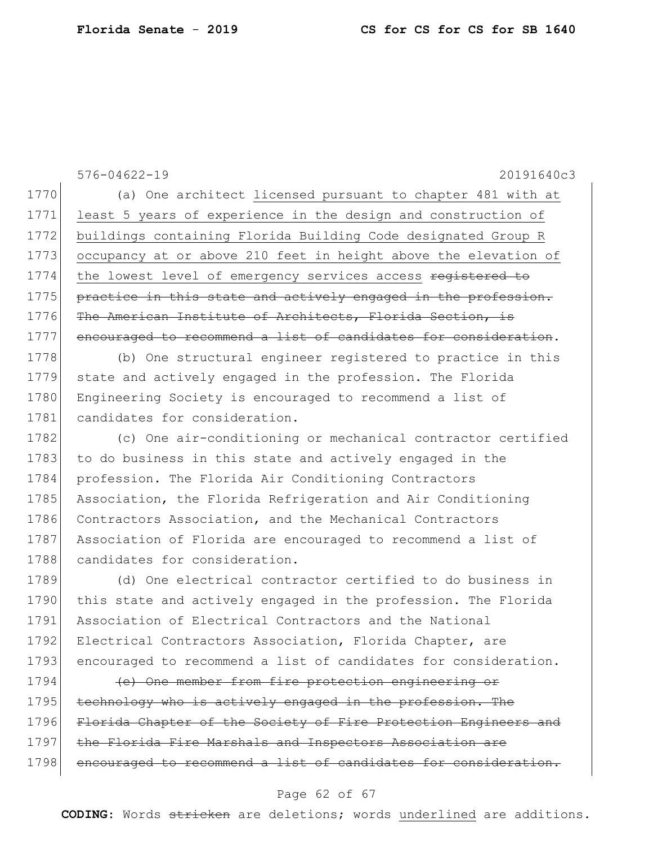| $576 - 04622 - 19$<br>20191640c3                                |
|-----------------------------------------------------------------|
| (a) One architect licensed pursuant to chapter 481 with at      |
| least 5 years of experience in the design and construction of   |
| buildings containing Florida Building Code designated Group R   |
| occupancy at or above 210 feet in height above the elevation of |
| the lowest level of emergency services access registered to     |
| practice in this state and actively engaged in the profession.  |
| The American Institute of Architects, Florida Section, is       |
| encouraged to recommend a list of candidates for consideration. |
| (b) One structural engineer registered to practice in this      |
| state and actively engaged in the profession. The Florida       |
| Engineering Society is encouraged to recommend a list of        |
| candidates for consideration.                                   |
| (c) One air-conditioning or mechanical contractor certified     |
| to do business in this state and actively engaged in the        |
| profession. The Florida Air Conditioning Contractors            |
| Association, the Florida Refrigeration and Air Conditioning     |
| Contractors Association, and the Mechanical Contractors         |
| Association of Florida are encouraged to recommend a list of    |
| candidates for consideration.                                   |
| (d) One electrical contractor certified to do business in       |
| this state and actively engaged in the profession. The Florida  |
| Association of Electrical Contractors and the National          |
| Electrical Contractors Association, Florida Chapter, are        |
| encouraged to recommend a list of candidates for consideration. |
| (e) One member from fire protection engineering or              |
| technology who is actively engaged in the profession. The       |
| Florida Chapter of the Society of Fire Protection Engineers and |
|                                                                 |

1797 the Florida Fire Marshals and Inspectors Association are

1798 encouraged to recommend a list of candidates for consideration.

## Page 62 of 67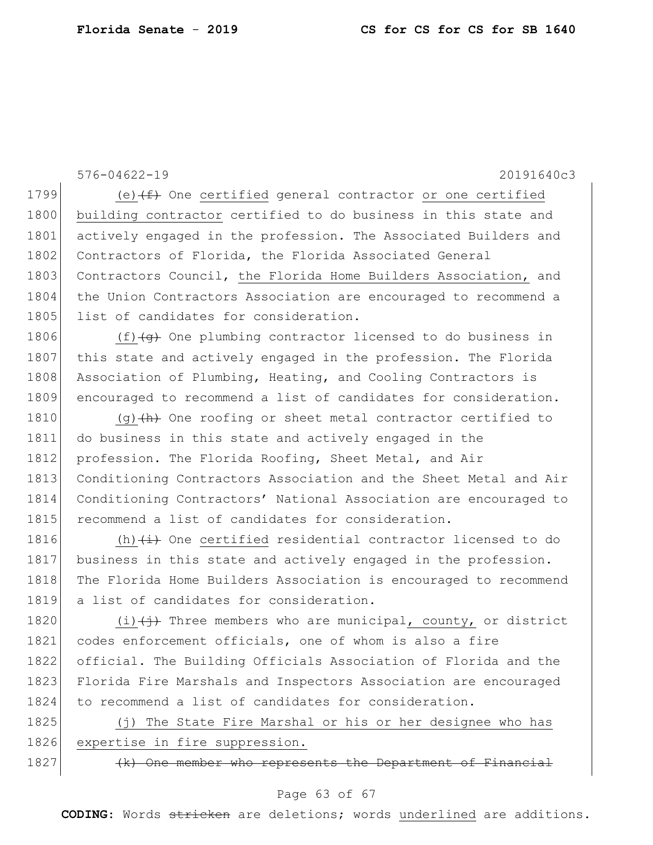576-04622-19 20191640c3 1799 (e) $(f)$  One certified general contractor or one certified 1800 building contractor certified to do business in this state and 1801 actively engaged in the profession. The Associated Builders and 1802 Contractors of Florida, the Florida Associated General 1803 Contractors Council, the Florida Home Builders Association, and 1804 the Union Contractors Association are encouraged to recommend a 1805 list of candidates for consideration. 1806  $(f)$  (f)  $\left(\frac{f}{f}\right)$  One plumbing contractor licensed to do business in 1807 this state and actively engaged in the profession. The Florida 1808 Association of Plumbing, Heating, and Cooling Contractors is 1809 encouraged to recommend a list of candidates for consideration. 1810 (g) $\left(\frac{h}{h}\right)$  One roofing or sheet metal contractor certified to 1811 do business in this state and actively engaged in the 1812 profession. The Florida Roofing, Sheet Metal, and Air 1813 Conditioning Contractors Association and the Sheet Metal and Air 1814 Conditioning Contractors' National Association are encouraged to 1815 recommend a list of candidates for consideration. 1816 (h) $\leftrightarrow$  One certified residential contractor licensed to do 1817 business in this state and actively engaged in the profession. 1818 The Florida Home Builders Association is encouraged to recommend 1819 a list of candidates for consideration. 1820 (i) $\leftarrow$  Three members who are municipal, county, or district 1821 codes enforcement officials, one of whom is also a fire 1822 official. The Building Officials Association of Florida and the 1823 Florida Fire Marshals and Inspectors Association are encouraged 1824 to recommend a list of candidates for consideration. 1825 (j) The State Fire Marshal or his or her designee who has 1826 expertise in fire suppression.

1827 (k) One member who represents the Department of Financial

#### Page 63 of 67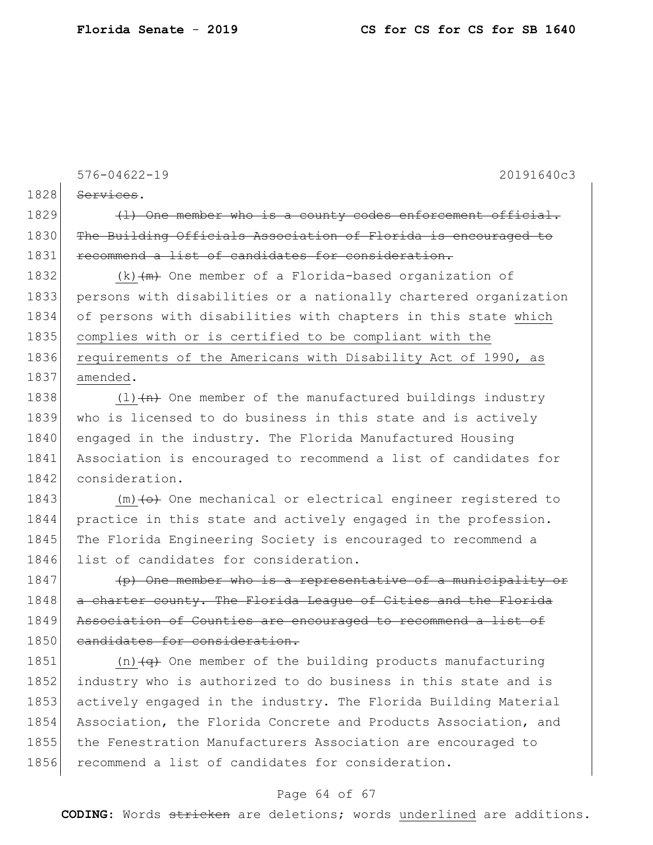|      | $576 - 04622 - 19$<br>20191640c3                                            |
|------|-----------------------------------------------------------------------------|
| 1828 | Services.                                                                   |
| 1829 | (1) One member who is a county codes enforcement official.                  |
| 1830 | The Building Officials Association of Florida is encouraged to              |
| 1831 | recommend a list of candidates for consideration.                           |
| 1832 | $(k)$ $(m)$ One member of a Florida-based organization of                   |
| 1833 | persons with disabilities or a nationally chartered organization            |
| 1834 | of persons with disabilities with chapters in this state which              |
| 1835 | complies with or is certified to be compliant with the                      |
| 1836 | requirements of the Americans with Disability Act of 1990, as               |
| 1837 | amended.                                                                    |
| 1838 | $(1)$ $(n)$ One member of the manufactured buildings industry               |
| 1839 | who is licensed to do business in this state and is actively                |
| 1840 | engaged in the industry. The Florida Manufactured Housing                   |
| 1841 | Association is encouraged to recommend a list of candidates for             |
| 1842 | consideration.                                                              |
| 1843 | $(m)$ (-0) One mechanical or electrical engineer registered to              |
| 1844 | practice in this state and actively engaged in the profession.              |
| 1845 | The Florida Engineering Society is encouraged to recommend a                |
| 1846 | list of candidates for consideration.                                       |
| 1847 | (p) One member who is a representative of a municipality or                 |
| 1848 | a charter county. The Florida League of Cities and the Florida              |
| 1849 | Association of Counties are encouraged to recommend a list of               |
| 1850 | eandidates for consideration.                                               |
| 1851 | (n) $\left(\alpha\right)$ One member of the building products manufacturing |
| 1852 | industry who is authorized to do business in this state and is              |
| 1853 | actively engaged in the industry. The Florida Building Material             |
| 1854 | Association, the Florida Concrete and Products Association, and             |
| 1855 | the Fenestration Manufacturers Association are encouraged to                |
| 1856 | recommend a list of candidates for consideration.                           |
|      |                                                                             |

# Page 64 of 67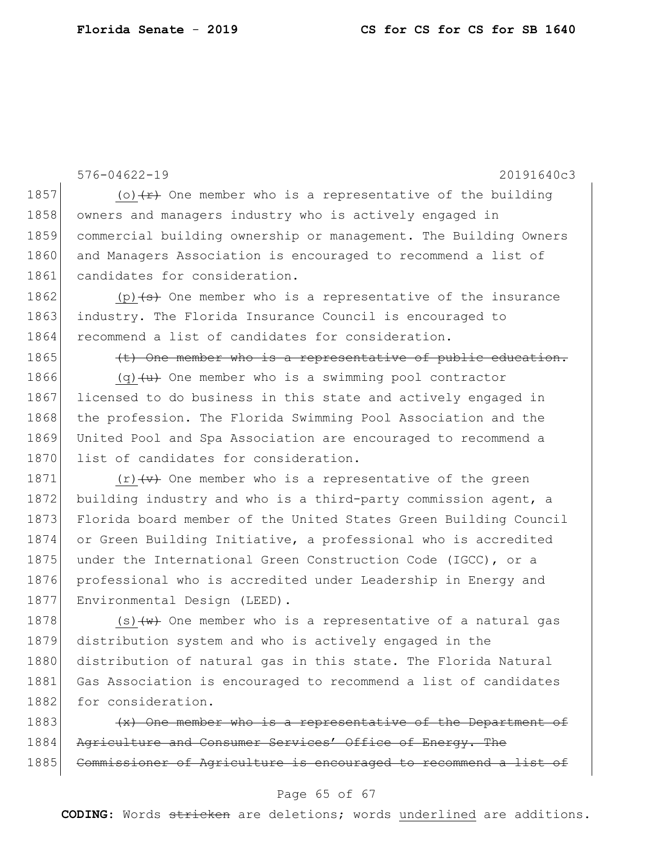576-04622-19 20191640c3 1857 (o)  $\left\langle r\right\rangle$  One member who is a representative of the building 1858 owners and managers industry who is actively engaged in 1859 commercial building ownership or management. The Building Owners 1860 and Managers Association is encouraged to recommend a list of 1861 candidates for consideration. 1862 (p)  $\leftrightarrow$  One member who is a representative of the insurance 1863 industry. The Florida Insurance Council is encouraged to 1864 recommend a list of candidates for consideration.  $1865$  (t) One member who is a representative of public education. 1866 (q) $\left\{\frac{u}{u}\right\}$  One member who is a swimming pool contractor 1867 licensed to do business in this state and actively engaged in 1868 the profession. The Florida Swimming Pool Association and the 1869 United Pool and Spa Association are encouraged to recommend a 1870 list of candidates for consideration. 1871  $(r)$   $\left\langle r\right\rangle$  One member who is a representative of the green 1872 building industry and who is a third-party commission agent, a 1873 Florida board member of the United States Green Building Council 1874 or Green Building Initiative, a professional who is accredited 1875 under the International Green Construction Code (IGCC), or a 1876 professional who is accredited under Leadership in Energy and 1877 Environmental Design (LEED). 1878  $(s)$   $\left\langle w\right\rangle$  One member who is a representative of a natural gas 1879 distribution system and who is actively engaged in the 1880 distribution of natural gas in this state. The Florida Natural 1881 Gas Association is encouraged to recommend a list of candidates 1882 for consideration. 1883  $\left\{\times\right\}$  One member who is a representative of the Department of

1884 Agriculture and Consumer Services' Office of Energy. The 1885 Commissioner of Agriculture is encouraged to recommend a list of

#### Page 65 of 67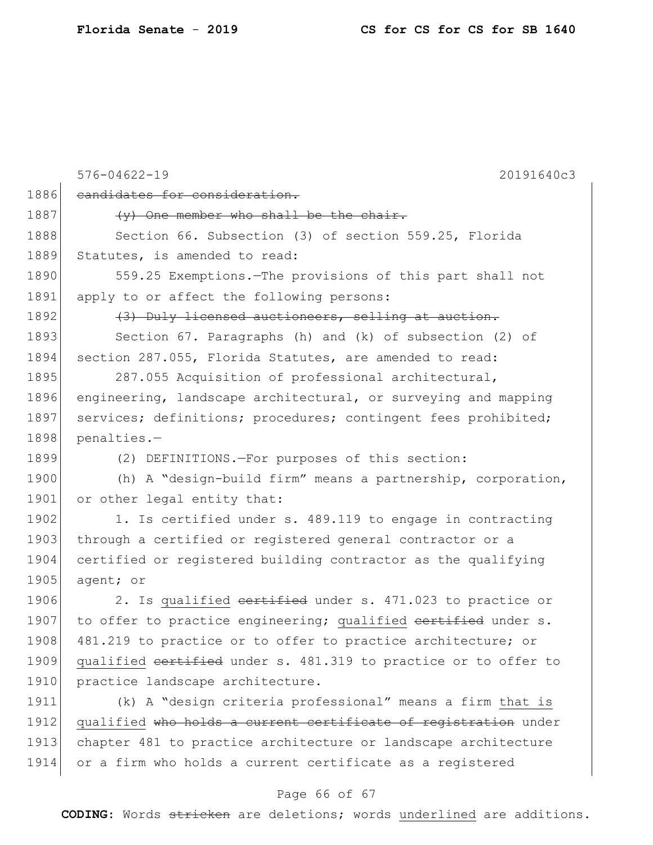576-04622-19 20191640c3 1886 candidates for consideration.  $1887$  (y) One member who shall be the chair. 1888 Section 66. Subsection (3) of section 559.25, Florida 1889 Statutes, is amended to read: 1890 559.25 Exemptions.—The provisions of this part shall not 1891 apply to or affect the following persons: 1892 (3) Duly licensed auctioneers, selling at auction. 1893 Section 67. Paragraphs (h) and (k) of subsection (2) of 1894 section 287.055, Florida Statutes, are amended to read: 1895 287.055 Acquisition of professional architectural, 1896 engineering, landscape architectural, or surveying and mapping 1897 services; definitions; procedures; contingent fees prohibited; 1898 penalties.-1899 (2) DEFINITIONS.—For purposes of this section: 1900 (h) A "design-build firm" means a partnership, corporation, 1901 or other legal entity that: 1902 1. Is certified under s. 489.119 to engage in contracting 1903 through a certified or registered general contractor or a 1904 certified or registered building contractor as the qualifying 1905 agent; or 1906 2. Is qualified certified under s. 471.023 to practice or 1907 to offer to practice engineering; qualified eertified under s. 1908 481.219 to practice or to offer to practice architecture; or 1909 qualified certified under s. 481.319 to practice or to offer to 1910 practice landscape architecture. 1911 (k) A "design criteria professional" means a firm that is 1912 qualified who holds a current certificate of registration under 1913 chapter 481 to practice architecture or landscape architecture 1914 or a firm who holds a current certificate as a registered

#### Page 66 of 67